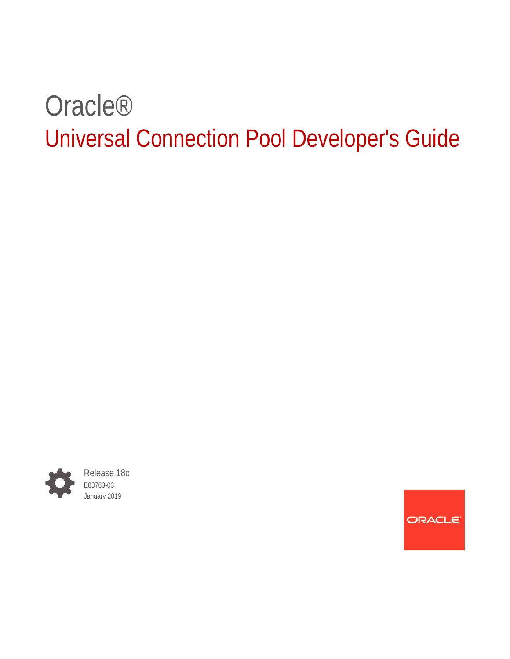# Oracle® Universal Connection Pool Developer's Guide



Release 18c E83763-03 January 2019

**ORACLE**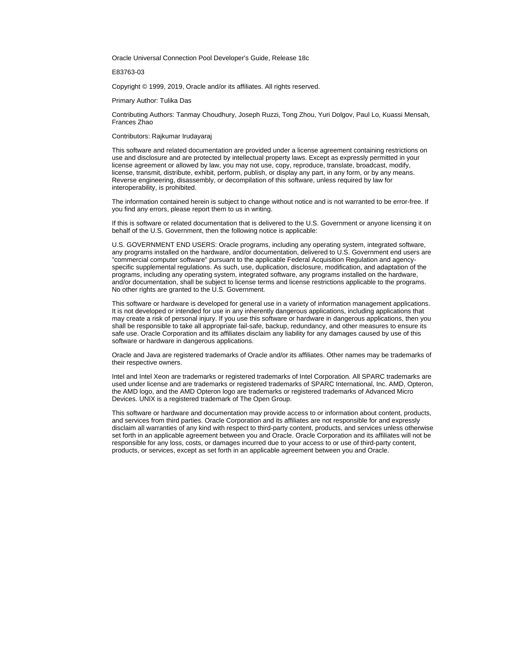Oracle Universal Connection Pool Developer's Guide, Release 18c

E83763-03

Copyright © 1999, 2019, Oracle and/or its affiliates. All rights reserved.

Primary Author: Tulika Das

Contributing Authors: Tanmay Choudhury, Joseph Ruzzi, Tong Zhou, Yuri Dolgov, Paul Lo, Kuassi Mensah, Frances Zhao

Contributors: Rajkumar Irudayaraj

This software and related documentation are provided under a license agreement containing restrictions on use and disclosure and are protected by intellectual property laws. Except as expressly permitted in your license agreement or allowed by law, you may not use, copy, reproduce, translate, broadcast, modify, license, transmit, distribute, exhibit, perform, publish, or display any part, in any form, or by any means. Reverse engineering, disassembly, or decompilation of this software, unless required by law for interoperability, is prohibited.

The information contained herein is subject to change without notice and is not warranted to be error-free. If you find any errors, please report them to us in writing.

If this is software or related documentation that is delivered to the U.S. Government or anyone licensing it on behalf of the U.S. Government, then the following notice is applicable:

U.S. GOVERNMENT END USERS: Oracle programs, including any operating system, integrated software, any programs installed on the hardware, and/or documentation, delivered to U.S. Government end users are "commercial computer software" pursuant to the applicable Federal Acquisition Regulation and agencyspecific supplemental regulations. As such, use, duplication, disclosure, modification, and adaptation of the programs, including any operating system, integrated software, any programs installed on the hardware, and/or documentation, shall be subject to license terms and license restrictions applicable to the programs. No other rights are granted to the U.S. Government.

This software or hardware is developed for general use in a variety of information management applications. It is not developed or intended for use in any inherently dangerous applications, including applications that may create a risk of personal injury. If you use this software or hardware in dangerous applications, then you shall be responsible to take all appropriate fail-safe, backup, redundancy, and other measures to ensure its safe use. Oracle Corporation and its affiliates disclaim any liability for any damages caused by use of this software or hardware in dangerous applications.

Oracle and Java are registered trademarks of Oracle and/or its affiliates. Other names may be trademarks of their respective owners.

Intel and Intel Xeon are trademarks or registered trademarks of Intel Corporation. All SPARC trademarks are used under license and are trademarks or registered trademarks of SPARC International, Inc. AMD, Opteron, the AMD logo, and the AMD Opteron logo are trademarks or registered trademarks of Advanced Micro Devices. UNIX is a registered trademark of The Open Group.

This software or hardware and documentation may provide access to or information about content, products, and services from third parties. Oracle Corporation and its affiliates are not responsible for and expressly disclaim all warranties of any kind with respect to third-party content, products, and services unless otherwise set forth in an applicable agreement between you and Oracle. Oracle Corporation and its affiliates will not be responsible for any loss, costs, or damages incurred due to your access to or use of third-party content, products, or services, except as set forth in an applicable agreement between you and Oracle.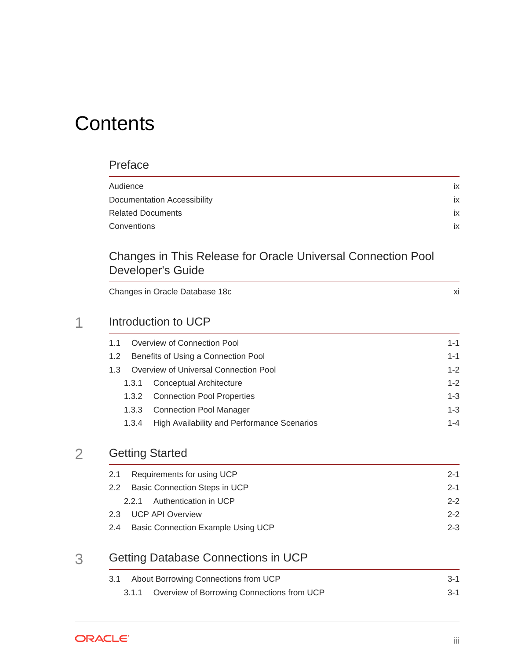# **Contents**

#### [Preface](#page-8-0)

| Audience                    | <b>ix</b> |
|-----------------------------|-----------|
| Documentation Accessibility | ix        |
| Related Documents           | ix        |
| Conventions                 | iх        |

### [Changes in This Release for Oracle Universal Connection Pool](#page-10-0) [Developer's Guide](#page-10-0)

| Overview of Connection Pool<br>1.1                          | $1 - 1$            |
|-------------------------------------------------------------|--------------------|
| Benefits of Using a Connection Pool<br>1.2                  | $1 - 1$            |
| Overview of Universal Connection Pool<br>1.3                | $1 - 2$            |
| 1.3.1<br>Conceptual Architecture                            | $1 - 2$            |
| 1.3.2<br><b>Connection Pool Properties</b>                  | $1 - 3$            |
| 1.3.3<br><b>Connection Pool Manager</b>                     | $1 - 3$            |
| <b>High Availability and Performance Scenarios</b><br>1.3.4 | $1 - 4$            |
|                                                             |                    |
| <b>Getting Started</b><br>Requirements for using UCP<br>2.1 | $2 - 1$            |
| 2.2<br>Basic Connection Steps in UCP                        |                    |
| Authentication in UCP<br>2.2.1                              | $2 - 1$<br>$2 - 2$ |
| 2.3<br><b>UCP API Overview</b>                              | $2 - 2$            |
| <b>Basic Connection Example Using UCP</b><br>2.4            | $2 - 3$            |
|                                                             |                    |
| <b>Getting Database Connections in UCP</b>                  |                    |
| About Borrowing Connections from UCP<br>3.1                 | $3-1$              |

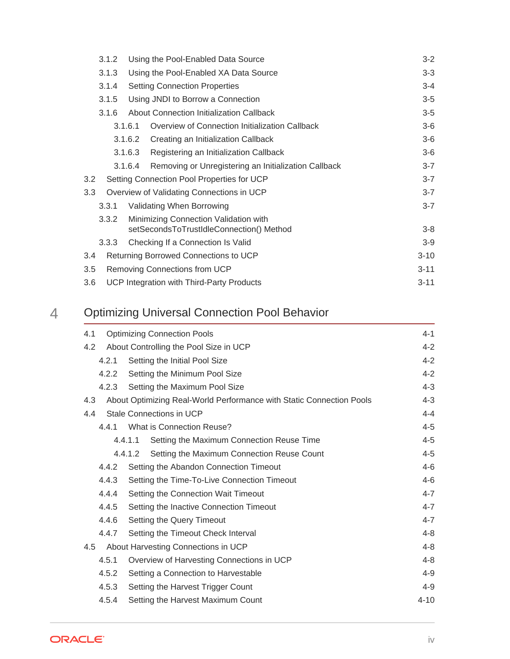|     | 3.1.2 |         | Using the Pool-Enabled Data Source                                                | $3 - 2$  |
|-----|-------|---------|-----------------------------------------------------------------------------------|----------|
|     | 3.1.3 |         | Using the Pool-Enabled XA Data Source                                             | $3 - 3$  |
|     | 3.1.4 |         | <b>Setting Connection Properties</b>                                              | $3 - 4$  |
|     | 3.1.5 |         | Using JNDI to Borrow a Connection                                                 | $3-5$    |
|     | 3.1.6 |         | About Connection Initialization Callback                                          | $3-5$    |
|     |       | 3.1.6.1 | Overview of Connection Initialization Callback                                    | $3-6$    |
|     |       | 3.1.6.2 | Creating an Initialization Callback                                               | $3-6$    |
|     |       | 3.1.6.3 | Registering an Initialization Callback                                            | $3-6$    |
|     |       | 3.1.6.4 | Removing or Unregistering an Initialization Callback                              | $3 - 7$  |
| 3.2 |       |         | Setting Connection Pool Properties for UCP                                        | $3 - 7$  |
| 3.3 |       |         | Overview of Validating Connections in UCP                                         | $3 - 7$  |
|     | 3.3.1 |         | Validating When Borrowing                                                         | $3 - 7$  |
|     | 3.3.2 |         | Minimizing Connection Validation with<br>setSecondsToTrustIdleConnection() Method | $3-8$    |
|     | 3.3.3 |         | Checking If a Connection Is Valid                                                 | $3-9$    |
| 3.4 |       |         | Returning Borrowed Connections to UCP                                             | $3-10$   |
| 3.5 |       |         | Removing Connections from UCP                                                     | $3 - 11$ |
| 3.6 |       |         | UCP Integration with Third-Party Products                                         | $3 - 11$ |

# 4 [Optimizing Universal Connection Pool Behavior](#page-31-0)

| 4.1 |       |                                        | <b>Optimizing Connection Pools</b>                                   | $4 - 1$  |  |
|-----|-------|----------------------------------------|----------------------------------------------------------------------|----------|--|
| 4.2 |       | About Controlling the Pool Size in UCP |                                                                      |          |  |
|     | 4.2.1 |                                        | Setting the Initial Pool Size                                        | $4 - 2$  |  |
|     | 4.2.2 |                                        | Setting the Minimum Pool Size                                        | $4 - 2$  |  |
|     | 4.2.3 |                                        | Setting the Maximum Pool Size                                        | $4 - 3$  |  |
| 4.3 |       |                                        | About Optimizing Real-World Performance with Static Connection Pools | $4 - 3$  |  |
| 4.4 |       |                                        | Stale Connections in UCP                                             | $4 - 4$  |  |
|     |       |                                        | 4.4.1 What is Connection Reuse?                                      | $4 - 5$  |  |
|     |       | 4.4.1.1                                | Setting the Maximum Connection Reuse Time                            | $4 - 5$  |  |
|     |       | 4.4.1.2                                | Setting the Maximum Connection Reuse Count                           | $4 - 5$  |  |
|     | 4.4.2 |                                        | Setting the Abandon Connection Timeout                               | $4 - 6$  |  |
|     | 4.4.3 |                                        | Setting the Time-To-Live Connection Timeout                          | 4-6      |  |
|     | 4.4.4 |                                        | Setting the Connection Wait Timeout                                  | $4 - 7$  |  |
|     | 4.4.5 |                                        | Setting the Inactive Connection Timeout                              | $4 - 7$  |  |
|     | 4.4.6 |                                        | Setting the Query Timeout                                            | $4 - 7$  |  |
|     | 4.4.7 |                                        | Setting the Timeout Check Interval                                   | 4-8      |  |
| 4.5 |       |                                        | About Harvesting Connections in UCP                                  | $4 - 8$  |  |
|     | 4.5.1 |                                        | Overview of Harvesting Connections in UCP                            | $4 - 8$  |  |
|     | 4.5.2 |                                        | Setting a Connection to Harvestable                                  | $4 - 9$  |  |
|     | 4.5.3 |                                        | Setting the Harvest Trigger Count                                    | $4 - 9$  |  |
|     | 4.5.4 |                                        | Setting the Harvest Maximum Count                                    | $4 - 10$ |  |

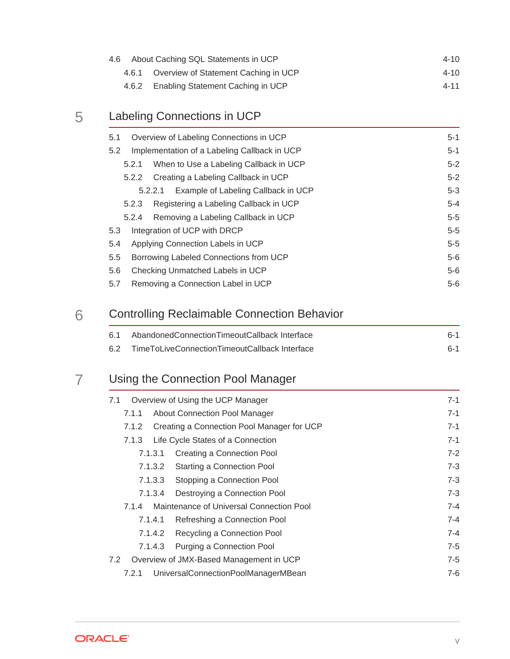| 4.6 About Caching SQL Statements in UCP    | 4-10 |
|--------------------------------------------|------|
| 4.6.1 Overview of Statement Caching in UCP | 4-10 |
| 4.6.2 Enabling Statement Caching in UCP    | 4-11 |

### 5 [Labeling Connections in UCP](#page-42-0)

| 5.1           | Overview of Labeling Connections in UCP        | $5 - 1$ |
|---------------|------------------------------------------------|---------|
| 5.2           | Implementation of a Labeling Callback in UCP   | $5 - 1$ |
| 5.2.1         | When to Use a Labeling Callback in UCP         | $5-2$   |
| 5.2.2         | Creating a Labeling Callback in UCP            | $5-2$   |
|               | Example of Labeling Callback in UCP<br>5.2.2.1 | $5-3$   |
| 5.2.3         | Registering a Labeling Callback in UCP         | $5 - 4$ |
| 5.2.4         | Removing a Labeling Callback in UCP            | $5-5$   |
| 5.3           | Integration of UCP with DRCP                   | $5-5$   |
| 5.4           | Applying Connection Labels in UCP              | $5-5$   |
| $5.5^{\circ}$ | Borrowing Labeled Connections from UCP         | $5-6$   |
| 5.6           | Checking Unmatched Labels in UCP               | $5-6$   |
| 5.7           | Removing a Connection Label in UCP             | $5-6$   |

### 6 [Controlling Reclaimable Connection Behavior](#page-49-0)

| 6.1 AbandonedConnectionTimeoutCallback Interface | $6 - 1$ |
|--------------------------------------------------|---------|
| TimeToLiveConnectionTimeoutCallback Interface    | $6 - 1$ |

### 7 [Using the Connection Pool Manager](#page-51-0)

| 7.1     | Overview of Using the UCP Manager          | $7 - 1$ |
|---------|--------------------------------------------|---------|
| 7.1.1   | About Connection Pool Manager              | $7 - 1$ |
| 7.1.2   | Creating a Connection Pool Manager for UCP | $7 - 1$ |
| 7.1.3   | Life Cycle States of a Connection          | $7 - 1$ |
| 7.1.3.1 | Creating a Connection Pool                 | $7 - 2$ |
| 7.1.3.2 | <b>Starting a Connection Pool</b>          | $7 - 3$ |
| 7.1.3.3 | Stopping a Connection Pool                 | $7 - 3$ |
| 7.1.3.4 | Destroying a Connection Pool               | $7 - 3$ |
| 7.1.4   | Maintenance of Universal Connection Pool   | $7 - 4$ |
| 7.1.4.1 | Refreshing a Connection Pool               | $7 - 4$ |
| 7.1.4.2 | Recycling a Connection Pool                | $7 - 4$ |
| 7.1.4.3 | Purging a Connection Pool                  | $7-5$   |
| 7.2     | Overview of JMX-Based Management in UCP    | $7-5$   |
| 7.2.1   | UniversalConnectionPoolManagerMBean        | 7-6     |
|         |                                            |         |

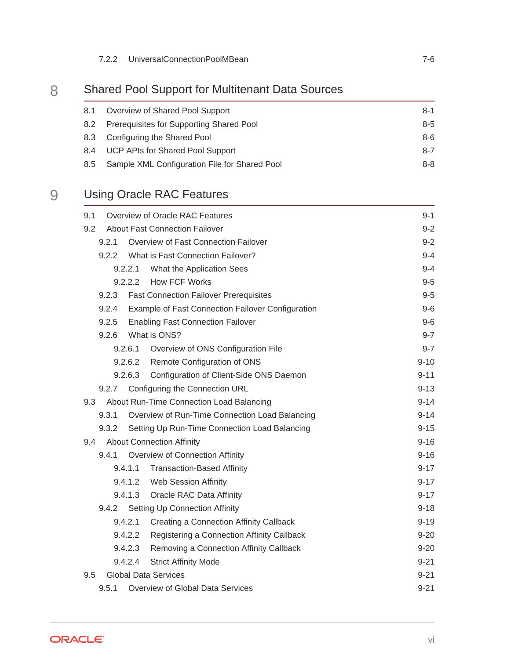|  | 7.2.2 UniversalConnectionPoolMBean |  |
|--|------------------------------------|--|
|--|------------------------------------|--|

### 8 [Shared Pool Support for Multitenant Data Sources](#page-57-0)

| 8.1 Overview of Shared Pool Support               | $8-1$ |
|---------------------------------------------------|-------|
| 8.2 Prerequisites for Supporting Shared Pool      | $8-5$ |
| 8.3 Configuring the Shared Pool                   | 8-6   |
| 8.4 UCP APIs for Shared Pool Support              | $8-7$ |
| 8.5 Sample XML Configuration File for Shared Pool | 8-8   |

### 9 [Using Oracle RAC Features](#page-66-0)

| 9.1 | Overview of Oracle RAC Features<br>$9 - 1$    |         |                                                   |          |
|-----|-----------------------------------------------|---------|---------------------------------------------------|----------|
| 9.2 |                                               |         | <b>About Fast Connection Failover</b>             | $9 - 2$  |
|     | 9.2.1<br>Overview of Fast Connection Failover |         |                                                   | $9 - 2$  |
|     | 9.2.2                                         |         | What is Fast Connection Failover?                 | $9 - 4$  |
|     |                                               | 9.2.2.1 | What the Application Sees                         | $9 - 4$  |
|     |                                               | 9.2.2.2 | <b>How FCF Works</b>                              | $9 - 5$  |
|     | 9.2.3                                         |         | <b>Fast Connection Failover Prerequisites</b>     | $9-5$    |
|     | 9.2.4                                         |         | Example of Fast Connection Failover Configuration | $9 - 6$  |
|     | 9.2.5                                         |         | <b>Enabling Fast Connection Failover</b>          | $9-6$    |
|     | 9.2.6                                         |         | What is ONS?                                      | $9 - 7$  |
|     |                                               | 9.2.6.1 | Overview of ONS Configuration File                | $9 - 7$  |
|     |                                               | 9.2.6.2 | Remote Configuration of ONS                       | $9 - 10$ |
|     |                                               | 9.2.6.3 | Configuration of Client-Side ONS Daemon           | $9 - 11$ |
|     | 9.2.7                                         |         | Configuring the Connection URL                    | $9 - 13$ |
| 9.3 |                                               |         | About Run-Time Connection Load Balancing          | $9 - 14$ |
|     | 9.3.1                                         |         | Overview of Run-Time Connection Load Balancing    | $9 - 14$ |
|     | 9.3.2                                         |         | Setting Up Run-Time Connection Load Balancing     | $9 - 15$ |
| 9.4 |                                               |         | <b>About Connection Affinity</b>                  | $9 - 16$ |
|     | 9.4.1                                         |         | Overview of Connection Affinity                   | $9 - 16$ |
|     |                                               | 9.4.1.1 | <b>Transaction-Based Affinity</b>                 | $9 - 17$ |
|     |                                               |         | 9.4.1.2 Web Session Affinity                      | $9 - 17$ |
|     |                                               | 9.4.1.3 | Oracle RAC Data Affinity                          | $9 - 17$ |
|     | 9.4.2                                         |         | Setting Up Connection Affinity                    | $9 - 18$ |
|     |                                               | 9.4.2.1 | Creating a Connection Affinity Callback           | $9 - 19$ |
|     |                                               | 9.4.2.2 | Registering a Connection Affinity Callback        | $9 - 20$ |
|     |                                               | 9.4.2.3 | Removing a Connection Affinity Callback           | $9 - 20$ |
|     |                                               | 9.4.2.4 | <b>Strict Affinity Mode</b>                       | $9 - 21$ |
| 9.5 |                                               |         | <b>Global Data Services</b>                       | $9 - 21$ |
|     | 9.5.1                                         |         | Overview of Global Data Services                  | $9 - 21$ |

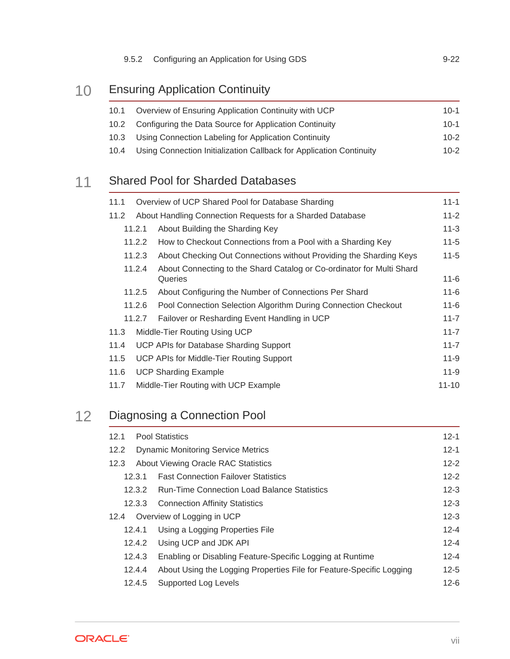### 10 [Ensuring Application Continuity](#page-89-0)

| 10.1 | Overview of Ensuring Application Continuity with UCP                | $10-1$ |
|------|---------------------------------------------------------------------|--------|
|      | 10.2 Configuring the Data Source for Application Continuity         | $10-1$ |
|      | 10.3 Using Connection Labeling for Application Continuity           | $10-2$ |
| 10.4 | Using Connection Initialization Callback for Application Continuity | $10-2$ |

### 11 [Shared Pool for Sharded Databases](#page-91-0)

| 11.1 |  |        | Overview of UCP Shared Pool for Database Sharding                                       | $11 - 1$  |
|------|--|--------|-----------------------------------------------------------------------------------------|-----------|
| 11.2 |  |        | About Handling Connection Requests for a Sharded Database                               | $11-2$    |
|      |  | 11.2.1 | About Building the Sharding Key                                                         | $11-3$    |
|      |  | 11.2.2 | How to Checkout Connections from a Pool with a Sharding Key                             | $11 - 5$  |
|      |  | 11.2.3 | About Checking Out Connections without Providing the Sharding Keys                      | $11 - 5$  |
|      |  | 11.2.4 | About Connecting to the Shard Catalog or Co-ordinator for Multi Shard<br><b>Oueries</b> | $11-6$    |
|      |  | 11.2.5 | About Configuring the Number of Connections Per Shard                                   | $11-6$    |
|      |  | 11.2.6 | Pool Connection Selection Algorithm During Connection Checkout                          | $11-6$    |
|      |  | 11.2.7 | Failover or Resharding Event Handling in UCP                                            | $11 - 7$  |
| 11.3 |  |        | Middle-Tier Routing Using UCP                                                           | $11 - 7$  |
| 11.4 |  |        | UCP APIs for Database Sharding Support                                                  | $11 - 7$  |
| 11.5 |  |        | UCP APIs for Middle-Tier Routing Support                                                | $11-9$    |
| 11.6 |  |        | <b>UCP Sharding Example</b>                                                             | $11-9$    |
| 11.7 |  |        | Middle-Tier Routing with UCP Example                                                    | $11 - 10$ |
|      |  |        |                                                                                         |           |

### 12 [Diagnosing a Connection Pool](#page-102-0)

| 12.1 | <b>Pool Statistics</b>              |                                                                      | $12 - 1$ |
|------|-------------------------------------|----------------------------------------------------------------------|----------|
| 12.2 |                                     | <b>Dynamic Monitoring Service Metrics</b>                            |          |
| 12.3 | About Viewing Oracle RAC Statistics |                                                                      | $12 - 2$ |
|      | 12.3.1                              | <b>Fast Connection Failover Statistics</b>                           | $12 - 2$ |
|      | 12.3.2                              | <b>Run-Time Connection Load Balance Statistics</b>                   | $12 - 3$ |
|      | 12.3.3                              | <b>Connection Affinity Statistics</b>                                | $12 - 3$ |
| 12.4 |                                     | Overview of Logging in UCP                                           | $12 - 3$ |
|      | 12.4.1                              | Using a Logging Properties File                                      | $12 - 4$ |
|      | 12.4.2                              | Using UCP and JDK API                                                | $12 - 4$ |
|      | 12.4.3                              | Enabling or Disabling Feature-Specific Logging at Runtime            | $12 - 4$ |
|      | 12.4.4                              | About Using the Logging Properties File for Feature-Specific Logging | $12 - 5$ |
|      | 12.4.5                              | Supported Log Levels                                                 | $12 - 6$ |
|      |                                     |                                                                      |          |

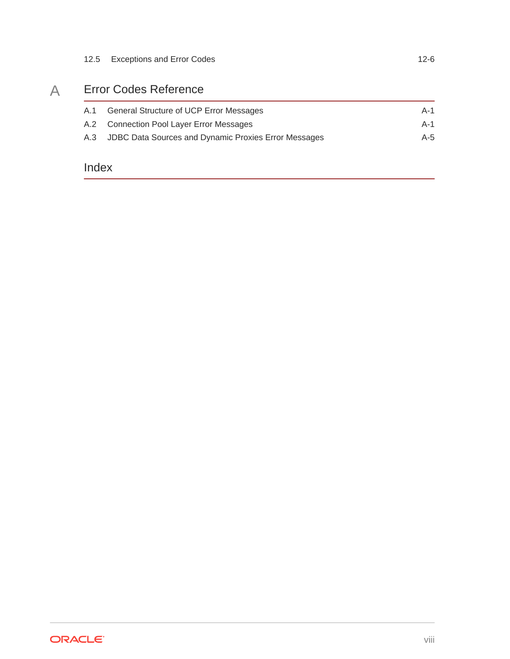### A [Error Codes Reference](#page-108-0)

| A.1 | General Structure of UCP Error Messages              | A-1   |
|-----|------------------------------------------------------|-------|
|     | A.2 Connection Pool Layer Error Messages             | A-1   |
| A.3 | JDBC Data Sources and Dynamic Proxies Error Messages | $A-5$ |

### [Index](#page-115-0)



**ORACLE®**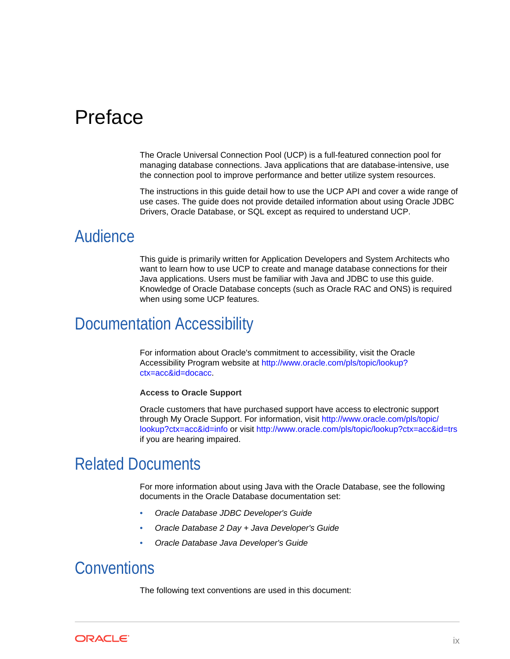# <span id="page-8-0"></span>Preface

The Oracle Universal Connection Pool (UCP) is a full-featured connection pool for managing database connections. Java applications that are database-intensive, use the connection pool to improve performance and better utilize system resources.

The instructions in this guide detail how to use the UCP API and cover a wide range of use cases. The guide does not provide detailed information about using Oracle JDBC Drivers, Oracle Database, or SQL except as required to understand UCP.

### Audience

This guide is primarily written for Application Developers and System Architects who want to learn how to use UCP to create and manage database connections for their Java applications. Users must be familiar with Java and JDBC to use this guide. Knowledge of Oracle Database concepts (such as Oracle RAC and ONS) is required when using some UCP features.

# Documentation Accessibility

For information about Oracle's commitment to accessibility, visit the Oracle Accessibility Program website at [http://www.oracle.com/pls/topic/lookup?](http://www.oracle.com/pls/topic/lookup?ctx=acc&id=docacc) [ctx=acc&id=docacc](http://www.oracle.com/pls/topic/lookup?ctx=acc&id=docacc).

#### **Access to Oracle Support**

Oracle customers that have purchased support have access to electronic support through My Oracle Support. For information, visit [http://www.oracle.com/pls/topic/](http://www.oracle.com/pls/topic/lookup?ctx=acc&id=info) [lookup?ctx=acc&id=info](http://www.oracle.com/pls/topic/lookup?ctx=acc&id=info) or visit<http://www.oracle.com/pls/topic/lookup?ctx=acc&id=trs> if you are hearing impaired.

# Related Documents

For more information about using Java with the Oracle Database, see the following documents in the Oracle Database documentation set:

- *Oracle Database JDBC Developer's Guide*
- *Oracle Database 2 Day + Java Developer's Guide*
- *Oracle Database Java Developer's Guide*

### **Conventions**

The following text conventions are used in this document:

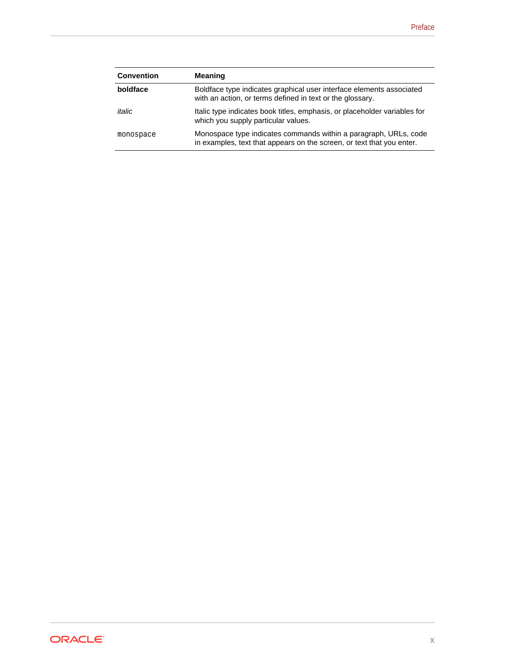| <b>Convention</b> | <b>Meaning</b>                                                                                                                            |
|-------------------|-------------------------------------------------------------------------------------------------------------------------------------------|
| boldface          | Boldface type indicates graphical user interface elements associated<br>with an action, or terms defined in text or the glossary.         |
| italic            | Italic type indicates book titles, emphasis, or placeholder variables for<br>which you supply particular values.                          |
| monospace         | Monospace type indicates commands within a paragraph, URLs, code<br>in examples, text that appears on the screen, or text that you enter. |

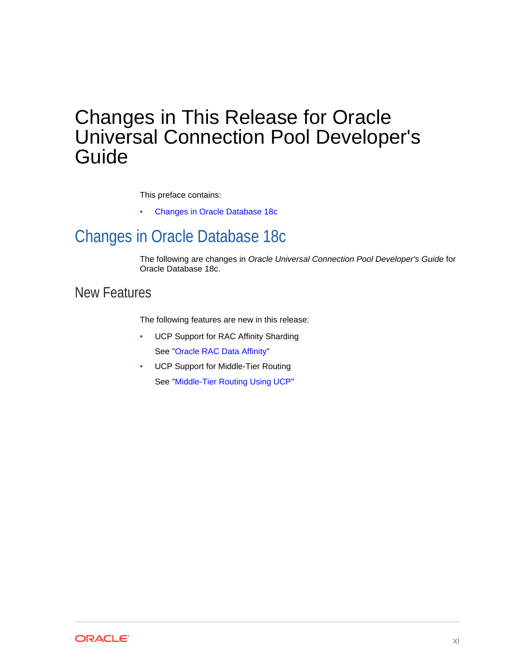# <span id="page-10-0"></span>Changes in This Release for Oracle Universal Connection Pool Developer's Guide

This preface contains:

• Changes in Oracle Database 18c

## Changes in Oracle Database 18c

The following are changes in *Oracle Universal Connection Pool Developer's Guide* for Oracle Database 18c.

### New Features

The following features are new in this release:

- UCP Support for RAC Affinity Sharding See ["Oracle RAC Data Affinity](#page-82-0)"
- UCP Support for Middle-Tier Routing See ["Middle-Tier Routing Using UCP"](#page-97-0)

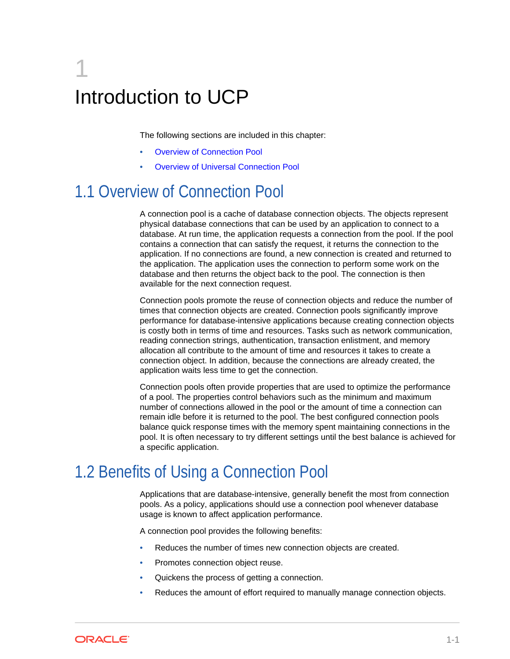# <span id="page-11-0"></span>1 Introduction to UCP

The following sections are included in this chapter:

- **Overview of Connection Pool**
- [Overview of Universal Connection Pool](#page-12-0)

# 1.1 Overview of Connection Pool

A connection pool is a cache of database connection objects. The objects represent physical database connections that can be used by an application to connect to a database. At run time, the application requests a connection from the pool. If the pool contains a connection that can satisfy the request, it returns the connection to the application. If no connections are found, a new connection is created and returned to the application. The application uses the connection to perform some work on the database and then returns the object back to the pool. The connection is then available for the next connection request.

Connection pools promote the reuse of connection objects and reduce the number of times that connection objects are created. Connection pools significantly improve performance for database-intensive applications because creating connection objects is costly both in terms of time and resources. Tasks such as network communication, reading connection strings, authentication, transaction enlistment, and memory allocation all contribute to the amount of time and resources it takes to create a connection object. In addition, because the connections are already created, the application waits less time to get the connection.

Connection pools often provide properties that are used to optimize the performance of a pool. The properties control behaviors such as the minimum and maximum number of connections allowed in the pool or the amount of time a connection can remain idle before it is returned to the pool. The best configured connection pools balance quick response times with the memory spent maintaining connections in the pool. It is often necessary to try different settings until the best balance is achieved for a specific application.

# 1.2 Benefits of Using a Connection Pool

Applications that are database-intensive, generally benefit the most from connection pools. As a policy, applications should use a connection pool whenever database usage is known to affect application performance.

A connection pool provides the following benefits:

- Reduces the number of times new connection objects are created.
- Promotes connection object reuse.
- Quickens the process of getting a connection.
- Reduces the amount of effort required to manually manage connection objects.

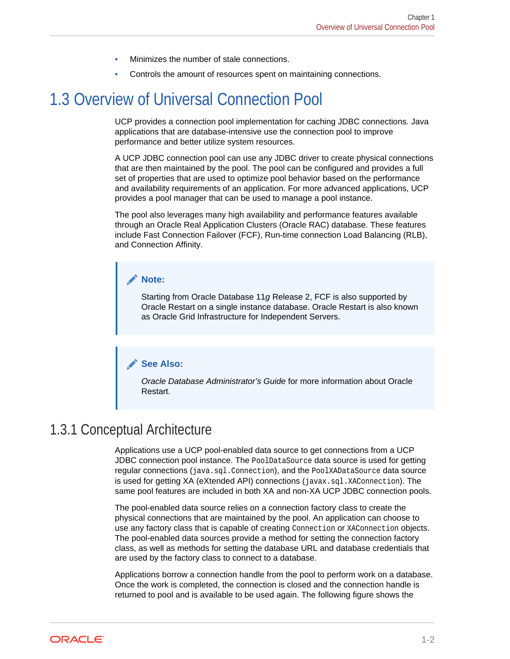- Minimizes the number of stale connections.
- Controls the amount of resources spent on maintaining connections.

# <span id="page-12-0"></span>1.3 Overview of Universal Connection Pool

UCP provides a connection pool implementation for caching JDBC connections. Java applications that are database-intensive use the connection pool to improve performance and better utilize system resources.

A UCP JDBC connection pool can use any JDBC driver to create physical connections that are then maintained by the pool. The pool can be configured and provides a full set of properties that are used to optimize pool behavior based on the performance and availability requirements of an application. For more advanced applications, UCP provides a pool manager that can be used to manage a pool instance.

The pool also leverages many high availability and performance features available through an Oracle Real Application Clusters (Oracle RAC) database. These features include Fast Connection Failover (FCF), Run-time connection Load Balancing (RLB), and Connection Affinity.



Starting from Oracle Database 11*g* Release 2, FCF is also supported by Oracle Restart on a single instance database. Oracle Restart is also known as Oracle Grid Infrastructure for Independent Servers.

#### **See Also:**

*Oracle Database Administrator's Guide* for more information about Oracle Restart.

### 1.3.1 Conceptual Architecture

Applications use a UCP pool-enabled data source to get connections from a UCP JDBC connection pool instance. The PoolDataSource data source is used for getting regular connections (java.sql.Connection), and the PoolXADataSource data source is used for getting XA (eXtended API) connections (javax.sql.XAConnection). The same pool features are included in both XA and non-XA UCP JDBC connection pools.

The pool-enabled data source relies on a connection factory class to create the physical connections that are maintained by the pool. An application can choose to use any factory class that is capable of creating Connection or XAConnection objects. The pool-enabled data sources provide a method for setting the connection factory class, as well as methods for setting the database URL and database credentials that are used by the factory class to connect to a database.

Applications borrow a connection handle from the pool to perform work on a database. Once the work is completed, the connection is closed and the connection handle is returned to pool and is available to be used again. The following figure shows the

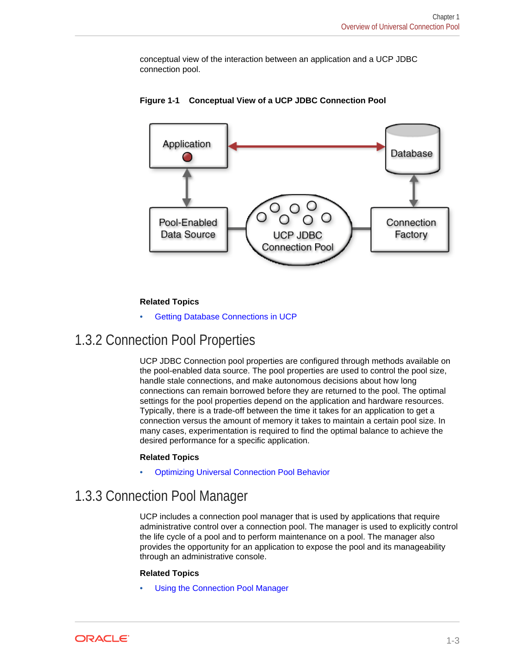<span id="page-13-0"></span>conceptual view of the interaction between an application and a UCP JDBC connection pool.



#### **Figure 1-1 Conceptual View of a UCP JDBC Connection Pool**

#### **Related Topics**

**[Getting Database Connections in UCP](#page-19-0)** 

### 1.3.2 Connection Pool Properties

UCP JDBC Connection pool properties are configured through methods available on the pool-enabled data source. The pool properties are used to control the pool size, handle stale connections, and make autonomous decisions about how long connections can remain borrowed before they are returned to the pool. The optimal settings for the pool properties depend on the application and hardware resources. Typically, there is a trade-off between the time it takes for an application to get a connection versus the amount of memory it takes to maintain a certain pool size. In many cases, experimentation is required to find the optimal balance to achieve the desired performance for a specific application.

#### **Related Topics**

• [Optimizing Universal Connection Pool Behavior](#page-31-0)

### 1.3.3 Connection Pool Manager

UCP includes a connection pool manager that is used by applications that require administrative control over a connection pool. The manager is used to explicitly control the life cycle of a pool and to perform maintenance on a pool. The manager also provides the opportunity for an application to expose the pool and its manageability through an administrative console.

#### **Related Topics**

[Using the Connection Pool Manager](#page-51-0)

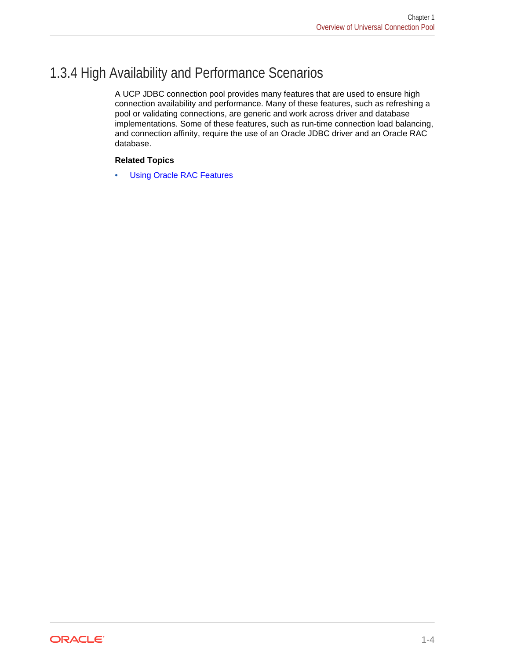### <span id="page-14-0"></span>1.3.4 High Availability and Performance Scenarios

A UCP JDBC connection pool provides many features that are used to ensure high connection availability and performance. Many of these features, such as refreshing a pool or validating connections, are generic and work across driver and database implementations. Some of these features, such as run-time connection load balancing, and connection affinity, require the use of an Oracle JDBC driver and an Oracle RAC database.

#### **Related Topics**

• [Using Oracle RAC Features](#page-66-0)

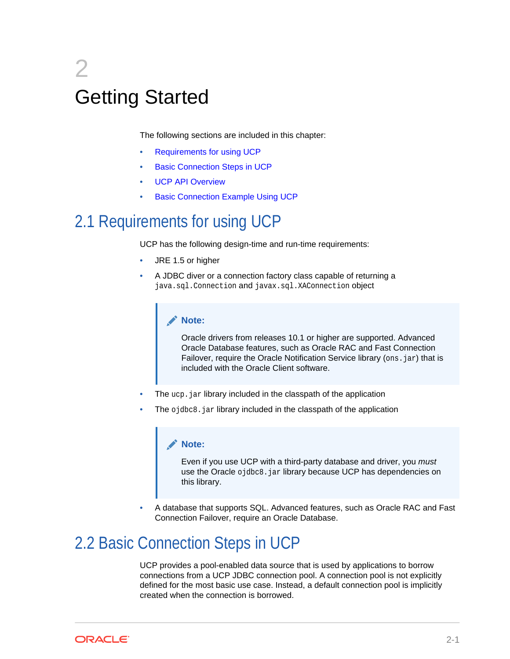# <span id="page-15-0"></span>2 Getting Started

The following sections are included in this chapter:

- Requirements for using UCP
- **[Basic Connection Steps in UCP](#page-16-0)**
- **[UCP API Overview](#page-16-0)**
- **[Basic Connection Example Using UCP](#page-17-0)**

# 2.1 Requirements for using UCP

UCP has the following design-time and run-time requirements:

- JRE 1.5 or higher
- A JDBC diver or a connection factory class capable of returning a java.sql.Connection and javax.sql.XAConnection object

#### **Note:**

Oracle drivers from releases 10.1 or higher are supported. Advanced Oracle Database features, such as Oracle RAC and Fast Connection Failover, require the Oracle Notification Service library (ons. jar) that is included with the Oracle Client software.

- The ucp. jar library included in the classpath of the application
- The ojdbc8.jar library included in the classpath of the application

#### **Note:**

Even if you use UCP with a third-party database and driver, you *must* use the Oracle ojdbc8.jar library because UCP has dependencies on this library.

• A database that supports SQL. Advanced features, such as Oracle RAC and Fast Connection Failover, require an Oracle Database.

# 2.2 Basic Connection Steps in UCP

UCP provides a pool-enabled data source that is used by applications to borrow connections from a UCP JDBC connection pool. A connection pool is not explicitly defined for the most basic use case. Instead, a default connection pool is implicitly created when the connection is borrowed.

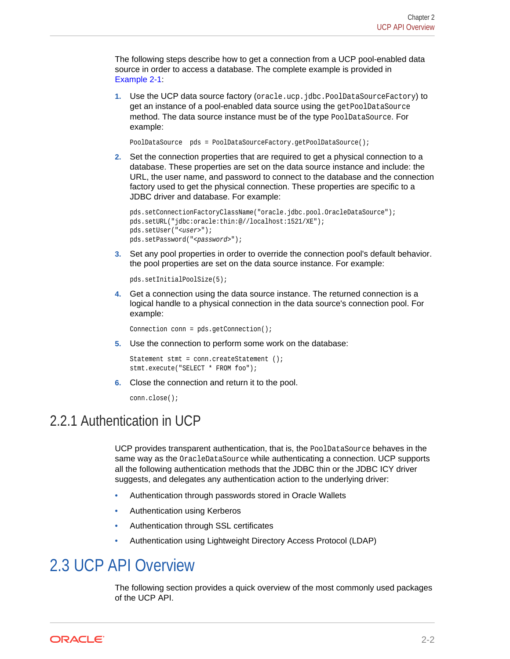<span id="page-16-0"></span>The following steps describe how to get a connection from a UCP pool-enabled data source in order to access a database. The complete example is provided in [Example 2-1](#page-17-0):

**1.** Use the UCP data source factory (oracle.ucp.jdbc.PoolDataSourceFactory) to get an instance of a pool-enabled data source using the getPoolDataSource method. The data source instance must be of the type PoolDataSource. For example:

PoolDataSource pds = PoolDataSourceFactory.getPoolDataSource();

**2.** Set the connection properties that are required to get a physical connection to a database. These properties are set on the data source instance and include: the URL, the user name, and password to connect to the database and the connection factory used to get the physical connection. These properties are specific to a JDBC driver and database. For example:

```
pds.setConnectionFactoryClassName("oracle.jdbc.pool.OracleDataSource");
pds.setURL("jdbc:oracle:thin:@//localhost:1521/XE");
pds.setUser("<user>");
pds.setPassword("<password>");
```
**3.** Set any pool properties in order to override the connection pool's default behavior. the pool properties are set on the data source instance. For example:

pds.setInitialPoolSize(5);

**4.** Get a connection using the data source instance. The returned connection is a logical handle to a physical connection in the data source's connection pool. For example:

Connection conn = pds.getConnection();

**5.** Use the connection to perform some work on the database:

Statement stmt = conn.createStatement (); stmt.execute("SELECT \* FROM foo");

**6.** Close the connection and return it to the pool.

conn.close();

### 2.2.1 Authentication in UCP

UCP provides transparent authentication, that is, the PoolDataSource behaves in the same way as the OracleDataSource while authenticating a connection. UCP supports all the following authentication methods that the JDBC thin or the JDBC ICY driver suggests, and delegates any authentication action to the underlying driver:

- Authentication through passwords stored in Oracle Wallets
- Authentication using Kerberos
- Authentication through SSL certificates
- Authentication using Lightweight Directory Access Protocol (LDAP)

### 2.3 UCP API Overview

The following section provides a quick overview of the most commonly used packages of the UCP API.

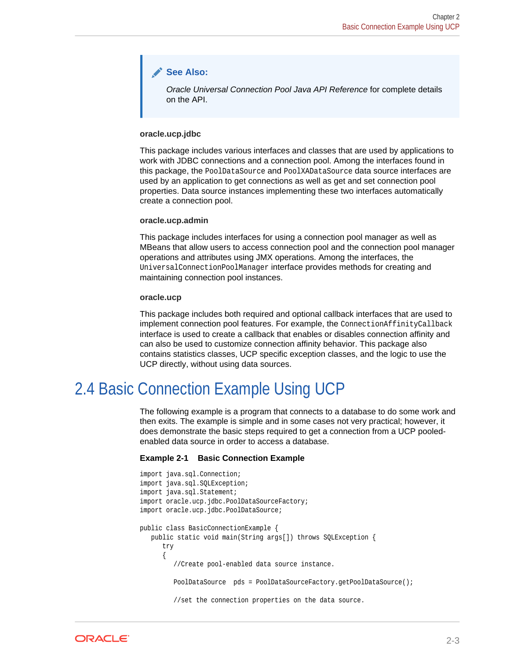#### <span id="page-17-0"></span>**See Also:**

*Oracle Universal Connection Pool Java API Reference* for complete details on the API.

#### **oracle.ucp.jdbc**

This package includes various interfaces and classes that are used by applications to work with JDBC connections and a connection pool. Among the interfaces found in this package, the PoolDataSource and PoolXADataSource data source interfaces are used by an application to get connections as well as get and set connection pool properties. Data source instances implementing these two interfaces automatically create a connection pool.

#### **oracle.ucp.admin**

This package includes interfaces for using a connection pool manager as well as MBeans that allow users to access connection pool and the connection pool manager operations and attributes using JMX operations. Among the interfaces, the UniversalConnectionPoolManager interface provides methods for creating and maintaining connection pool instances.

#### **oracle.ucp**

This package includes both required and optional callback interfaces that are used to implement connection pool features. For example, the ConnectionAffinityCallback interface is used to create a callback that enables or disables connection affinity and can also be used to customize connection affinity behavior. This package also contains statistics classes, UCP specific exception classes, and the logic to use the UCP directly, without using data sources.

# 2.4 Basic Connection Example Using UCP

The following example is a program that connects to a database to do some work and then exits. The example is simple and in some cases not very practical; however, it does demonstrate the basic steps required to get a connection from a UCP pooledenabled data source in order to access a database.

#### **Example 2-1 Basic Connection Example**

```
import java.sql.Connection;
import java.sql.SQLException;
import java.sql.Statement;
import oracle.ucp.jdbc.PoolDataSourceFactory;
import oracle.ucp.jdbc.PoolDataSource;
public class BasicConnectionExample {
    public static void main(String args[]) throws SQLException {
       try 
       {
          //Create pool-enabled data source instance.
          PoolDataSource pds = PoolDataSourceFactory.getPoolDataSource();
          //set the connection properties on the data source.
```
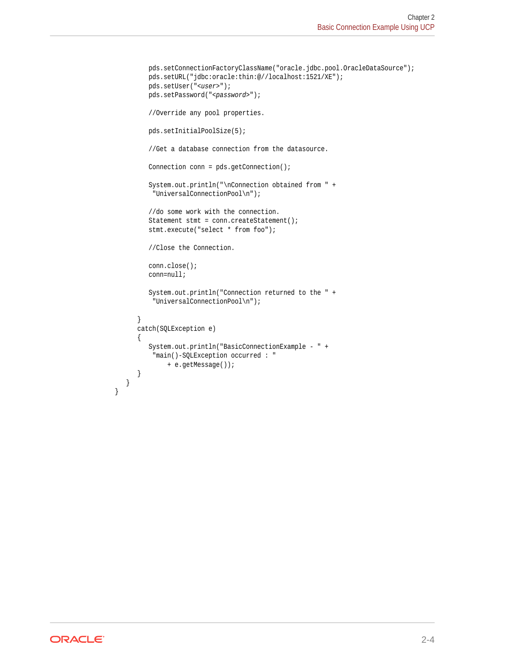```
 pds.setConnectionFactoryClassName("oracle.jdbc.pool.OracleDataSource");
      pds.setURL("jdbc:oracle:thin:@//localhost:1521/XE");
      pds.setUser("<user>");
      pds.setPassword("<password>"); 
      //Override any pool properties.
      pds.setInitialPoolSize(5);
      //Get a database connection from the datasource.
      Connection conn = pds.getConnection();
      System.out.println("\nConnection obtained from " +
        "UniversalConnectionPool\n");
      //do some work with the connection.
      Statement stmt = conn.createStatement();
      stmt.execute("select * from foo");
      //Close the Connection.
      conn.close();
      conn=null;
      System.out.println("Connection returned to the " +
        "UniversalConnectionPool\n");
   }
   catch(SQLException e)
   {
      System.out.println("BasicConnectionExample - " +
        "main()-SQLException occurred : "
            + e.getMessage());
   }
 }
```
}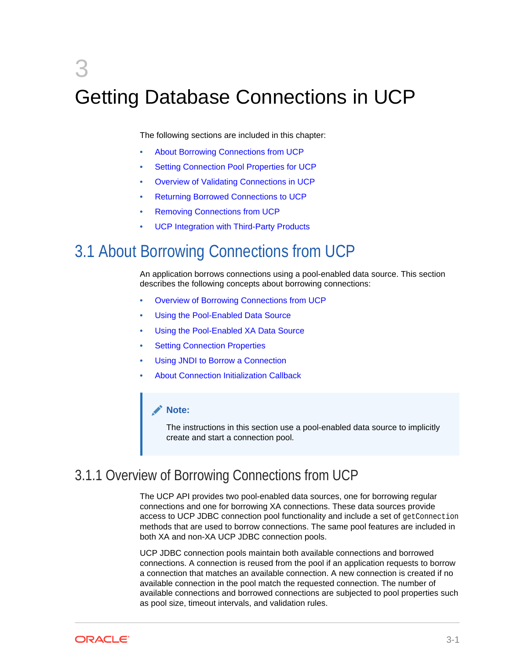# <span id="page-19-0"></span>3 Getting Database Connections in UCP

The following sections are included in this chapter:

- About Borrowing Connections from UCP
- **[Setting Connection Pool Properties for UCP](#page-25-0)**
- [Overview of Validating Connections in UCP](#page-25-0)
- [Returning Borrowed Connections to UCP](#page-28-0)
- **[Removing Connections from UCP](#page-29-0)**
- [UCP Integration with Third-Party Products](#page-29-0)

## 3.1 About Borrowing Connections from UCP

An application borrows connections using a pool-enabled data source. This section describes the following concepts about borrowing connections:

- Overview of Borrowing Connections from UCP
- [Using the Pool-Enabled Data Source](#page-20-0)
- [Using the Pool-Enabled XA Data Source](#page-21-0)
- **[Setting Connection Properties](#page-22-0)**
- [Using JNDI to Borrow a Connection](#page-23-0)
- [About Connection Initialization Callback](#page-23-0)

#### **Note:**

The instructions in this section use a pool-enabled data source to implicitly create and start a connection pool.

#### 3.1.1 Overview of Borrowing Connections from UCP

The UCP API provides two pool-enabled data sources, one for borrowing regular connections and one for borrowing XA connections. These data sources provide access to UCP JDBC connection pool functionality and include a set of getConnection methods that are used to borrow connections. The same pool features are included in both XA and non-XA UCP JDBC connection pools.

UCP JDBC connection pools maintain both available connections and borrowed connections. A connection is reused from the pool if an application requests to borrow a connection that matches an available connection. A new connection is created if no available connection in the pool match the requested connection. The number of available connections and borrowed connections are subjected to pool properties such as pool size, timeout intervals, and validation rules.

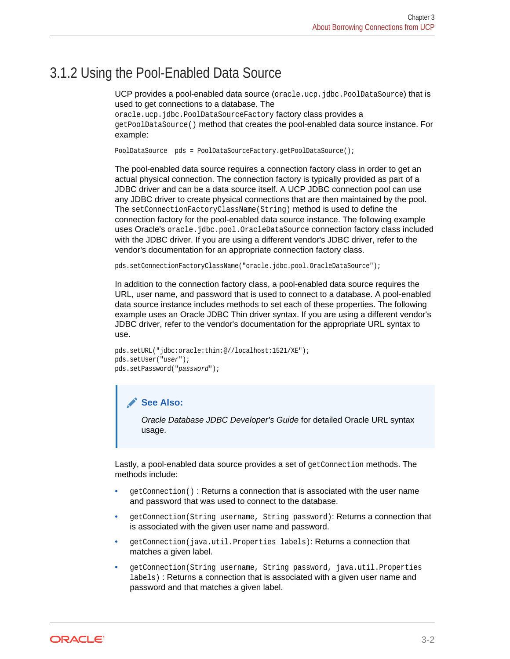### <span id="page-20-0"></span>3.1.2 Using the Pool-Enabled Data Source

UCP provides a pool-enabled data source (oracle.ucp.jdbc.PoolDataSource) that is used to get connections to a database. The

oracle.ucp.jdbc.PoolDataSourceFactory factory class provides a getPoolDataSource() method that creates the pool-enabled data source instance. For example:

PoolDataSource pds = PoolDataSourceFactory.getPoolDataSource();

The pool-enabled data source requires a connection factory class in order to get an actual physical connection. The connection factory is typically provided as part of a JDBC driver and can be a data source itself. A UCP JDBC connection pool can use any JDBC driver to create physical connections that are then maintained by the pool. The setConnectionFactoryClassName(String) method is used to define the connection factory for the pool-enabled data source instance. The following example uses Oracle's oracle.jdbc.pool.OracleDataSource connection factory class included with the JDBC driver. If you are using a different vendor's JDBC driver, refer to the vendor's documentation for an appropriate connection factory class.

pds.setConnectionFactoryClassName("oracle.jdbc.pool.OracleDataSource");

In addition to the connection factory class, a pool-enabled data source requires the URL, user name, and password that is used to connect to a database. A pool-enabled data source instance includes methods to set each of these properties. The following example uses an Oracle JDBC Thin driver syntax. If you are using a different vendor's JDBC driver, refer to the vendor's documentation for the appropriate URL syntax to use.

```
pds.setURL("jdbc:oracle:thin:@//localhost:1521/XE");
pds.setUser("user");
pds.setPassword("password");
```
#### **See Also:**

*Oracle Database JDBC Developer's Guide* for detailed Oracle URL syntax usage.

Lastly, a pool-enabled data source provides a set of getConnection methods. The methods include:

- getConnection() : Returns a connection that is associated with the user name and password that was used to connect to the database.
- getConnection(String username, String password): Returns a connection that is associated with the given user name and password.
- getConnection(java.util.Properties labels): Returns a connection that matches a given label.
- getConnection(String username, String password, java.util.Properties labels) : Returns a connection that is associated with a given user name and password and that matches a given label.

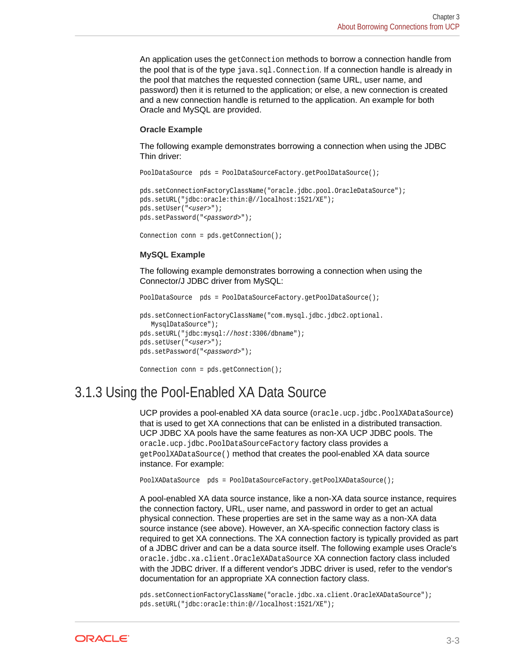<span id="page-21-0"></span>An application uses the getConnection methods to borrow a connection handle from the pool that is of the type java.sql.Connection. If a connection handle is already in the pool that matches the requested connection (same URL, user name, and password) then it is returned to the application; or else, a new connection is created and a new connection handle is returned to the application. An example for both Oracle and MySQL are provided.

#### **Oracle Example**

The following example demonstrates borrowing a connection when using the JDBC Thin driver:

```
PoolDataSource pds = PoolDataSourceFactory.getPoolDataSource();
pds.setConnectionFactoryClassName("oracle.jdbc.pool.OracleDataSource");
pds.setURL("jdbc:oracle:thin:@//localhost:1521/XE");
pds.setUser("<user>");
pds.setPassword("<password>");
```

```
Connection conn = pds.getConnection();
```
#### **MySQL Example**

The following example demonstrates borrowing a connection when using the Connector/J JDBC driver from MySQL:

```
PoolDataSource pds = PoolDataSourceFactory.getPoolDataSource();
```

```
pds.setConnectionFactoryClassName("com.mysql.jdbc.jdbc2.optional.
    MysqlDataSource");
pds.setURL("jdbc:mysql://host:3306/dbname");
pds.setUser("<user>");
pds.setPassword("<password>");
```
Connection conn = pds.getConnection();

### 3.1.3 Using the Pool-Enabled XA Data Source

UCP provides a pool-enabled XA data source (oracle.ucp.jdbc.PoolXADataSource) that is used to get XA connections that can be enlisted in a distributed transaction. UCP JDBC XA pools have the same features as non-XA UCP JDBC pools. The oracle.ucp.jdbc.PoolDataSourceFactory factory class provides a getPoolXADataSource() method that creates the pool-enabled XA data source instance. For example:

PoolXADataSource pds = PoolDataSourceFactory.getPoolXADataSource();

A pool-enabled XA data source instance, like a non-XA data source instance, requires the connection factory, URL, user name, and password in order to get an actual physical connection. These properties are set in the same way as a non-XA data source instance (see above). However, an XA-specific connection factory class is required to get XA connections. The XA connection factory is typically provided as part of a JDBC driver and can be a data source itself. The following example uses Oracle's oracle.jdbc.xa.client.OracleXADataSource XA connection factory class included with the JDBC driver. If a different vendor's JDBC driver is used, refer to the vendor's documentation for an appropriate XA connection factory class.

pds.setConnectionFactoryClassName("oracle.jdbc.xa.client.OracleXADataSource"); pds.setURL("jdbc:oracle:thin:@//localhost:1521/XE");

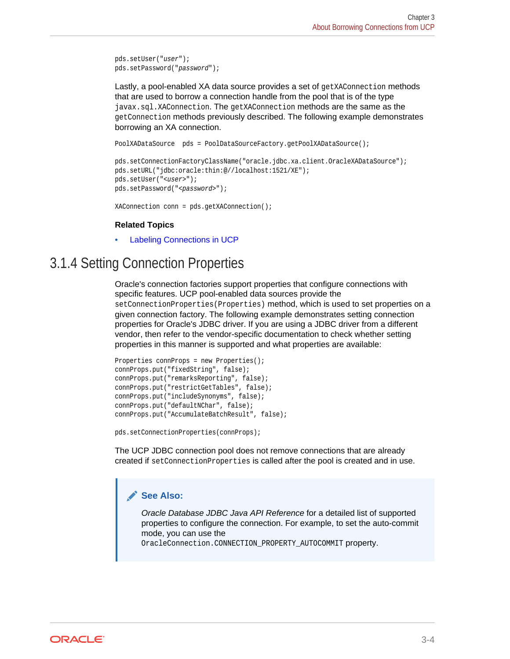```
pds.setUser("user");
pds.setPassword("password");
```
Lastly, a pool-enabled XA data source provides a set of getXAConnection methods that are used to borrow a connection handle from the pool that is of the type javax.sql.XAConnection. The getXAConnection methods are the same as the getConnection methods previously described. The following example demonstrates borrowing an XA connection.

```
PoolXADataSource pds = PoolDataSourceFactory.getPoolXADataSource();
```

```
pds.setConnectionFactoryClassName("oracle.jdbc.xa.client.OracleXADataSource");
pds.setURL("jdbc:oracle:thin:@//localhost:1521/XE");
pds.setUser("<user>");
pds.setPassword("<password>");
```
XAConnection conn = pds.getXAConnection();

#### **Related Topics**

[Labeling Connections in UCP](#page-42-0)

### 3.1.4 Setting Connection Properties

Oracle's connection factories support properties that configure connections with specific features. UCP pool-enabled data sources provide the setConnectionProperties(Properties) method, which is used to set properties on a given connection factory. The following example demonstrates setting connection properties for Oracle's JDBC driver. If you are using a JDBC driver from a different vendor, then refer to the vendor-specific documentation to check whether setting properties in this manner is supported and what properties are available:

```
Properties connProps = new Properties();
connProps.put("fixedString", false);
connProps.put("remarksReporting", false);
connProps.put("restrictGetTables", false);
connProps.put("includeSynonyms", false);
connProps.put("defaultNChar", false);
connProps.put("AccumulateBatchResult", false);
```

```
pds.setConnectionProperties(connProps);
```
The UCP JDBC connection pool does not remove connections that are already created if setConnectionProperties is called after the pool is created and in use.

#### **See Also:**

*Oracle Database JDBC Java API Reference* for a detailed list of supported properties to configure the connection. For example, to set the auto-commit mode, you can use the

OracleConnection.CONNECTION\_PROPERTY\_AUTOCOMMIT property.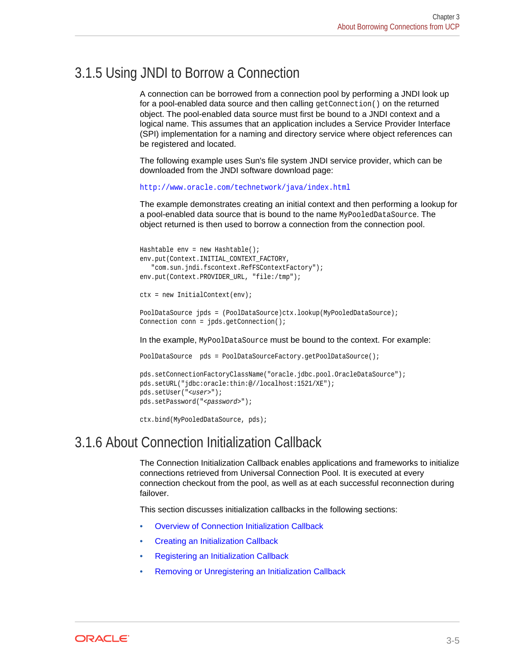### <span id="page-23-0"></span>3.1.5 Using JNDI to Borrow a Connection

A connection can be borrowed from a connection pool by performing a JNDI look up for a pool-enabled data source and then calling getConnection() on the returned object. The pool-enabled data source must first be bound to a JNDI context and a logical name. This assumes that an application includes a Service Provider Interface (SPI) implementation for a naming and directory service where object references can be registered and located.

The following example uses Sun's file system JNDI service provider, which can be downloaded from the JNDI software download page:

#### <http://www.oracle.com/technetwork/java/index.html>

The example demonstrates creating an initial context and then performing a lookup for a pool-enabled data source that is bound to the name MyPooledDataSource. The object returned is then used to borrow a connection from the connection pool.

```
Hashtable env = new Hashtable();
env.put(Context.INITIAL_CONTEXT_FACTORY, 
    "com.sun.jndi.fscontext.RefFSContextFactory");
env.put(Context.PROVIDER_URL, "file:/tmp");
ctx = new InitialContext(env);
PoolDataSource jpds = (PoolDataSource)ctx.lookup(MyPooledDataSource);
Connection conn = jpds.getConnection();
```
In the example, MyPoolDataSource must be bound to the context. For example:

```
PoolDataSource pds = PoolDataSourceFactory.getPoolDataSource();
```

```
pds.setConnectionFactoryClassName("oracle.jdbc.pool.OracleDataSource");
pds.setURL("jdbc:oracle:thin:@//localhost:1521/XE");
pds.setUser("<user>");
pds.setPassword("<password>");
```

```
ctx.bind(MyPooledDataSource, pds);
```
### 3.1.6 About Connection Initialization Callback

The Connection Initialization Callback enables applications and frameworks to initialize connections retrieved from Universal Connection Pool. It is executed at every connection checkout from the pool, as well as at each successful reconnection during failover.

This section discusses initialization callbacks in the following sections:

- [Overview of Connection Initialization Callback](#page-24-0)
- [Creating an Initialization Callback](#page-24-0)
- [Registering an Initialization Callback](#page-24-0)
- [Removing or Unregistering an Initialization Callback](#page-25-0)

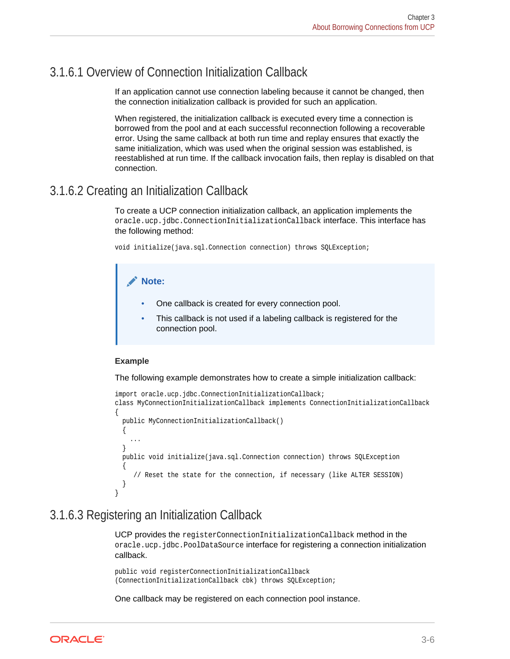#### <span id="page-24-0"></span>3.1.6.1 Overview of Connection Initialization Callback

If an application cannot use connection labeling because it cannot be changed, then the connection initialization callback is provided for such an application.

When registered, the initialization callback is executed every time a connection is borrowed from the pool and at each successful reconnection following a recoverable error. Using the same callback at both run time and replay ensures that exactly the same initialization, which was used when the original session was established, is reestablished at run time. If the callback invocation fails, then replay is disabled on that connection.

#### 3.1.6.2 Creating an Initialization Callback

To create a UCP connection initialization callback, an application implements the oracle.ucp.jdbc.ConnectionInitializationCallback interface. This interface has the following method:

void initialize(java.sql.Connection connection) throws SQLException;

#### **Note:**

- One callback is created for every connection pool.
- This callback is not used if a labeling callback is registered for the connection pool.

#### **Example**

The following example demonstrates how to create a simple initialization callback:

```
import oracle.ucp.jdbc.ConnectionInitializationCallback;
class MyConnectionInitializationCallback implements ConnectionInitializationCallback
{
   public MyConnectionInitializationCallback()
  \{ ...
\vert public void initialize(java.sql.Connection connection) throws SQLException
\left\{\right. // Reset the state for the connection, if necessary (like ALTER SESSION)
\rightarrow}
```
#### 3.1.6.3 Registering an Initialization Callback

UCP provides the registerConnectionInitializationCallback method in the oracle.ucp.jdbc.PoolDataSource interface for registering a connection initialization callback.

```
public void registerConnectionInitializationCallback 
(ConnectionInitializationCallback cbk) throws SQLException;
```
One callback may be registered on each connection pool instance.

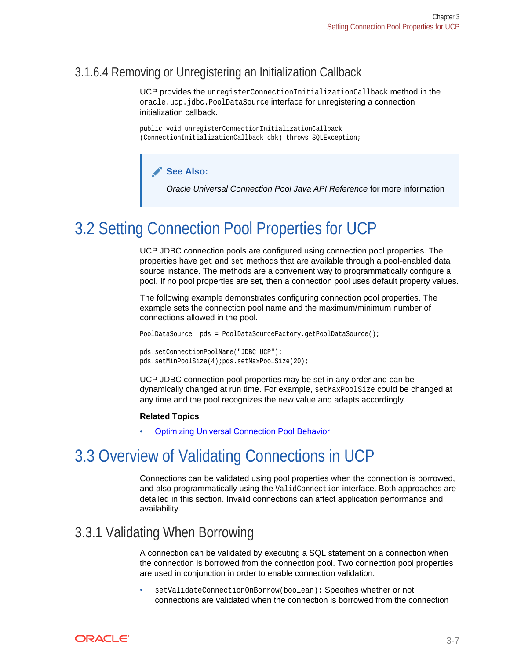### <span id="page-25-0"></span>3.1.6.4 Removing or Unregistering an Initialization Callback

UCP provides the unregisterConnectionInitializationCallback method in the oracle.ucp.jdbc.PoolDataSource interface for unregistering a connection initialization callback.

public void unregisterConnectionInitializationCallback (ConnectionInitializationCallback cbk) throws SQLException;

**See Also:**

*Oracle Universal Connection Pool Java API Reference* for more information

# 3.2 Setting Connection Pool Properties for UCP

UCP JDBC connection pools are configured using connection pool properties. The properties have get and set methods that are available through a pool-enabled data source instance. The methods are a convenient way to programmatically configure a pool. If no pool properties are set, then a connection pool uses default property values.

The following example demonstrates configuring connection pool properties. The example sets the connection pool name and the maximum/minimum number of connections allowed in the pool.

```
PoolDataSource pds = PoolDataSourceFactory.getPoolDataSource();
```

```
pds.setConnectionPoolName("JDBC_UCP");
pds.setMinPoolSize(4);pds.setMaxPoolSize(20);
```
UCP JDBC connection pool properties may be set in any order and can be dynamically changed at run time. For example, set MaxPoolSize could be changed at any time and the pool recognizes the new value and adapts accordingly.

#### **Related Topics**

• [Optimizing Universal Connection Pool Behavior](#page-31-0)

# 3.3 Overview of Validating Connections in UCP

Connections can be validated using pool properties when the connection is borrowed, and also programmatically using the ValidConnection interface. Both approaches are detailed in this section. Invalid connections can affect application performance and availability.

### 3.3.1 Validating When Borrowing

A connection can be validated by executing a SQL statement on a connection when the connection is borrowed from the connection pool. Two connection pool properties are used in conjunction in order to enable connection validation:

• setValidateConnectionOnBorrow(boolean): Specifies whether or not connections are validated when the connection is borrowed from the connection

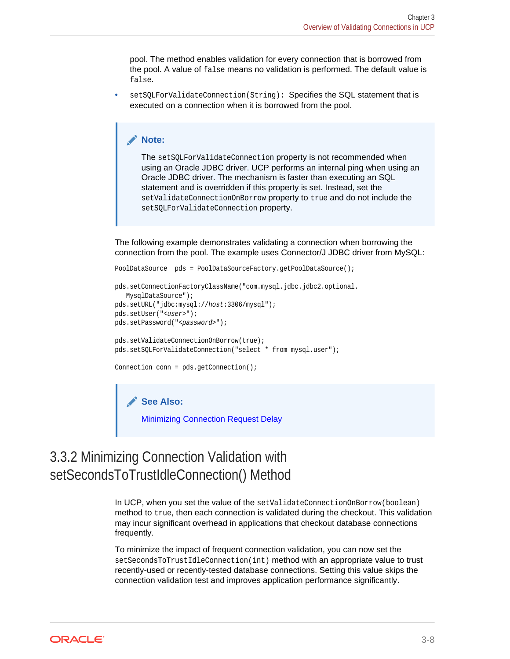<span id="page-26-0"></span>pool. The method enables validation for every connection that is borrowed from the pool. A value of false means no validation is performed. The default value is false.

setSQLForValidateConnection(String): Specifies the SQL statement that is executed on a connection when it is borrowed from the pool.

#### **∕`**Note:

The setSQLForValidateConnection property is not recommended when using an Oracle JDBC driver. UCP performs an internal ping when using an Oracle JDBC driver. The mechanism is faster than executing an SQL statement and is overridden if this property is set. Instead, set the setValidateConnectionOnBorrow property to true and do not include the setSQLForValidateConnection property.

The following example demonstrates validating a connection when borrowing the connection from the pool. The example uses Connector/J JDBC driver from MySQL:

```
pds.setConnectionFactoryClassName("com.mysql.jdbc.jdbc2.optional.
    MysqlDataSource");
pds.setURL("jdbc:mysql://host:3306/mysql");
pds.setUser("<user>");
pds.setPassword("<password>");
pds.setValidateConnectionOnBorrow(true);
pds.setSQLForValidateConnection("select * from mysql.user");
Connection conn = pds.getConnection();
```
PoolDataSource pds = PoolDataSourceFactory.getPoolDataSource();

**See Also:**

Minimizing Connection Request Delay

### 3.3.2 Minimizing Connection Validation with setSecondsToTrustIdleConnection() Method

In UCP, when you set the value of the setValidateConnectionOnBorrow(boolean) method to true, then each connection is validated during the checkout. This validation may incur significant overhead in applications that checkout database connections frequently.

To minimize the impact of frequent connection validation, you can now set the setSecondsToTrustIdleConnection(int) method with an appropriate value to trust recently-used or recently-tested database connections. Setting this value skips the connection validation test and improves application performance significantly.

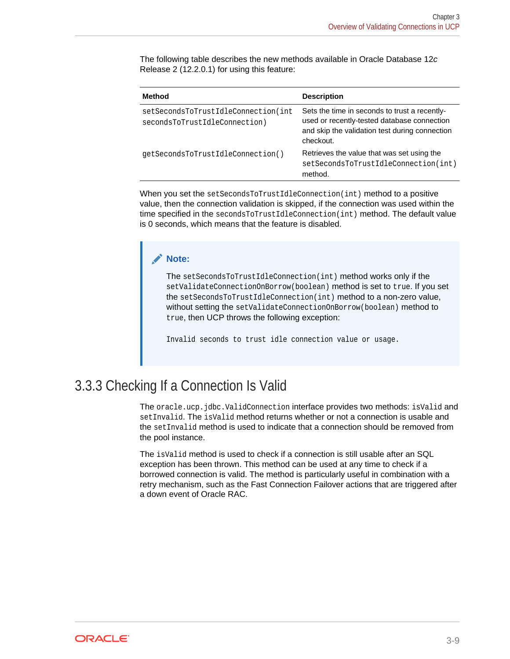<span id="page-27-0"></span>The following table describes the new methods available in Oracle Database 12*c* Release 2 (12.2.0.1) for using this feature:

| Method                                                               | <b>Description</b>                                                                                                                                          |
|----------------------------------------------------------------------|-------------------------------------------------------------------------------------------------------------------------------------------------------------|
| setSecondsToTrustIdleConnection(int<br>secondsToTrustIdleConnection) | Sets the time in seconds to trust a recently-<br>used or recently-tested database connection<br>and skip the validation test during connection<br>checkout. |
| qetSecondsToTrustIdleConnection()                                    | Retrieves the value that was set using the<br>setSecondsToTrustIdleConnection(int)<br>method.                                                               |

When you set the setSecondsToTrustIdleConnection(int) method to a positive value, then the connection validation is skipped, if the connection was used within the time specified in the secondsToTrustIdleConnection(int) method. The default value is 0 seconds, which means that the feature is disabled.

#### **Note:**

The setSecondsToTrustIdleConnection(int) method works only if the setValidateConnectionOnBorrow(boolean) method is set to true. If you set the setSecondsToTrustIdleConnection(int) method to a non-zero value, without setting the setValidateConnectionOnBorrow(boolean) method to true, then UCP throws the following exception:

Invalid seconds to trust idle connection value or usage.

### 3.3.3 Checking If a Connection Is Valid

The oracle.ucp.jdbc.ValidConnection interface provides two methods: isValid and setInvalid. The isValid method returns whether or not a connection is usable and the setInvalid method is used to indicate that a connection should be removed from the pool instance.

The isValid method is used to check if a connection is still usable after an SQL exception has been thrown. This method can be used at any time to check if a borrowed connection is valid. The method is particularly useful in combination with a retry mechanism, such as the Fast Connection Failover actions that are triggered after a down event of Oracle RAC.

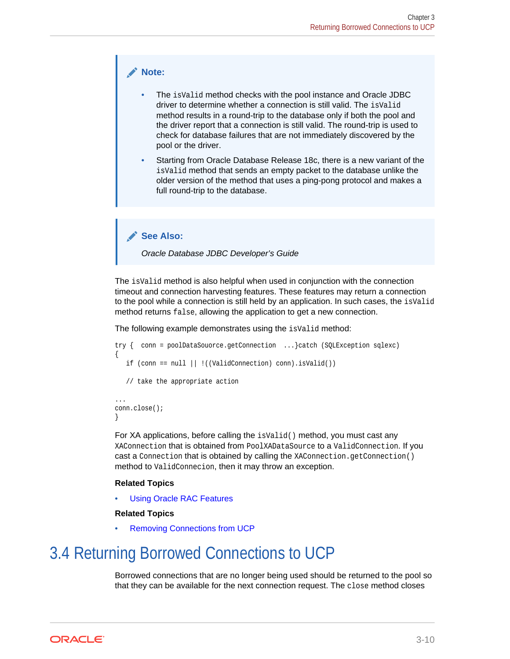<span id="page-28-0"></span>

The isValid method is also helpful when used in conjunction with the connection timeout and connection harvesting features. These features may return a connection to the pool while a connection is still held by an application. In such cases, the isValid method returns false, allowing the application to get a new connection.

The following example demonstrates using the isValid method:

```
try { conn = poolDataSouorce.getConnection ...}catch (SQLException sqlexc)
{
    if (conn == null || !((ValidConnection) conn).isValid())
    // take the appropriate action
...
conn.close();
}
```
For XA applications, before calling the isValid() method, you must cast any XAConnection that is obtained from PoolXADataSource to a ValidConnection. If you cast a Connection that is obtained by calling the XAConnection.getConnection() method to ValidConnecion, then it may throw an exception.

#### **Related Topics**

• [Using Oracle RAC Features](#page-66-0)

#### **Related Topics**

**[Removing Connections from UCP](#page-29-0)** 

## 3.4 Returning Borrowed Connections to UCP

Borrowed connections that are no longer being used should be returned to the pool so that they can be available for the next connection request. The close method closes

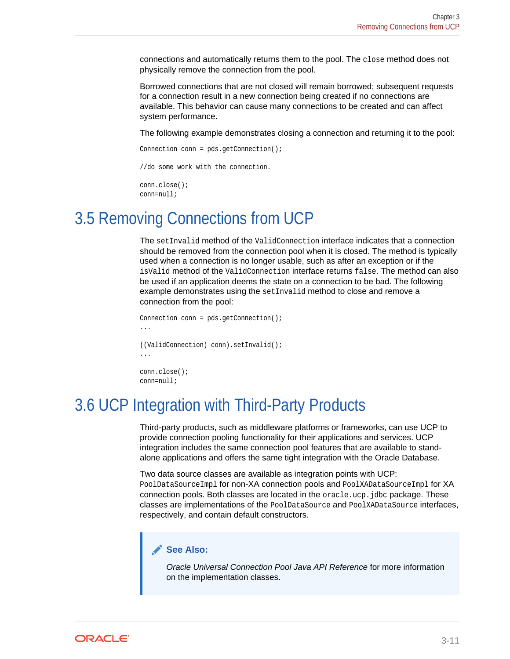<span id="page-29-0"></span>connections and automatically returns them to the pool. The close method does not physically remove the connection from the pool.

Borrowed connections that are not closed will remain borrowed; subsequent requests for a connection result in a new connection being created if no connections are available. This behavior can cause many connections to be created and can affect system performance.

The following example demonstrates closing a connection and returning it to the pool:

```
Connection conn = pds.getConnection();
```
//do some work with the connection.

conn.close(); conn=null;

### 3.5 Removing Connections from UCP

The setInvalid method of the ValidConnection interface indicates that a connection should be removed from the connection pool when it is closed. The method is typically used when a connection is no longer usable, such as after an exception or if the isValid method of the ValidConnection interface returns false. The method can also be used if an application deems the state on a connection to be bad. The following example demonstrates using the setInvalid method to close and remove a connection from the pool:

```
Connection conn = pds.getConnection();
...
((ValidConnection) conn).setInvalid();
...
conn.close();
conn=null;
```
## 3.6 UCP Integration with Third-Party Products

Third-party products, such as middleware platforms or frameworks, can use UCP to provide connection pooling functionality for their applications and services. UCP integration includes the same connection pool features that are available to standalone applications and offers the same tight integration with the Oracle Database.

Two data source classes are available as integration points with UCP: PoolDataSourceImpl for non-XA connection pools and PoolXADataSourceImpl for XA connection pools. Both classes are located in the oracle.ucp.jdbc package. These classes are implementations of the PoolDataSource and PoolXADataSource interfaces, respectively, and contain default constructors.

#### **See Also:**

*Oracle Universal Connection Pool Java API Reference* for more information on the implementation classes.

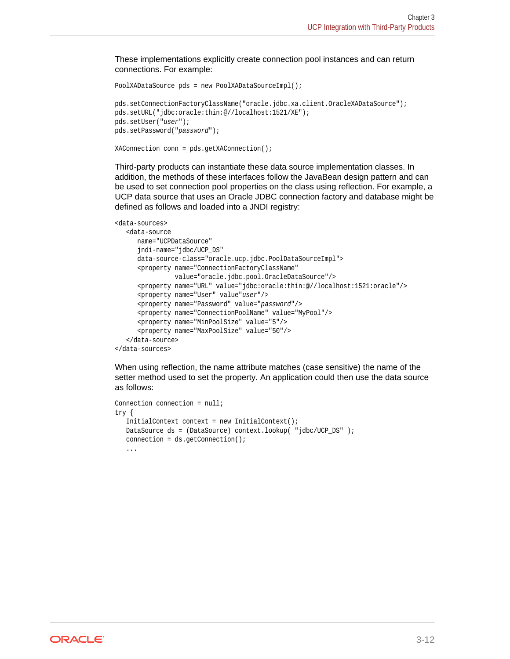These implementations explicitly create connection pool instances and can return connections. For example:

```
PoolXADataSource pds = new PoolXADataSourceImpl();
pds.setConnectionFactoryClassName("oracle.jdbc.xa.client.OracleXADataSource");
pds.setURL("jdbc:oracle:thin:@//localhost:1521/XE");
pds.setUser("user");
pds.setPassword("password");
```

```
XAConnection conn = pds.getXAConnection();
```
Third-party products can instantiate these data source implementation classes. In addition, the methods of these interfaces follow the JavaBean design pattern and can be used to set connection pool properties on the class using reflection. For example, a UCP data source that uses an Oracle JDBC connection factory and database might be defined as follows and loaded into a JNDI registry:

```
<data-sources>
   <data-source
      name="UCPDataSource"
       jndi-name="jdbc/UCP_DS"
      data-source-class="oracle.ucp.jdbc.PoolDataSourceImpl">
       <property name="ConnectionFactoryClassName"
                 value="oracle.jdbc.pool.OracleDataSource"/>
       <property name="URL" value="jdbc:oracle:thin:@//localhost:1521:oracle"/>
       <property name="User" value"user"/>
      <property name="Password" value="password"/>
      <property name="ConnectionPoolName" value="MyPool"/>
      <property name="MinPoolSize" value="5"/>
       <property name="MaxPoolSize" value="50"/>
   </data-source>
</data-sources>
```
When using reflection, the name attribute matches (case sensitive) the name of the setter method used to set the property. An application could then use the data source as follows:

```
Connection connection = null;
try {
    InitialContext context = new InitialContext();
   DataSource ds = (DataSource) context.lookup( "jdbc/UCP_DS" );
  connection = ds.getConnection();
    ...
```
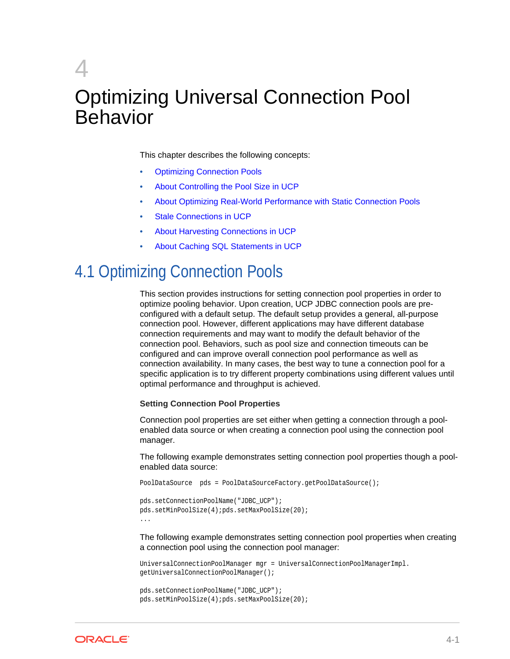# <span id="page-31-0"></span>4 Optimizing Universal Connection Pool Behavior

This chapter describes the following concepts:

- **Optimizing Connection Pools**
- [About Controlling the Pool Size in UCP](#page-32-0)
- [About Optimizing Real-World Performance with Static Connection Pools](#page-33-0)
- **[Stale Connections in UCP](#page-34-0)**
- [About Harvesting Connections in UCP](#page-38-0)
- [About Caching SQL Statements in UCP](#page-40-0)

# 4.1 Optimizing Connection Pools

This section provides instructions for setting connection pool properties in order to optimize pooling behavior. Upon creation, UCP JDBC connection pools are preconfigured with a default setup. The default setup provides a general, all-purpose connection pool. However, different applications may have different database connection requirements and may want to modify the default behavior of the connection pool. Behaviors, such as pool size and connection timeouts can be configured and can improve overall connection pool performance as well as connection availability. In many cases, the best way to tune a connection pool for a specific application is to try different property combinations using different values until optimal performance and throughput is achieved.

#### **Setting Connection Pool Properties**

Connection pool properties are set either when getting a connection through a poolenabled data source or when creating a connection pool using the connection pool manager.

The following example demonstrates setting connection pool properties though a poolenabled data source:

```
PoolDataSource pds = PoolDataSourceFactory.getPoolDataSource();
```

```
pds.setConnectionPoolName("JDBC_UCP");
pds.setMinPoolSize(4);pds.setMaxPoolSize(20);
...
```
The following example demonstrates setting connection pool properties when creating a connection pool using the connection pool manager:

```
UniversalConnectionPoolManager mgr = UniversalConnectionPoolManagerImpl.
getUniversalConnectionPoolManager();
```

```
pds.setConnectionPoolName("JDBC_UCP");
pds.setMinPoolSize(4);pds.setMaxPoolSize(20);
```
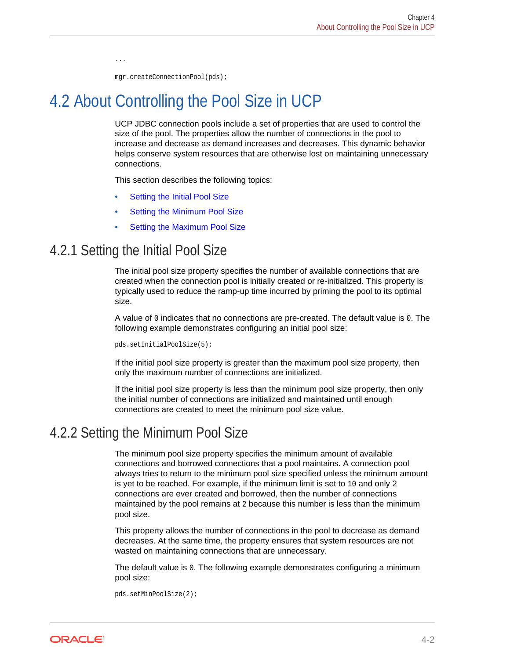```
...
mgr.createConnectionPool(pds);
```
# <span id="page-32-0"></span>4.2 About Controlling the Pool Size in UCP

UCP JDBC connection pools include a set of properties that are used to control the size of the pool. The properties allow the number of connections in the pool to increase and decrease as demand increases and decreases. This dynamic behavior helps conserve system resources that are otherwise lost on maintaining unnecessary connections.

This section describes the following topics:

- Setting the Initial Pool Size
- Setting the Minimum Pool Size
- [Setting the Maximum Pool Size](#page-33-0)

### 4.2.1 Setting the Initial Pool Size

The initial pool size property specifies the number of available connections that are created when the connection pool is initially created or re-initialized. This property is typically used to reduce the ramp-up time incurred by priming the pool to its optimal size.

A value of 0 indicates that no connections are pre-created. The default value is 0. The following example demonstrates configuring an initial pool size:

pds.setInitialPoolSize(5);

If the initial pool size property is greater than the maximum pool size property, then only the maximum number of connections are initialized.

If the initial pool size property is less than the minimum pool size property, then only the initial number of connections are initialized and maintained until enough connections are created to meet the minimum pool size value.

### 4.2.2 Setting the Minimum Pool Size

The minimum pool size property specifies the minimum amount of available connections and borrowed connections that a pool maintains. A connection pool always tries to return to the minimum pool size specified unless the minimum amount is yet to be reached. For example, if the minimum limit is set to 10 and only 2 connections are ever created and borrowed, then the number of connections maintained by the pool remains at 2 because this number is less than the minimum pool size.

This property allows the number of connections in the pool to decrease as demand decreases. At the same time, the property ensures that system resources are not wasted on maintaining connections that are unnecessary.

The default value is 0. The following example demonstrates configuring a minimum pool size:

```
pds.setMinPoolSize(2);
```
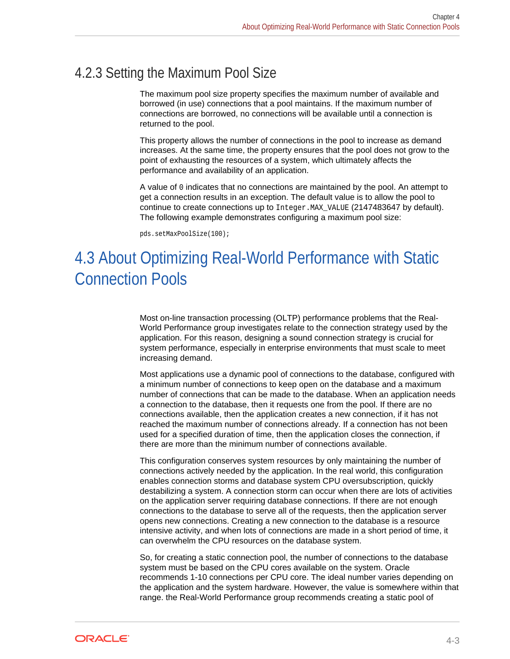## <span id="page-33-0"></span>4.2.3 Setting the Maximum Pool Size

The maximum pool size property specifies the maximum number of available and borrowed (in use) connections that a pool maintains. If the maximum number of connections are borrowed, no connections will be available until a connection is returned to the pool.

This property allows the number of connections in the pool to increase as demand increases. At the same time, the property ensures that the pool does not grow to the point of exhausting the resources of a system, which ultimately affects the performance and availability of an application.

A value of  $0$  indicates that no connections are maintained by the pool. An attempt to get a connection results in an exception. The default value is to allow the pool to continue to create connections up to Integer. MAX\_VALUE (2147483647 by default). The following example demonstrates configuring a maximum pool size:

pds.setMaxPoolSize(100);

# 4.3 About Optimizing Real-World Performance with Static Connection Pools

Most on-line transaction processing (OLTP) performance problems that the Real-World Performance group investigates relate to the connection strategy used by the application. For this reason, designing a sound connection strategy is crucial for system performance, especially in enterprise environments that must scale to meet increasing demand.

Most applications use a dynamic pool of connections to the database, configured with a minimum number of connections to keep open on the database and a maximum number of connections that can be made to the database. When an application needs a connection to the database, then it requests one from the pool. If there are no connections available, then the application creates a new connection, if it has not reached the maximum number of connections already. If a connection has not been used for a specified duration of time, then the application closes the connection, if there are more than the minimum number of connections available.

This configuration conserves system resources by only maintaining the number of connections actively needed by the application. In the real world, this configuration enables connection storms and database system CPU oversubscription, quickly destabilizing a system. A connection storm can occur when there are lots of activities on the application server requiring database connections. If there are not enough connections to the database to serve all of the requests, then the application server opens new connections. Creating a new connection to the database is a resource intensive activity, and when lots of connections are made in a short period of time, it can overwhelm the CPU resources on the database system.

So, for creating a static connection pool, the number of connections to the database system must be based on the CPU cores available on the system. Oracle recommends 1-10 connections per CPU core. The ideal number varies depending on the application and the system hardware. However, the value is somewhere within that range. the Real-World Performance group recommends creating a static pool of

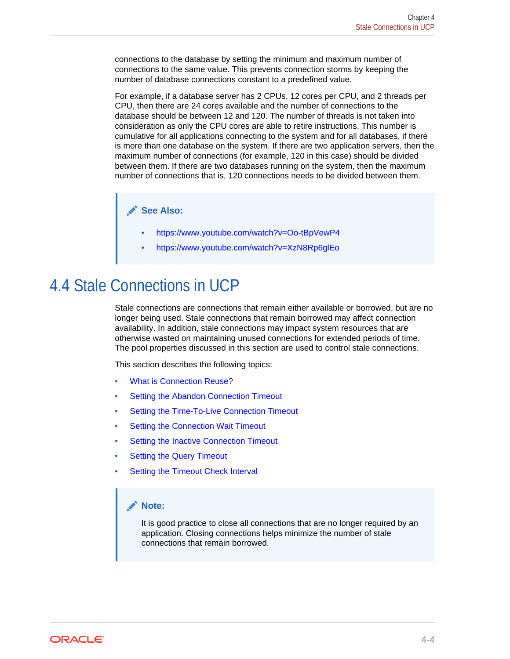<span id="page-34-0"></span>connections to the database by setting the minimum and maximum number of connections to the same value. This prevents connection storms by keeping the number of database connections constant to a predefined value.

For example, if a database server has 2 CPUs, 12 cores per CPU, and 2 threads per CPU, then there are 24 cores available and the number of connections to the database should be between 12 and 120. The number of threads is not taken into consideration as only the CPU cores are able to retire instructions. This number is cumulative for all applications connecting to the system and for all databases, if there is more than one database on the system. If there are two application servers, then the maximum number of connections (for example, 120 in this case) should be divided between them. If there are two databases running on the system, then the maximum number of connections that is, 120 connections needs to be divided between them.

**See Also:**

- <https://www.youtube.com/watch?v=Oo-tBpVewP4>
- <https://www.youtube.com/watch?v=XzN8Rp6glEo>

# 4.4 Stale Connections in UCP

Stale connections are connections that remain either available or borrowed, but are no longer being used. Stale connections that remain borrowed may affect connection availability. In addition, stale connections may impact system resources that are otherwise wasted on maintaining unused connections for extended periods of time. The pool properties discussed in this section are used to control stale connections.

This section describes the following topics:

- [What is Connection Reuse?](#page-35-0)
- **[Setting the Abandon Connection Timeout](#page-36-0)**
- [Setting the Time-To-Live Connection Timeout](#page-36-0)
- **[Setting the Connection Wait Timeout](#page-37-0)**
- [Setting the Inactive Connection Timeout](#page-37-0)
- **[Setting the Query Timeout](#page-37-0)**
- [Setting the Timeout Check Interval](#page-38-0)

#### **Note:**

It is good practice to close all connections that are no longer required by an application. Closing connections helps minimize the number of stale connections that remain borrowed.

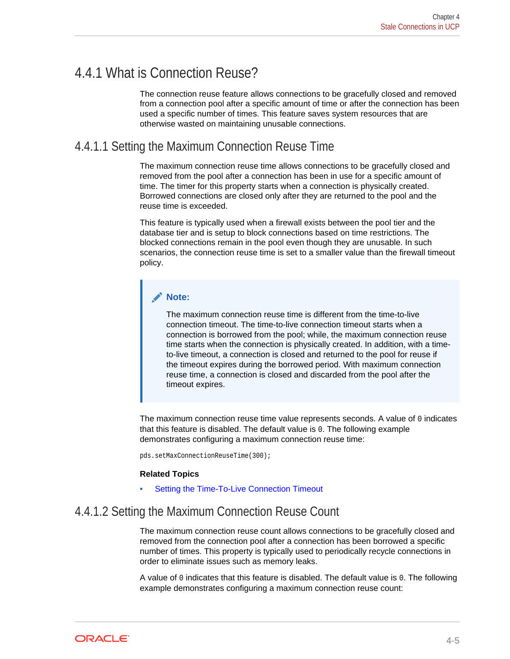### <span id="page-35-0"></span>4.4.1 What is Connection Reuse?

The connection reuse feature allows connections to be gracefully closed and removed from a connection pool after a specific amount of time or after the connection has been used a specific number of times. This feature saves system resources that are otherwise wasted on maintaining unusable connections.

#### 4.4.1.1 Setting the Maximum Connection Reuse Time

The maximum connection reuse time allows connections to be gracefully closed and removed from the pool after a connection has been in use for a specific amount of time. The timer for this property starts when a connection is physically created. Borrowed connections are closed only after they are returned to the pool and the reuse time is exceeded.

This feature is typically used when a firewall exists between the pool tier and the database tier and is setup to block connections based on time restrictions. The blocked connections remain in the pool even though they are unusable. In such scenarios, the connection reuse time is set to a smaller value than the firewall timeout policy.

#### **Note:**

The maximum connection reuse time is different from the time-to-live connection timeout. The time-to-live connection timeout starts when a connection is borrowed from the pool; while, the maximum connection reuse time starts when the connection is physically created. In addition, with a timeto-live timeout, a connection is closed and returned to the pool for reuse if the timeout expires during the borrowed period. With maximum connection reuse time, a connection is closed and discarded from the pool after the timeout expires.

The maximum connection reuse time value represents seconds. A value of 0 indicates that this feature is disabled. The default value is 0. The following example demonstrates configuring a maximum connection reuse time:

pds.setMaxConnectionReuseTime(300);

#### **Related Topics**

[Setting the Time-To-Live Connection Timeout](#page-36-0)

#### 4.4.1.2 Setting the Maximum Connection Reuse Count

The maximum connection reuse count allows connections to be gracefully closed and removed from the connection pool after a connection has been borrowed a specific number of times. This property is typically used to periodically recycle connections in order to eliminate issues such as memory leaks.

A value of 0 indicates that this feature is disabled. The default value is 0. The following example demonstrates configuring a maximum connection reuse count:

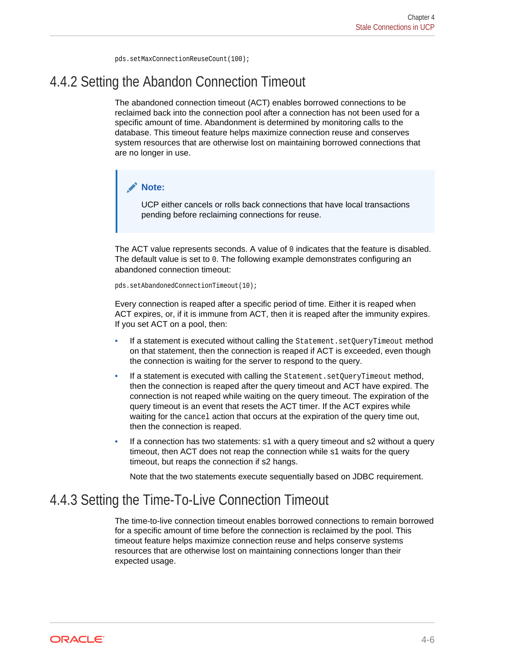```
pds.setMaxConnectionReuseCount(100);
```
## 4.4.2 Setting the Abandon Connection Timeout

The abandoned connection timeout (ACT) enables borrowed connections to be reclaimed back into the connection pool after a connection has not been used for a specific amount of time. Abandonment is determined by monitoring calls to the database. This timeout feature helps maximize connection reuse and conserves system resources that are otherwise lost on maintaining borrowed connections that are no longer in use.

### **Note:**

UCP either cancels or rolls back connections that have local transactions pending before reclaiming connections for reuse.

The ACT value represents seconds. A value of  $0$  indicates that the feature is disabled. The default value is set to 0. The following example demonstrates configuring an abandoned connection timeout:

pds.setAbandonedConnectionTimeout(10);

Every connection is reaped after a specific period of time. Either it is reaped when ACT expires, or, if it is immune from ACT, then it is reaped after the immunity expires. If you set ACT on a pool, then:

- If a statement is executed without calling the Statement.setQueryTimeout method on that statement, then the connection is reaped if ACT is exceeded, even though the connection is waiting for the server to respond to the query.
- If a statement is executed with calling the Statement.setQueryTimeout method, then the connection is reaped after the query timeout and ACT have expired. The connection is not reaped while waiting on the query timeout. The expiration of the query timeout is an event that resets the ACT timer. If the ACT expires while waiting for the cancel action that occurs at the expiration of the query time out, then the connection is reaped.
- If a connection has two statements: s1 with a query timeout and s2 without a query timeout, then ACT does not reap the connection while s1 waits for the query timeout, but reaps the connection if s2 hangs.

Note that the two statements execute sequentially based on JDBC requirement.

## 4.4.3 Setting the Time-To-Live Connection Timeout

The time-to-live connection timeout enables borrowed connections to remain borrowed for a specific amount of time before the connection is reclaimed by the pool. This timeout feature helps maximize connection reuse and helps conserve systems resources that are otherwise lost on maintaining connections longer than their expected usage.

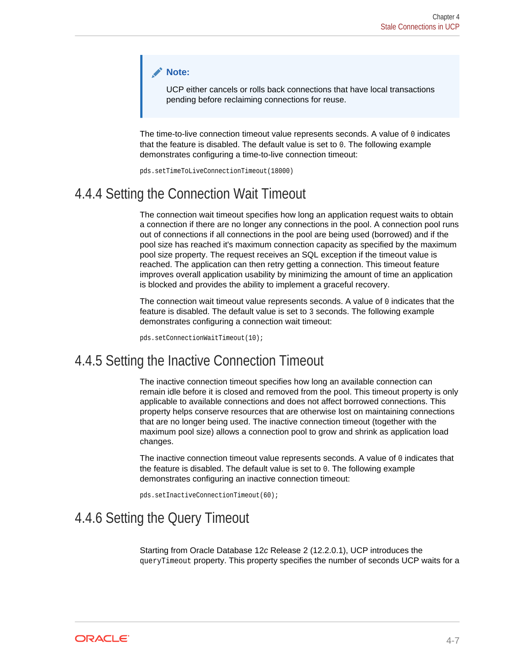**Note:**

UCP either cancels or rolls back connections that have local transactions pending before reclaiming connections for reuse.

The time-to-live connection timeout value represents seconds. A value of  $0$  indicates that the feature is disabled. The default value is set to 0. The following example demonstrates configuring a time-to-live connection timeout:

pds.setTimeToLiveConnectionTimeout(18000)

### 4.4.4 Setting the Connection Wait Timeout

The connection wait timeout specifies how long an application request waits to obtain a connection if there are no longer any connections in the pool. A connection pool runs out of connections if all connections in the pool are being used (borrowed) and if the pool size has reached it's maximum connection capacity as specified by the maximum pool size property. The request receives an SQL exception if the timeout value is reached. The application can then retry getting a connection. This timeout feature improves overall application usability by minimizing the amount of time an application is blocked and provides the ability to implement a graceful recovery.

The connection wait timeout value represents seconds. A value of 0 indicates that the feature is disabled. The default value is set to 3 seconds. The following example demonstrates configuring a connection wait timeout:

pds.setConnectionWaitTimeout(10);

### 4.4.5 Setting the Inactive Connection Timeout

The inactive connection timeout specifies how long an available connection can remain idle before it is closed and removed from the pool. This timeout property is only applicable to available connections and does not affect borrowed connections. This property helps conserve resources that are otherwise lost on maintaining connections that are no longer being used. The inactive connection timeout (together with the maximum pool size) allows a connection pool to grow and shrink as application load changes.

The inactive connection timeout value represents seconds. A value of  $0$  indicates that the feature is disabled. The default value is set to 0. The following example demonstrates configuring an inactive connection timeout:

pds.setInactiveConnectionTimeout(60);

### 4.4.6 Setting the Query Timeout

Starting from Oracle Database 12*c* Release 2 (12.2.0.1), UCP introduces the queryTimeout property. This property specifies the number of seconds UCP waits for a

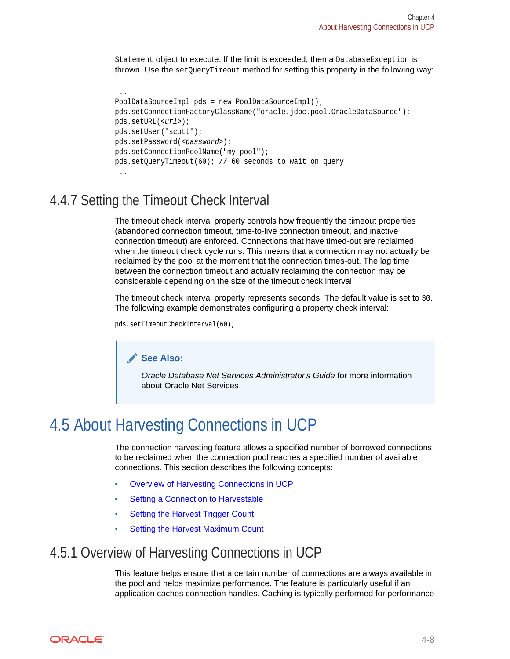Statement object to execute. If the limit is exceeded, then a DatabaseException is thrown. Use the setQueryTimeout method for setting this property in the following way:

```
...
PoolDataSourceImpl pds = new PoolDataSourceImpl();
pds.setConnectionFactoryClassName("oracle.jdbc.pool.OracleDataSource");
pds.setURL(<url>);
pds.setUser("scott");
pds.setPassword(<password>);
pds.setConnectionPoolName("my_pool");
pds.setQueryTimeout(60); // 60 seconds to wait on query
...
```
### 4.4.7 Setting the Timeout Check Interval

The timeout check interval property controls how frequently the timeout properties (abandoned connection timeout, time-to-live connection timeout, and inactive connection timeout) are enforced. Connections that have timed-out are reclaimed when the timeout check cycle runs. This means that a connection may not actually be reclaimed by the pool at the moment that the connection times-out. The lag time between the connection timeout and actually reclaiming the connection may be considerable depending on the size of the timeout check interval.

The timeout check interval property represents seconds. The default value is set to 30. The following example demonstrates configuring a property check interval:

pds.setTimeoutCheckInterval(60);

### **See Also:**

*Oracle Database Net Services Administrator's Guide* for more information about Oracle Net Services

## 4.5 About Harvesting Connections in UCP

The connection harvesting feature allows a specified number of borrowed connections to be reclaimed when the connection pool reaches a specified number of available connections. This section describes the following concepts:

- Overview of Harvesting Connections in UCP
- [Setting a Connection to Harvestable](#page-39-0)
- **[Setting the Harvest Trigger Count](#page-39-0)**
- **[Setting the Harvest Maximum Count](#page-40-0)**

### 4.5.1 Overview of Harvesting Connections in UCP

This feature helps ensure that a certain number of connections are always available in the pool and helps maximize performance. The feature is particularly useful if an application caches connection handles. Caching is typically performed for performance

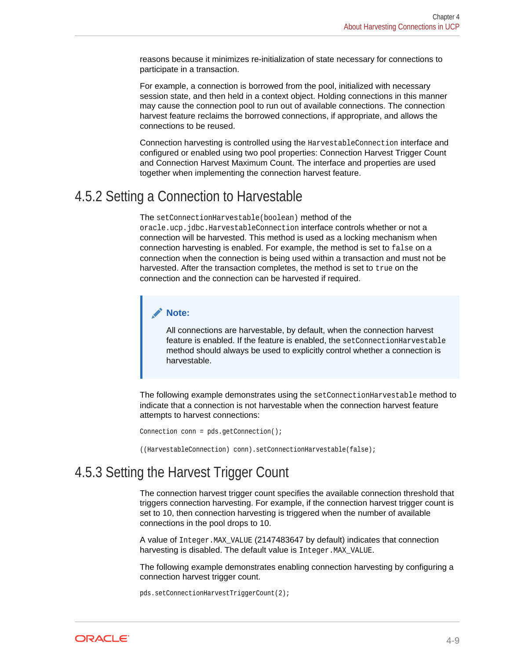<span id="page-39-0"></span>reasons because it minimizes re-initialization of state necessary for connections to participate in a transaction.

For example, a connection is borrowed from the pool, initialized with necessary session state, and then held in a context object. Holding connections in this manner may cause the connection pool to run out of available connections. The connection harvest feature reclaims the borrowed connections, if appropriate, and allows the connections to be reused.

Connection harvesting is controlled using the HarvestableConnection interface and configured or enabled using two pool properties: Connection Harvest Trigger Count and Connection Harvest Maximum Count. The interface and properties are used together when implementing the connection harvest feature.

### 4.5.2 Setting a Connection to Harvestable

The setConnectionHarvestable(boolean) method of the oracle.ucp.jdbc.HarvestableConnection interface controls whether or not a connection will be harvested. This method is used as a locking mechanism when connection harvesting is enabled. For example, the method is set to false on a connection when the connection is being used within a transaction and must not be harvested. After the transaction completes, the method is set to true on the connection and the connection can be harvested if required.

### **Note:**

All connections are harvestable, by default, when the connection harvest feature is enabled. If the feature is enabled, the setConnectionHarvestable method should always be used to explicitly control whether a connection is harvestable.

The following example demonstrates using the setConnectionHarvestable method to indicate that a connection is not harvestable when the connection harvest feature attempts to harvest connections:

```
Connection conn = pds.getConnection();
```
((HarvestableConnection) conn).setConnectionHarvestable(false);

### 4.5.3 Setting the Harvest Trigger Count

The connection harvest trigger count specifies the available connection threshold that triggers connection harvesting. For example, if the connection harvest trigger count is set to 10, then connection harvesting is triggered when the number of available connections in the pool drops to 10.

A value of Integer.MAX\_VALUE (2147483647 by default) indicates that connection harvesting is disabled. The default value is Integer. MAX VALUE.

The following example demonstrates enabling connection harvesting by configuring a connection harvest trigger count.

pds.setConnectionHarvestTriggerCount(2);

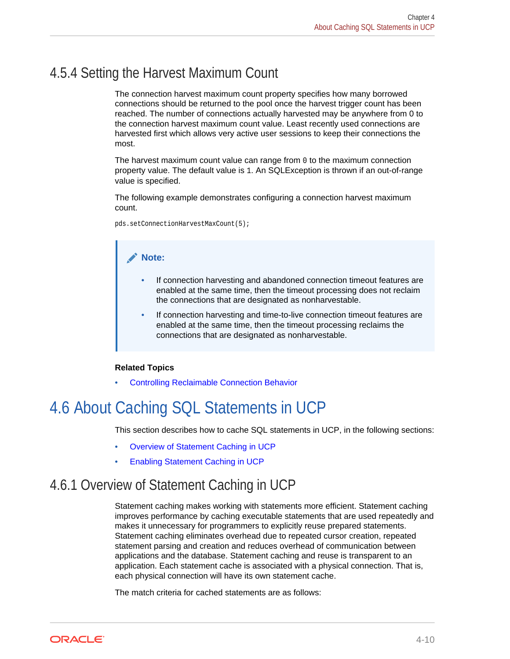### <span id="page-40-0"></span>4.5.4 Setting the Harvest Maximum Count

The connection harvest maximum count property specifies how many borrowed connections should be returned to the pool once the harvest trigger count has been reached. The number of connections actually harvested may be anywhere from 0 to the connection harvest maximum count value. Least recently used connections are harvested first which allows very active user sessions to keep their connections the most.

The harvest maximum count value can range from 0 to the maximum connection property value. The default value is 1. An SQLException is thrown if an out-of-range value is specified.

The following example demonstrates configuring a connection harvest maximum count.

pds.setConnectionHarvestMaxCount(5);

### **Note:**

- If connection harvesting and abandoned connection timeout features are enabled at the same time, then the timeout processing does not reclaim the connections that are designated as nonharvestable.
- If connection harvesting and time-to-live connection timeout features are enabled at the same time, then the timeout processing reclaims the connections that are designated as nonharvestable.

#### **Related Topics**

• [Controlling Reclaimable Connection Behavior](#page-49-0)

## 4.6 About Caching SQL Statements in UCP

This section describes how to cache SQL statements in UCP, in the following sections:

- Overview of Statement Caching in UCP
- [Enabling Statement Caching in UCP](#page-41-0)

### 4.6.1 Overview of Statement Caching in UCP

Statement caching makes working with statements more efficient. Statement caching improves performance by caching executable statements that are used repeatedly and makes it unnecessary for programmers to explicitly reuse prepared statements. Statement caching eliminates overhead due to repeated cursor creation, repeated statement parsing and creation and reduces overhead of communication between applications and the database. Statement caching and reuse is transparent to an application. Each statement cache is associated with a physical connection. That is, each physical connection will have its own statement cache.

The match criteria for cached statements are as follows:

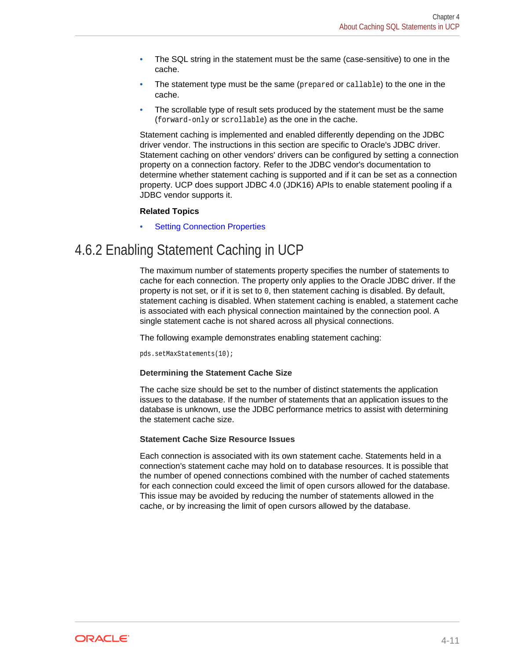- <span id="page-41-0"></span>The SQL string in the statement must be the same (case-sensitive) to one in the cache.
- The statement type must be the same (prepared or callable) to the one in the cache.
- The scrollable type of result sets produced by the statement must be the same (forward-only or scrollable) as the one in the cache.

Statement caching is implemented and enabled differently depending on the JDBC driver vendor. The instructions in this section are specific to Oracle's JDBC driver. Statement caching on other vendors' drivers can be configured by setting a connection property on a connection factory. Refer to the JDBC vendor's documentation to determine whether statement caching is supported and if it can be set as a connection property. UCP does support JDBC 4.0 (JDK16) APIs to enable statement pooling if a JDBC vendor supports it.

#### **Related Topics**

**[Setting Connection Properties](#page-22-0)** 

### 4.6.2 Enabling Statement Caching in UCP

The maximum number of statements property specifies the number of statements to cache for each connection. The property only applies to the Oracle JDBC driver. If the property is not set, or if it is set to 0, then statement caching is disabled. By default, statement caching is disabled. When statement caching is enabled, a statement cache is associated with each physical connection maintained by the connection pool. A single statement cache is not shared across all physical connections.

The following example demonstrates enabling statement caching:

pds.setMaxStatements(10);

#### **Determining the Statement Cache Size**

The cache size should be set to the number of distinct statements the application issues to the database. If the number of statements that an application issues to the database is unknown, use the JDBC performance metrics to assist with determining the statement cache size.

#### **Statement Cache Size Resource Issues**

Each connection is associated with its own statement cache. Statements held in a connection's statement cache may hold on to database resources. It is possible that the number of opened connections combined with the number of cached statements for each connection could exceed the limit of open cursors allowed for the database. This issue may be avoided by reducing the number of statements allowed in the cache, or by increasing the limit of open cursors allowed by the database.

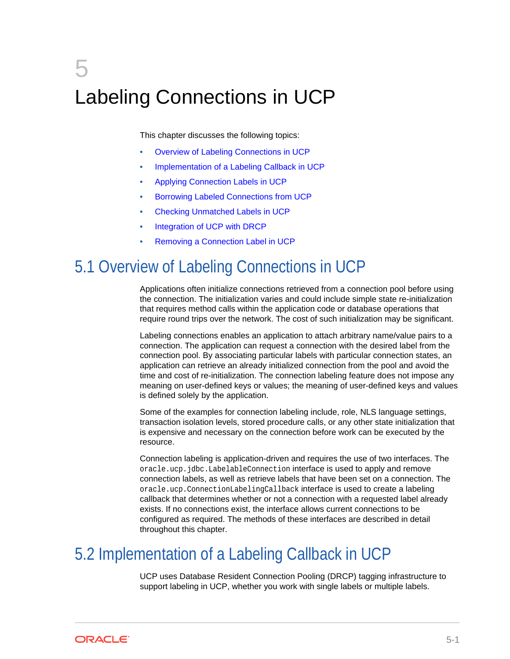# <span id="page-42-0"></span>5 Labeling Connections in UCP

This chapter discusses the following topics:

- Overview of Labeling Connections in UCP
- Implementation of a Labeling Callback in UCP
- [Applying Connection Labels in UCP](#page-46-0)
- [Borrowing Labeled Connections from UCP](#page-47-0)
- [Checking Unmatched Labels in UCP](#page-47-0)
- [Integration of UCP with DRCP](#page-46-0)
- [Removing a Connection Label in UCP](#page-47-0)

## 5.1 Overview of Labeling Connections in UCP

Applications often initialize connections retrieved from a connection pool before using the connection. The initialization varies and could include simple state re-initialization that requires method calls within the application code or database operations that require round trips over the network. The cost of such initialization may be significant.

Labeling connections enables an application to attach arbitrary name/value pairs to a connection. The application can request a connection with the desired label from the connection pool. By associating particular labels with particular connection states, an application can retrieve an already initialized connection from the pool and avoid the time and cost of re-initialization. The connection labeling feature does not impose any meaning on user-defined keys or values; the meaning of user-defined keys and values is defined solely by the application.

Some of the examples for connection labeling include, role, NLS language settings, transaction isolation levels, stored procedure calls, or any other state initialization that is expensive and necessary on the connection before work can be executed by the resource.

Connection labeling is application-driven and requires the use of two interfaces. The oracle.ucp.jdbc.LabelableConnection interface is used to apply and remove connection labels, as well as retrieve labels that have been set on a connection. The oracle.ucp.ConnectionLabelingCallback interface is used to create a labeling callback that determines whether or not a connection with a requested label already exists. If no connections exist, the interface allows current connections to be configured as required. The methods of these interfaces are described in detail throughout this chapter.

## 5.2 Implementation of a Labeling Callback in UCP

UCP uses Database Resident Connection Pooling (DRCP) tagging infrastructure to support labeling in UCP, whether you work with single labels or multiple labels.

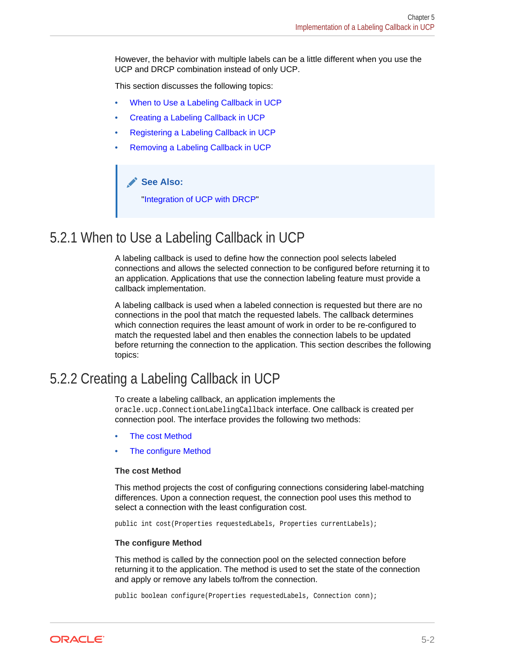However, the behavior with multiple labels can be a little different when you use the UCP and DRCP combination instead of only UCP.

This section discusses the following topics:

- When to Use a Labeling Callback in UCP
- Creating a Labeling Callback in UCP
- [Registering a Labeling Callback in UCP](#page-45-0)
- [Removing a Labeling Callback in UCP](#page-46-0)

**See Also:**

["Integration of UCP with DRCP](#page-46-0)"

### 5.2.1 When to Use a Labeling Callback in UCP

A labeling callback is used to define how the connection pool selects labeled connections and allows the selected connection to be configured before returning it to an application. Applications that use the connection labeling feature must provide a callback implementation.

A labeling callback is used when a labeled connection is requested but there are no connections in the pool that match the requested labels. The callback determines which connection requires the least amount of work in order to be re-configured to match the requested label and then enables the connection labels to be updated before returning the connection to the application. This section describes the following topics:

### 5.2.2 Creating a Labeling Callback in UCP

To create a labeling callback, an application implements the oracle.ucp.ConnectionLabelingCallback interface. One callback is created per connection pool. The interface provides the following two methods:

- The cost Method
- The configure Method

#### **The cost Method**

This method projects the cost of configuring connections considering label-matching differences. Upon a connection request, the connection pool uses this method to select a connection with the least configuration cost.

public int cost(Properties requestedLabels, Properties currentLabels);

#### **The configure Method**

This method is called by the connection pool on the selected connection before returning it to the application. The method is used to set the state of the connection and apply or remove any labels to/from the connection.

public boolean configure(Properties requestedLabels, Connection conn);

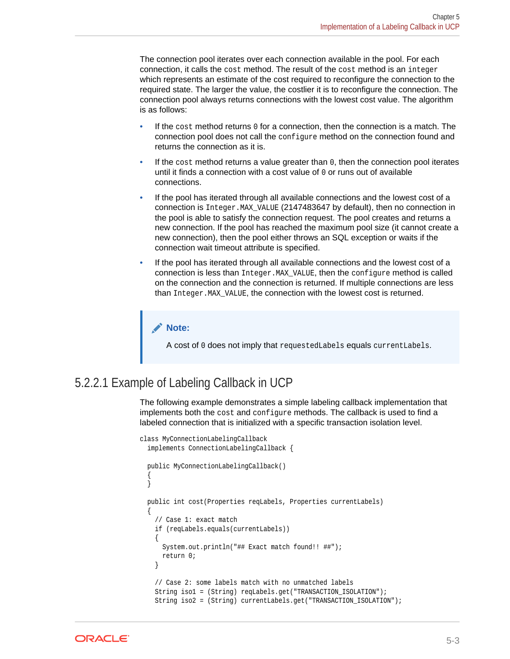The connection pool iterates over each connection available in the pool. For each connection, it calls the cost method. The result of the cost method is an integer which represents an estimate of the cost required to reconfigure the connection to the required state. The larger the value, the costlier it is to reconfigure the connection. The connection pool always returns connections with the lowest cost value. The algorithm is as follows:

- If the cost method returns  $\theta$  for a connection, then the connection is a match. The connection pool does not call the configure method on the connection found and returns the connection as it is.
- If the  $cost$  method returns a value greater than  $0$ , then the connection pool iterates until it finds a connection with a cost value of 0 or runs out of available connections.
- If the pool has iterated through all available connections and the lowest cost of a connection is Integer. MAX\_VALUE (2147483647 by default), then no connection in the pool is able to satisfy the connection request. The pool creates and returns a new connection. If the pool has reached the maximum pool size (it cannot create a new connection), then the pool either throws an SQL exception or waits if the connection wait timeout attribute is specified.
- If the pool has iterated through all available connections and the lowest cost of a connection is less than Integer.MAX\_VALUE, then the configure method is called on the connection and the connection is returned. If multiple connections are less than Integer.MAX\_VALUE, the connection with the lowest cost is returned.

### **Note:**

A cost of 0 does not imply that requestedLabels equals currentLabels.

### 5.2.2.1 Example of Labeling Callback in UCP

The following example demonstrates a simple labeling callback implementation that implements both the cost and configure methods. The callback is used to find a labeled connection that is initialized with a specific transaction isolation level.

```
class MyConnectionLabelingCallback
   implements ConnectionLabelingCallback {
   public MyConnectionLabelingCallback()
\left\{\right.\vert public int cost(Properties reqLabels, Properties currentLabels)
\left\{\right. // Case 1: exact match
     if (reqLabels.equals(currentLabels))
\mathcal{A} System.out.println("## Exact match found!! ##");
       return 0;
\left\{\begin{array}{ccc} \end{array}\right\} // Case 2: some labels match with no unmatched labels
     String iso1 = (String) reqLabels.get("TRANSACTION_ISOLATION");
    String iso2 = (String) currentLabels.get("TRANSACTION ISOLATION");
```
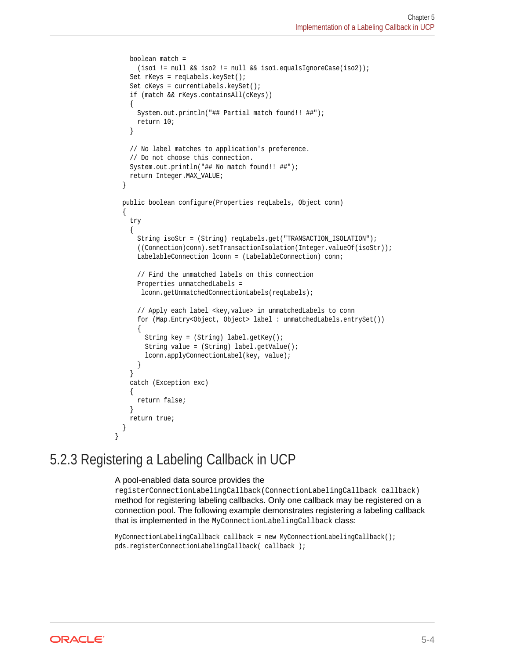```
 boolean match =
       (iso1 != null && iso2 != null && iso1.equalsIgnoreCase(iso2));
     Set rKeys = reqLabels.keySet();
     Set cKeys = currentLabels.keySet();
     if (match && rKeys.containsAll(cKeys))
\left\{\right. System.out.println("## Partial match found!! ##");
       return 10;
\left\{\begin{array}{ccc} \end{array}\right\} // No label matches to application's preference.
     // Do not choose this connection.
     System.out.println("## No match found!! ##");
     return Integer.MAX_VALUE;
\vert public boolean configure(Properties reqLabels, Object conn)
\mathcal{A} try
\left\{\right. String isoStr = (String) reqLabels.get("TRANSACTION_ISOLATION");
       ((Connection)conn).setTransactionIsolation(Integer.valueOf(isoStr));
       LabelableConnection lconn = (LabelableConnection) conn;
       // Find the unmatched labels on this connection
       Properties unmatchedLabels =
        lconn.getUnmatchedConnectionLabels(reqLabels);
       // Apply each label <key,value> in unmatchedLabels to conn
       for (Map.Entry<Object, Object> label : unmatchedLabels.entrySet())
\left\{\begin{array}{ccc} \end{array}\right\} String key = (String) label.getKey();
          String value = (String) label.getValue();
          lconn.applyConnectionLabel(key, value);
 }
\left\{\begin{array}{ccc} \end{array}\right\} catch (Exception exc)
\mathcal{A} return false;
\left\{\begin{array}{ccc} \end{array}\right\} return true;
\vert}
```
### 5.2.3 Registering a Labeling Callback in UCP

#### A pool-enabled data source provides the

registerConnectionLabelingCallback(ConnectionLabelingCallback callback) method for registering labeling callbacks. Only one callback may be registered on a connection pool. The following example demonstrates registering a labeling callback that is implemented in the MyConnectionLabelingCallback class:

MyConnectionLabelingCallback callback = new MyConnectionLabelingCallback(); pds.registerConnectionLabelingCallback( callback );

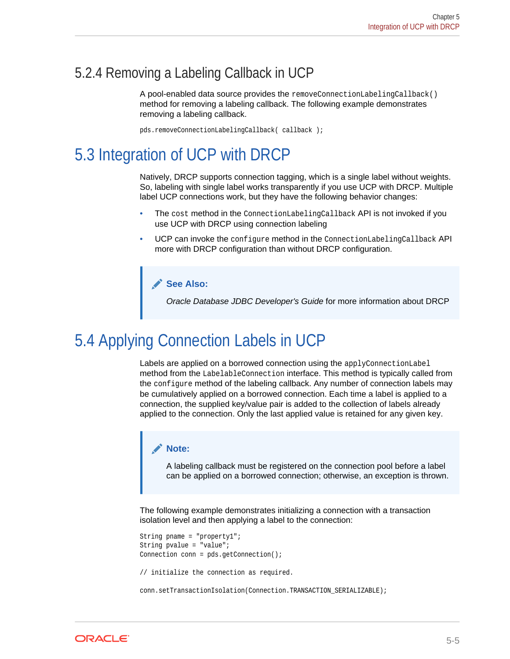## <span id="page-46-0"></span>5.2.4 Removing a Labeling Callback in UCP

A pool-enabled data source provides the removeConnectionLabelingCallback() method for removing a labeling callback. The following example demonstrates removing a labeling callback.

pds.removeConnectionLabelingCallback( callback );

## 5.3 Integration of UCP with DRCP

Natively, DRCP supports connection tagging, which is a single label without weights. So, labeling with single label works transparently if you use UCP with DRCP. Multiple label UCP connections work, but they have the following behavior changes:

- The cost method in the ConnectionLabelingCallback API is not invoked if you use UCP with DRCP using connection labeling
- UCP can invoke the configure method in the ConnectionLabelingCallback API more with DRCP configuration than without DRCP configuration.

**See Also:**

*Oracle Database JDBC Developer's Guide* for more information about DRCP

## 5.4 Applying Connection Labels in UCP

Labels are applied on a borrowed connection using the applyConnectionLabel method from the LabelableConnection interface. This method is typically called from the configure method of the labeling callback. Any number of connection labels may be cumulatively applied on a borrowed connection. Each time a label is applied to a connection, the supplied key/value pair is added to the collection of labels already applied to the connection. Only the last applied value is retained for any given key.

### **Note:**

A labeling callback must be registered on the connection pool before a label can be applied on a borrowed connection; otherwise, an exception is thrown.

The following example demonstrates initializing a connection with a transaction isolation level and then applying a label to the connection:

```
String pname = "property1";
String pvalue = "value";
Connection conn = pds.getConnection();
// initialize the connection as required.
conn.setTransactionIsolation(Connection.TRANSACTION_SERIALIZABLE);
```
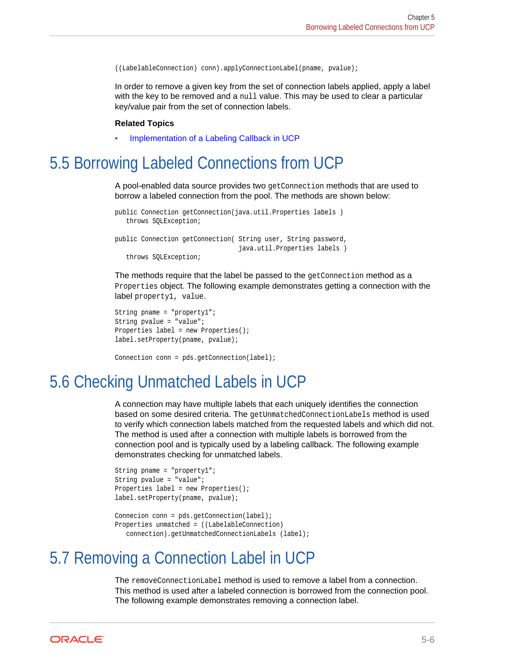<span id="page-47-0"></span>((LabelableConnection) conn).applyConnectionLabel(pname, pvalue);

In order to remove a given key from the set of connection labels applied, apply a label with the key to be removed and a null value. This may be used to clear a particular key/value pair from the set of connection labels.

#### **Related Topics**

• [Implementation of a Labeling Callback in UCP](#page-42-0)

## 5.5 Borrowing Labeled Connections from UCP

A pool-enabled data source provides two getConnection methods that are used to borrow a labeled connection from the pool. The methods are shown below:

```
public Connection getConnection(java.util.Properties labels )
    throws SQLException;
public Connection getConnection( String user, String password, 
                                   java.util.Properties labels )
    throws SQLException;
```
The methods require that the label be passed to the getConnection method as a Properties object. The following example demonstrates getting a connection with the label property1, value.

```
String pname = "property1";
String pvalue = "value";
Properties label = new Properties();
label.setProperty(pname, pvalue);
```
Connection conn = pds.getConnection(label);

## 5.6 Checking Unmatched Labels in UCP

A connection may have multiple labels that each uniquely identifies the connection based on some desired criteria. The getUnmatchedConnectionLabels method is used to verify which connection labels matched from the requested labels and which did not. The method is used after a connection with multiple labels is borrowed from the connection pool and is typically used by a labeling callback. The following example demonstrates checking for unmatched labels.

```
String pname = "property1";
String pvalue = "value";
Properties label = new Properties();
label.setProperty(pname, pvalue);
```

```
Connecion conn = pds.getConnection(label);
Properties unmatched = ((LabelableConnection)
    connection).getUnmatchedConnectionLabels (label);
```
## 5.7 Removing a Connection Label in UCP

The removeConnectionLabel method is used to remove a label from a connection. This method is used after a labeled connection is borrowed from the connection pool. The following example demonstrates removing a connection label.

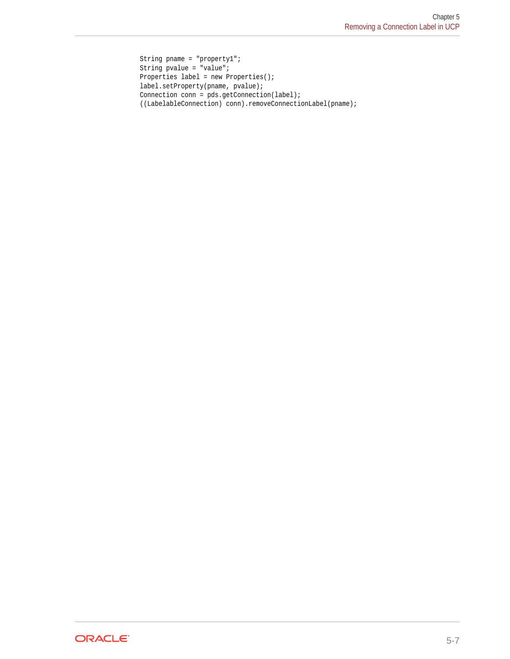String pname = "property1"; String pvalue = "value"; Properties label = new Properties(); label.setProperty(pname, pvalue); Connection conn = pds.getConnection(label); ((LabelableConnection) conn).removeConnectionLabel(pname);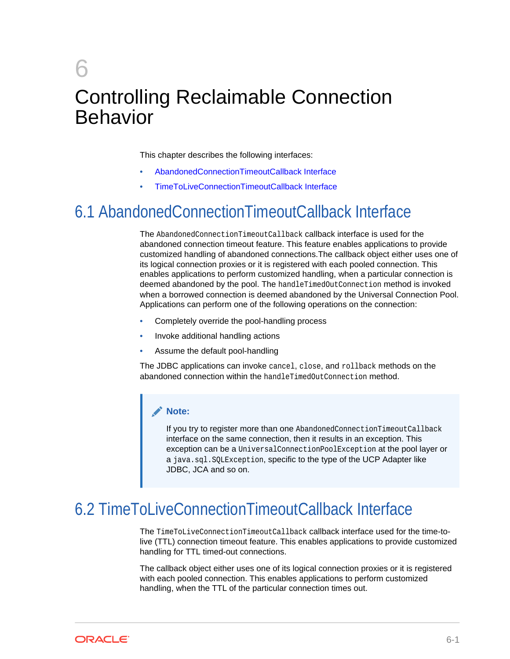# <span id="page-49-0"></span>6 Controlling Reclaimable Connection Behavior

This chapter describes the following interfaces:

- AbandonedConnectionTimeoutCallback Interface
- TimeToLiveConnectionTimeoutCallback Interface

## 6.1 AbandonedConnectionTimeoutCallback Interface

The AbandonedConnectionTimeoutCallback callback interface is used for the abandoned connection timeout feature. This feature enables applications to provide customized handling of abandoned connections.The callback object either uses one of its logical connection proxies or it is registered with each pooled connection. This enables applications to perform customized handling, when a particular connection is deemed abandoned by the pool. The handleTimedOutConnection method is invoked when a borrowed connection is deemed abandoned by the Universal Connection Pool. Applications can perform one of the following operations on the connection:

- Completely override the pool-handling process
- Invoke additional handling actions
- Assume the default pool-handling

The JDBC applications can invoke cancel, close, and rollback methods on the abandoned connection within the handleTimedOutConnection method.

### **Note:**

If you try to register more than one AbandonedConnectionTimeoutCallback interface on the same connection, then it results in an exception. This exception can be a UniversalConnectionPoolException at the pool layer or a java.sql.SQLException, specific to the type of the UCP Adapter like JDBC, JCA and so on.

## 6.2 TimeToLiveConnectionTimeoutCallback Interface

The TimeToLiveConnectionTimeoutCallback callback interface used for the time-tolive (TTL) connection timeout feature. This enables applications to provide customized handling for TTL timed-out connections.

The callback object either uses one of its logical connection proxies or it is registered with each pooled connection. This enables applications to perform customized handling, when the TTL of the particular connection times out.

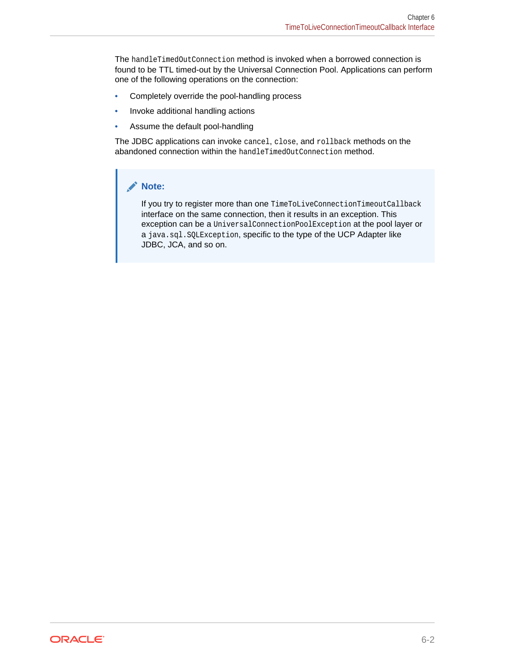The handleTimedOutConnection method is invoked when a borrowed connection is found to be TTL timed-out by the Universal Connection Pool. Applications can perform one of the following operations on the connection:

- Completely override the pool-handling process
- Invoke additional handling actions
- Assume the default pool-handling

The JDBC applications can invoke cancel, close, and rollback methods on the abandoned connection within the handleTimedOutConnection method.

### **Note:**

If you try to register more than one TimeToLiveConnectionTimeoutCallback interface on the same connection, then it results in an exception. This exception can be a UniversalConnectionPoolException at the pool layer or a java.sql.SQLException, specific to the type of the UCP Adapter like JDBC, JCA, and so on.

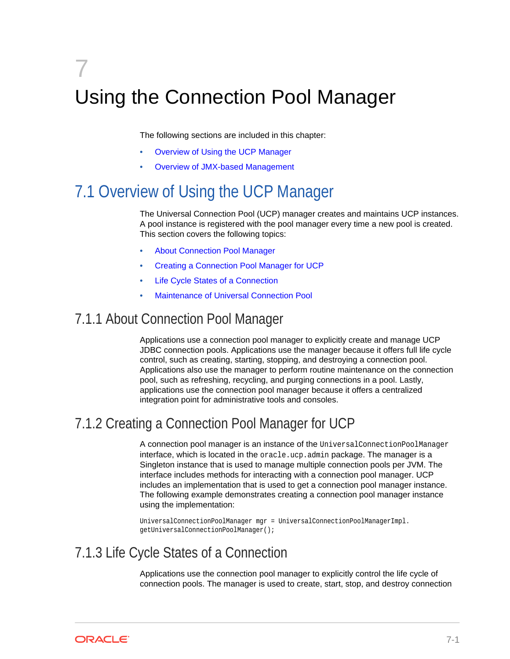# 7 Using the Connection Pool Manager

The following sections are included in this chapter:

- Overview of Using the UCP Manager
- [Overview of JMX-based Management](#page-55-0)

## 7.1 Overview of Using the UCP Manager

The Universal Connection Pool (UCP) manager creates and maintains UCP instances. A pool instance is registered with the pool manager every time a new pool is created. This section covers the following topics:

- About Connection Pool Manager
- Creating a Connection Pool Manager for UCP
- **Life Cycle States of a Connection**
- [Maintenance of Universal Connection Pool](#page-54-0)

### 7.1.1 About Connection Pool Manager

Applications use a connection pool manager to explicitly create and manage UCP JDBC connection pools. Applications use the manager because it offers full life cycle control, such as creating, starting, stopping, and destroying a connection pool. Applications also use the manager to perform routine maintenance on the connection pool, such as refreshing, recycling, and purging connections in a pool. Lastly, applications use the connection pool manager because it offers a centralized integration point for administrative tools and consoles.

### 7.1.2 Creating a Connection Pool Manager for UCP

A connection pool manager is an instance of the UniversalConnectionPoolManager interface, which is located in the oracle.ucp.admin package. The manager is a Singleton instance that is used to manage multiple connection pools per JVM. The interface includes methods for interacting with a connection pool manager. UCP includes an implementation that is used to get a connection pool manager instance. The following example demonstrates creating a connection pool manager instance using the implementation:

UniversalConnectionPoolManager mgr = UniversalConnectionPoolManagerImpl. getUniversalConnectionPoolManager();

### 7.1.3 Life Cycle States of a Connection

Applications use the connection pool manager to explicitly control the life cycle of connection pools. The manager is used to create, start, stop, and destroy connection

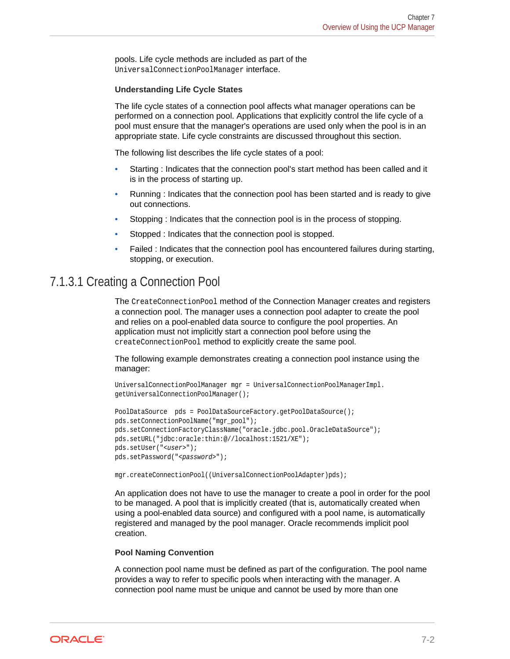pools. Life cycle methods are included as part of the UniversalConnectionPoolManager interface.

#### **Understanding Life Cycle States**

The life cycle states of a connection pool affects what manager operations can be performed on a connection pool. Applications that explicitly control the life cycle of a pool must ensure that the manager's operations are used only when the pool is in an appropriate state. Life cycle constraints are discussed throughout this section.

The following list describes the life cycle states of a pool:

- Starting : Indicates that the connection pool's start method has been called and it is in the process of starting up.
- Running : Indicates that the connection pool has been started and is ready to give out connections.
- Stopping : Indicates that the connection pool is in the process of stopping.
- Stopped : Indicates that the connection pool is stopped.
- Failed : Indicates that the connection pool has encountered failures during starting, stopping, or execution.

### 7.1.3.1 Creating a Connection Pool

The CreateConnectionPool method of the Connection Manager creates and registers a connection pool. The manager uses a connection pool adapter to create the pool and relies on a pool-enabled data source to configure the pool properties. An application must not implicitly start a connection pool before using the createConnectionPool method to explicitly create the same pool.

The following example demonstrates creating a connection pool instance using the manager:

```
UniversalConnectionPoolManager mgr = UniversalConnectionPoolManagerImpl.
getUniversalConnectionPoolManager();
```

```
PoolDataSource pds = PoolDataSourceFactory.getPoolDataSource();
pds.setConnectionPoolName("mgr_pool");
pds.setConnectionFactoryClassName("oracle.jdbc.pool.OracleDataSource");
pds.setURL("jdbc:oracle:thin:@//localhost:1521/XE");
pds.setUser("<user>");
pds.setPassword("<password>");
```
mgr.createConnectionPool((UniversalConnectionPoolAdapter)pds);

An application does not have to use the manager to create a pool in order for the pool to be managed. A pool that is implicitly created (that is, automatically created when using a pool-enabled data source) and configured with a pool name, is automatically registered and managed by the pool manager. Oracle recommends implicit pool creation.

#### **Pool Naming Convention**

A connection pool name must be defined as part of the configuration. The pool name provides a way to refer to specific pools when interacting with the manager. A connection pool name must be unique and cannot be used by more than one

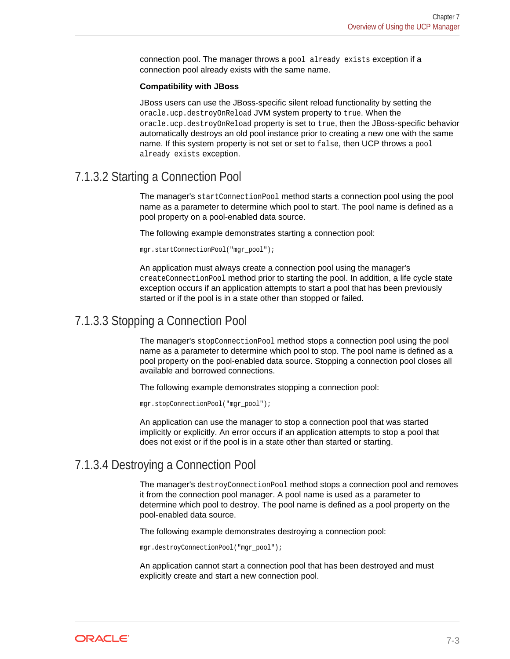connection pool. The manager throws a pool already exists exception if a connection pool already exists with the same name.

#### **Compatibility with JBoss**

JBoss users can use the JBoss-specific silent reload functionality by setting the oracle.ucp.destroyOnReload JVM system property to true. When the oracle.ucp.destroyOnReload property is set to true, then the JBoss-specific behavior automatically destroys an old pool instance prior to creating a new one with the same name. If this system property is not set or set to false, then UCP throws a pool already exists exception.

### 7.1.3.2 Starting a Connection Pool

The manager's startConnectionPool method starts a connection pool using the pool name as a parameter to determine which pool to start. The pool name is defined as a pool property on a pool-enabled data source.

The following example demonstrates starting a connection pool:

mgr.startConnectionPool("mgr\_pool");

An application must always create a connection pool using the manager's createConnectionPool method prior to starting the pool. In addition, a life cycle state exception occurs if an application attempts to start a pool that has been previously started or if the pool is in a state other than stopped or failed.

### 7.1.3.3 Stopping a Connection Pool

The manager's stopConnectionPool method stops a connection pool using the pool name as a parameter to determine which pool to stop. The pool name is defined as a pool property on the pool-enabled data source. Stopping a connection pool closes all available and borrowed connections.

The following example demonstrates stopping a connection pool:

mgr.stopConnectionPool("mgr\_pool");

An application can use the manager to stop a connection pool that was started implicitly or explicitly. An error occurs if an application attempts to stop a pool that does not exist or if the pool is in a state other than started or starting.

### 7.1.3.4 Destroying a Connection Pool

The manager's destroyConnectionPool method stops a connection pool and removes it from the connection pool manager. A pool name is used as a parameter to determine which pool to destroy. The pool name is defined as a pool property on the pool-enabled data source.

The following example demonstrates destroying a connection pool:

mgr.destroyConnectionPool("mgr\_pool");

An application cannot start a connection pool that has been destroyed and must explicitly create and start a new connection pool.

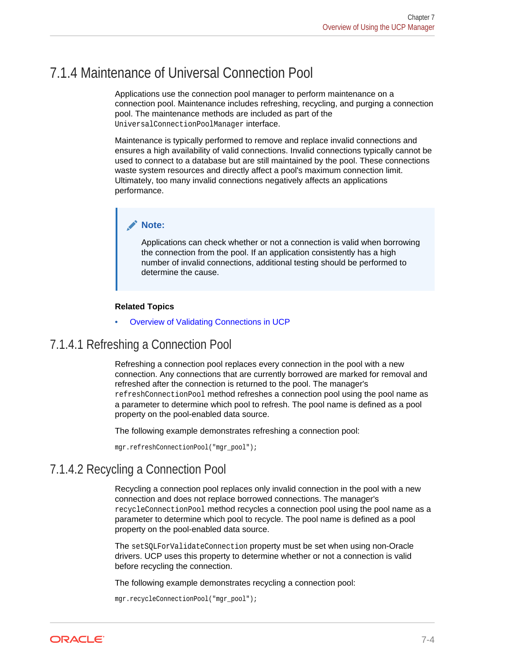### <span id="page-54-0"></span>7.1.4 Maintenance of Universal Connection Pool

Applications use the connection pool manager to perform maintenance on a connection pool. Maintenance includes refreshing, recycling, and purging a connection pool. The maintenance methods are included as part of the UniversalConnectionPoolManager interface.

Maintenance is typically performed to remove and replace invalid connections and ensures a high availability of valid connections. Invalid connections typically cannot be used to connect to a database but are still maintained by the pool. These connections waste system resources and directly affect a pool's maximum connection limit. Ultimately, too many invalid connections negatively affects an applications performance.

### **Note:**

Applications can check whether or not a connection is valid when borrowing the connection from the pool. If an application consistently has a high number of invalid connections, additional testing should be performed to determine the cause.

### **Related Topics**

• [Overview of Validating Connections in UCP](#page-25-0)

### 7.1.4.1 Refreshing a Connection Pool

Refreshing a connection pool replaces every connection in the pool with a new connection. Any connections that are currently borrowed are marked for removal and refreshed after the connection is returned to the pool. The manager's refreshConnectionPool method refreshes a connection pool using the pool name as a parameter to determine which pool to refresh. The pool name is defined as a pool property on the pool-enabled data source.

The following example demonstrates refreshing a connection pool:

```
mgr.refreshConnectionPool("mgr_pool");
```
### 7.1.4.2 Recycling a Connection Pool

Recycling a connection pool replaces only invalid connection in the pool with a new connection and does not replace borrowed connections. The manager's recycleConnectionPool method recycles a connection pool using the pool name as a parameter to determine which pool to recycle. The pool name is defined as a pool property on the pool-enabled data source.

The setSQLForValidateConnection property must be set when using non-Oracle drivers. UCP uses this property to determine whether or not a connection is valid before recycling the connection.

The following example demonstrates recycling a connection pool:

```
mgr.recycleConnectionPool("mgr_pool");
```
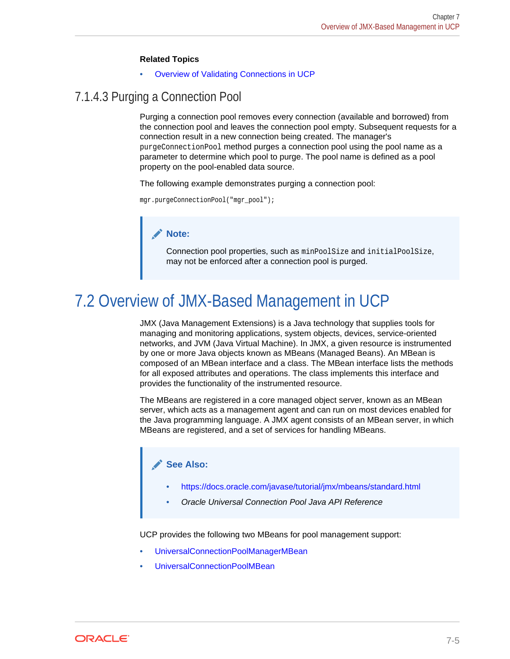#### **Related Topics**

• [Overview of Validating Connections in UCP](#page-25-0)

### <span id="page-55-0"></span>7.1.4.3 Purging a Connection Pool

Purging a connection pool removes every connection (available and borrowed) from the connection pool and leaves the connection pool empty. Subsequent requests for a connection result in a new connection being created. The manager's purgeConnectionPool method purges a connection pool using the pool name as a parameter to determine which pool to purge. The pool name is defined as a pool property on the pool-enabled data source.

The following example demonstrates purging a connection pool:

mgr.purgeConnectionPool("mgr\_pool");

### **Note:**

Connection pool properties, such as minPoolSize and initialPoolSize, may not be enforced after a connection pool is purged.

## 7.2 Overview of JMX-Based Management in UCP

JMX (Java Management Extensions) is a Java technology that supplies tools for managing and monitoring applications, system objects, devices, service-oriented networks, and JVM (Java Virtual Machine). In JMX, a given resource is instrumented by one or more Java objects known as MBeans (Managed Beans). An MBean is composed of an MBean interface and a class. The MBean interface lists the methods for all exposed attributes and operations. The class implements this interface and provides the functionality of the instrumented resource.

The MBeans are registered in a core managed object server, known as an MBean server, which acts as a management agent and can run on most devices enabled for the Java programming language. A JMX agent consists of an MBean server, in which MBeans are registered, and a set of services for handling MBeans.

### **See Also:**

- <https://docs.oracle.com/javase/tutorial/jmx/mbeans/standard.html>
- *Oracle Universal Connection Pool Java API Reference*

UCP provides the following two MBeans for pool management support:

- [UniversalConnectionPoolManagerMBean](#page-56-0)
- [UniversalConnectionPoolMBean](#page-56-0)

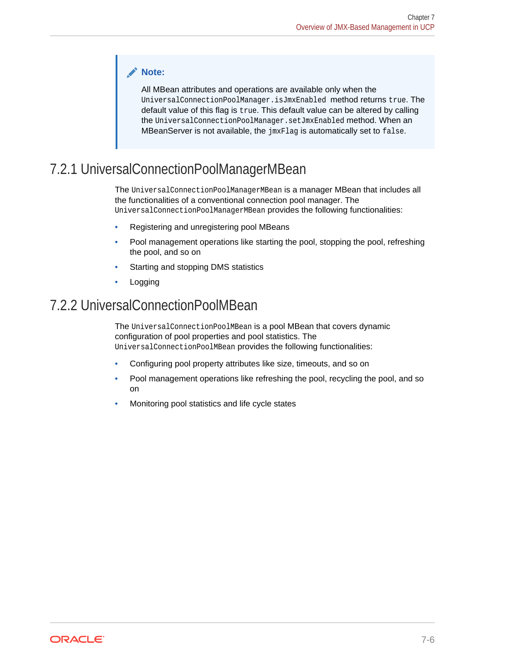### <span id="page-56-0"></span>**Note:**

All MBean attributes and operations are available only when the UniversalConnectionPoolManager.isJmxEnabled method returns true. The default value of this flag is true. This default value can be altered by calling the UniversalConnectionPoolManager.setJmxEnabled method. When an MBeanServer is not available, the jmxFlag is automatically set to false.

### 7.2.1 UniversalConnectionPoolManagerMBean

The UniversalConnectionPoolManagerMBean is a manager MBean that includes all the functionalities of a conventional connection pool manager. The UniversalConnectionPoolManagerMBean provides the following functionalities:

- Registering and unregistering pool MBeans
- Pool management operations like starting the pool, stopping the pool, refreshing the pool, and so on
- Starting and stopping DMS statistics
- **Logging**

### 7.2.2 UniversalConnectionPoolMBean

The UniversalConnectionPoolMBean is a pool MBean that covers dynamic configuration of pool properties and pool statistics. The UniversalConnectionPoolMBean provides the following functionalities:

- Configuring pool property attributes like size, timeouts, and so on
- Pool management operations like refreshing the pool, recycling the pool, and so on
- Monitoring pool statistics and life cycle states

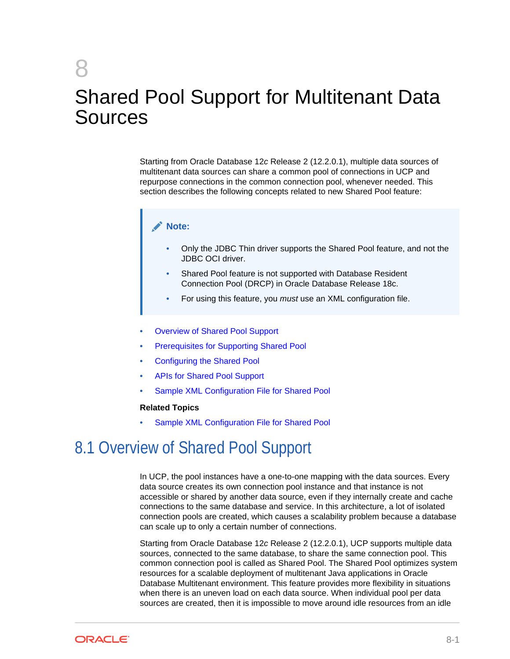# 8 Shared Pool Support for Multitenant Data **Sources**

Starting from Oracle Database 12*c* Release 2 (12.2.0.1), multiple data sources of multitenant data sources can share a common pool of connections in UCP and repurpose connections in the common connection pool, whenever needed. This section describes the following concepts related to new Shared Pool feature:

### **Note:**

- Only the JDBC Thin driver supports the Shared Pool feature, and not the JDBC OCI driver.
- Shared Pool feature is not supported with Database Resident Connection Pool (DRCP) in Oracle Database Release 18c.
- For using this feature, you *must* use an XML configuration file.
- Overview of Shared Pool Support
- [Prerequisites for Supporting Shared Pool](#page-61-0)
- [Configuring the Shared Pool](#page-62-0)
- [APIs for Shared Pool Support](#page-63-0)
- [Sample XML Configuration File for Shared Pool](#page-64-0)

#### **Related Topics**

[Sample XML Configuration File for Shared Pool](#page-64-0)

## 8.1 Overview of Shared Pool Support

In UCP, the pool instances have a one-to-one mapping with the data sources. Every data source creates its own connection pool instance and that instance is not accessible or shared by another data source, even if they internally create and cache connections to the same database and service. In this architecture, a lot of isolated connection pools are created, which causes a scalability problem because a database can scale up to only a certain number of connections.

Starting from Oracle Database 12*c* Release 2 (12.2.0.1), UCP supports multiple data sources, connected to the same database, to share the same connection pool. This common connection pool is called as Shared Pool. The Shared Pool optimizes system resources for a scalable deployment of multitenant Java applications in Oracle Database Multitenant environment. This feature provides more flexibility in situations when there is an uneven load on each data source. When individual pool per data sources are created, then it is impossible to move around idle resources from an idle

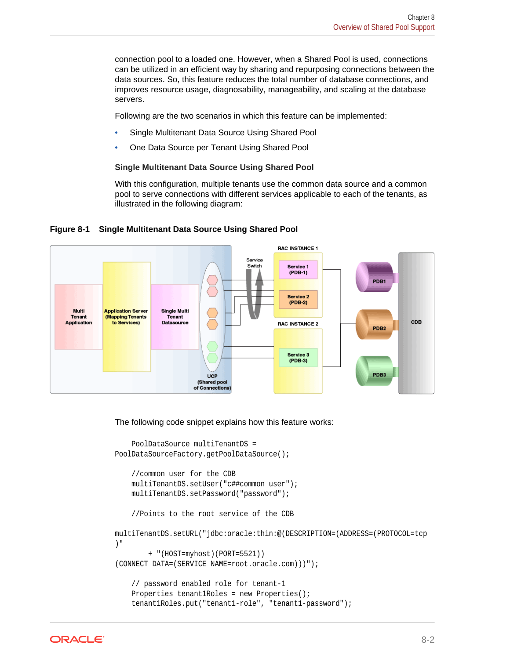connection pool to a loaded one. However, when a Shared Pool is used, connections can be utilized in an efficient way by sharing and repurposing connections between the data sources. So, this feature reduces the total number of database connections, and improves resource usage, diagnosability, manageability, and scaling at the database servers.

Following are the two scenarios in which this feature can be implemented:

- Single Multitenant Data Source Using Shared Pool
- One Data Source per Tenant Using Shared Pool

#### **Single Multitenant Data Source Using Shared Pool**

With this configuration, multiple tenants use the common data source and a common pool to serve connections with different services applicable to each of the tenants, as illustrated in the following diagram:



#### **Figure 8-1 Single Multitenant Data Source Using Shared Pool**

The following code snippet explains how this feature works:

```
 PoolDataSource multiTenantDS = 
PoolDataSourceFactory.getPoolDataSource();
     //common user for the CDB
     multiTenantDS.setUser("c##common_user");
     multiTenantDS.setPassword("password"); 
     //Points to the root service of the CDB
multiTenantDS.setURL("jdbc:oracle:thin:@(DESCRIPTION=(ADDRESS=(PROTOCOL=tcp
)"
         + "(HOST=myhost)(PORT=5521))
(CONNECT_DATA=(SERVICE_NAME=root.oracle.com)))"); 
     // password enabled role for tenant-1
    Properties tenant1Roles = new Properties();
     tenant1Roles.put("tenant1-role", "tenant1-password");
```
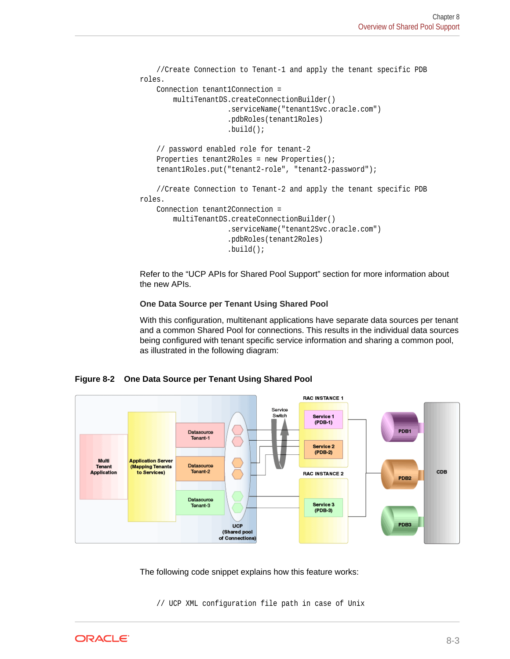```
 //Create Connection to Tenant-1 and apply the tenant specific PDB 
roles.
     Connection tenant1Connection =
         multiTenantDS.createConnectionBuilder()
                       .serviceName("tenant1Svc.oracle.com")
                       .pdbRoles(tenant1Roles)
                       .build();
     // password enabled role for tenant-2
     Properties tenant2Roles = new Properties();
     tenant1Roles.put("tenant2-role", "tenant2-password");
     //Create Connection to Tenant-2 and apply the tenant specific PDB 
roles.
     Connection tenant2Connection =
         multiTenantDS.createConnectionBuilder()
                       .serviceName("tenant2Svc.oracle.com")
                       .pdbRoles(tenant2Roles)
                      .build();
```
Refer to the "UCP APIs for Shared Pool Support" section for more information about the new APIs.

#### **One Data Source per Tenant Using Shared Pool**

With this configuration, multitenant applications have separate data sources per tenant and a common Shared Pool for connections. This results in the individual data sources being configured with tenant specific service information and sharing a common pool, as illustrated in the following diagram:

**Figure 8-2 One Data Source per Tenant Using Shared Pool**



The following code snippet explains how this feature works:

// UCP XML configuration file path in case of Unix

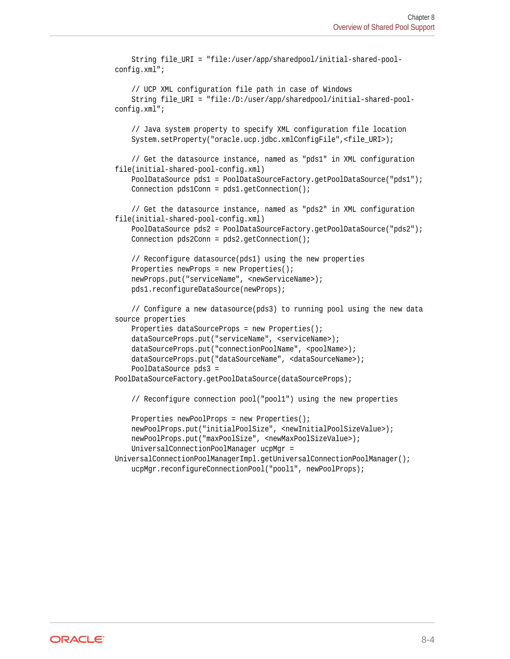```
 String file_URI = "file:/user/app/sharedpool/initial-shared-pool-
config.xml";
     // UCP XML configuration file path in case of Windows 
     String file_URI = "file:/D:/user/app/sharedpool/initial-shared-pool-
config.xml";
     // Java system property to specify XML configuration file location
     System.setProperty("oracle.ucp.jdbc.xmlConfigFile",<file_URI>);
     // Get the datasource instance, named as "pds1" in XML configuration 
file(initial-shared-pool-config.xml)
     PoolDataSource pds1 = PoolDataSourceFactory.getPoolDataSource("pds1");
     Connection pds1Conn = pds1.getConnection();
     // Get the datasource instance, named as "pds2" in XML configuration 
file(initial-shared-pool-config.xml)
     PoolDataSource pds2 = PoolDataSourceFactory.getPoolDataSource("pds2");
     Connection pds2Conn = pds2.getConnection();
     // Reconfigure datasource(pds1) using the new properties
     Properties newProps = new Properties();
     newProps.put("serviceName", <newServiceName>);
     pds1.reconfigureDataSource(newProps);
     // Configure a new datasource(pds3) to running pool using the new data 
source properties
     Properties dataSourceProps = new Properties();
    dataSourceProps.put("serviceName", <serviceName>);
    dataSourceProps.put("connectionPoolName", <poolName>);
     dataSourceProps.put("dataSourceName", <dataSourceName>);
     PoolDataSource pds3 = 
PoolDataSourceFactory.getPoolDataSource(dataSourceProps);
     // Reconfigure connection pool("pool1") using the new properties
    Properties newPoolProps = new Properties();
     newPoolProps.put("initialPoolSize", <newInitialPoolSizeValue>);
     newPoolProps.put("maxPoolSize", <newMaxPoolSizeValue>);
     UniversalConnectionPoolManager ucpMgr = 
UniversalConnectionPoolManagerImpl.getUniversalConnectionPoolManager();
```
ucpMgr.reconfigureConnectionPool("pool1", newPoolProps);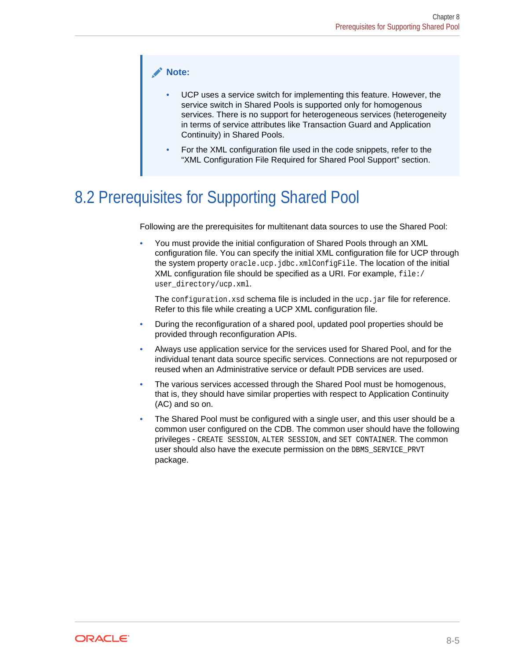### <span id="page-61-0"></span>**Note:**

- UCP uses a service switch for implementing this feature. However, the service switch in Shared Pools is supported only for homogenous services. There is no support for heterogeneous services (heterogeneity in terms of service attributes like Transaction Guard and Application Continuity) in Shared Pools.
- For the XML configuration file used in the code snippets, refer to the "XML Configuration File Required for Shared Pool Support" section.

## 8.2 Prerequisites for Supporting Shared Pool

Following are the prerequisites for multitenant data sources to use the Shared Pool:

• You must provide the initial configuration of Shared Pools through an XML configuration file. You can specify the initial XML configuration file for UCP through the system property oracle.ucp.jdbc.xmlConfigFile. The location of the initial XML configuration file should be specified as a URI. For example, file:/ user\_directory/ucp.xml.

The configuration.xsd schema file is included in the ucp.jar file for reference. Refer to this file while creating a UCP XML configuration file.

- During the reconfiguration of a shared pool, updated pool properties should be provided through reconfiguration APIs.
- Always use application service for the services used for Shared Pool, and for the individual tenant data source specific services. Connections are not repurposed or reused when an Administrative service or default PDB services are used.
- The various services accessed through the Shared Pool must be homogenous, that is, they should have similar properties with respect to Application Continuity (AC) and so on.
- The Shared Pool must be configured with a single user, and this user should be a common user configured on the CDB. The common user should have the following privileges - CREATE SESSION, ALTER SESSION, and SET CONTAINER. The common user should also have the execute permission on the DBMS\_SERVICE\_PRVT package.

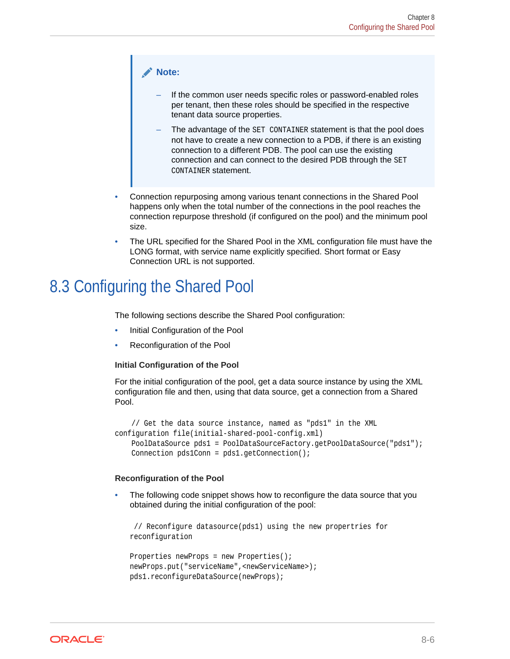#### <span id="page-62-0"></span>**Note:**

- If the common user needs specific roles or password-enabled roles per tenant, then these roles should be specified in the respective tenant data source properties.
- The advantage of the SET CONTAINER statement is that the pool does not have to create a new connection to a PDB, if there is an existing connection to a different PDB. The pool can use the existing connection and can connect to the desired PDB through the SET CONTAINER statement.
- Connection repurposing among various tenant connections in the Shared Pool happens only when the total number of the connections in the pool reaches the connection repurpose threshold (if configured on the pool) and the minimum pool size.
- The URL specified for the Shared Pool in the XML configuration file must have the LONG format, with service name explicitly specified. Short format or Easy Connection URL is not supported.

## 8.3 Configuring the Shared Pool

The following sections describe the Shared Pool configuration:

- Initial Configuration of the Pool
- Reconfiguration of the Pool

#### **Initial Configuration of the Pool**

For the initial configuration of the pool, get a data source instance by using the XML configuration file and then, using that data source, get a connection from a Shared Pool.

```
 // Get the data source instance, named as "pds1" in the XML 
configuration file(initial-shared-pool-config.xml)
     PoolDataSource pds1 = PoolDataSourceFactory.getPoolDataSource("pds1");
     Connection pds1Conn = pds1.getConnection();
```
#### **Reconfiguration of the Pool**

The following code snippet shows how to reconfigure the data source that you obtained during the initial configuration of the pool:

```
 // Reconfigure datasource(pds1) using the new propertries for 
reconfiguration
```

```
Properties newProps = new Properties();
newProps.put("serviceName",<newServiceName>);
pds1.reconfigureDataSource(newProps);
```
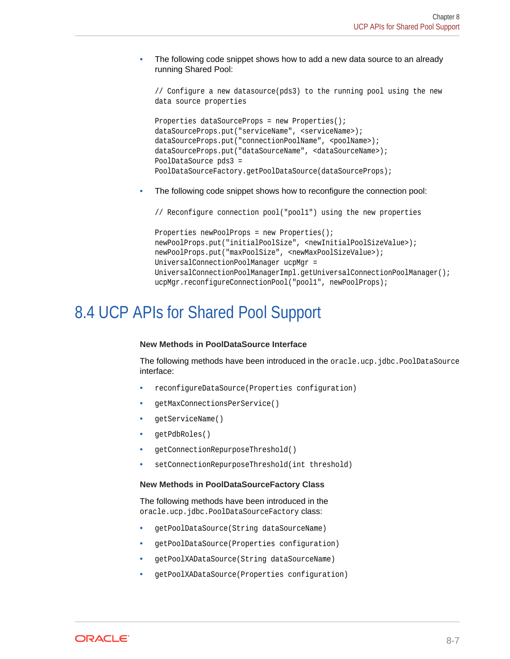<span id="page-63-0"></span>The following code snippet shows how to add a new data source to an already running Shared Pool:

// Configure a new datasource(pds3) to the running pool using the new data source properties

```
Properties dataSourceProps = new Properties();
dataSourceProps.put("serviceName", <serviceName>);
dataSourceProps.put("connectionPoolName", <poolName>);
dataSourceProps.put("dataSourceName", <dataSourceName>);
PoolDataSource pds3 = 
PoolDataSourceFactory.getPoolDataSource(dataSourceProps);
```
The following code snippet shows how to reconfigure the connection pool:

// Reconfigure connection pool("pool1") using the new properties

```
Properties newPoolProps = new Properties();
newPoolProps.put("initialPoolSize", <newInitialPoolSizeValue>);
newPoolProps.put("maxPoolSize", <newMaxPoolSizeValue>);
UniversalConnectionPoolManager ucpMgr = 
UniversalConnectionPoolManagerImpl.getUniversalConnectionPoolManager();
ucpMgr.reconfigureConnectionPool("pool1", newPoolProps);
```
## 8.4 UCP APIs for Shared Pool Support

#### **New Methods in PoolDataSource Interface**

The following methods have been introduced in the oracle.ucp.jdbc.PoolDataSource interface:

- reconfigureDataSource(Properties configuration)
- getMaxConnectionsPerService()
- getServiceName()
- getPdbRoles()
- getConnectionRepurposeThreshold()
- setConnectionRepurposeThreshold(int threshold)

#### **New Methods in PoolDataSourceFactory Class**

The following methods have been introduced in the oracle.ucp.jdbc.PoolDataSourceFactory class:

- getPoolDataSource(String dataSourceName)
- getPoolDataSource(Properties configuration)
- getPoolXADataSource(String dataSourceName)
- getPoolXADataSource(Properties configuration)

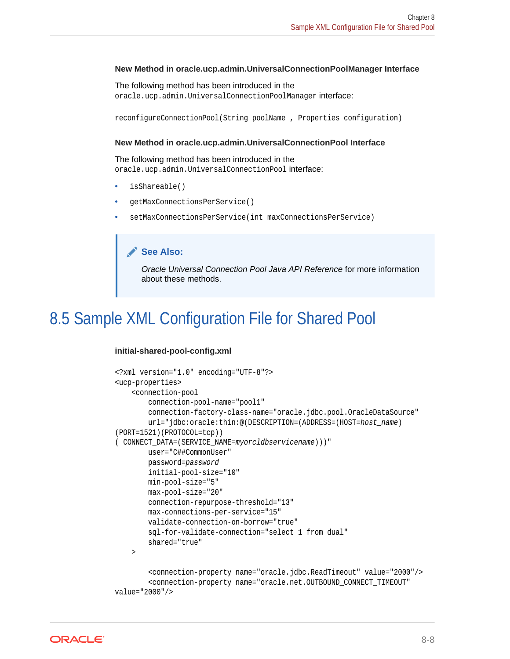#### <span id="page-64-0"></span>**New Method in oracle.ucp.admin.UniversalConnectionPoolManager Interface**

The following method has been introduced in the oracle.ucp.admin.UniversalConnectionPoolManager interface:

reconfigureConnectionPool(String poolName , Properties configuration)

#### **New Method in oracle.ucp.admin.UniversalConnectionPool Interface**

The following method has been introduced in the oracle.ucp.admin.UniversalConnectionPool interface:

- isShareable()
- getMaxConnectionsPerService()
- setMaxConnectionsPerService(int maxConnectionsPerService)

### **See Also:**

*Oracle Universal Connection Pool Java API Reference* for more information about these methods.

## 8.5 Sample XML Configuration File for Shared Pool

#### **initial-shared-pool-config.xml**

```
<?xml version="1.0" encoding="UTF-8"?>
<ucp-properties>
     <connection-pool
         connection-pool-name="pool1"
         connection-factory-class-name="oracle.jdbc.pool.OracleDataSource"
         url="jdbc:oracle:thin:@(DESCRIPTION=(ADDRESS=(HOST=host_name)
(PORT=1521)(PROTOCOL=tcp))
( CONNECT_DATA=(SERVICE_NAME=myorcldbservicename)))"
         user="C##CommonUser"
         password=password 
         initial-pool-size="10"
         min-pool-size="5" 
         max-pool-size="20"
         connection-repurpose-threshold="13"
         max-connections-per-service="15"
         validate-connection-on-borrow="true"
         sql-for-validate-connection="select 1 from dual" 
         shared="true"
    \rightarrow <connection-property name="oracle.jdbc.ReadTimeout" value="2000"/>
         <connection-property name="oracle.net.OUTBOUND_CONNECT_TIMEOUT" 
value="2000"/>
```
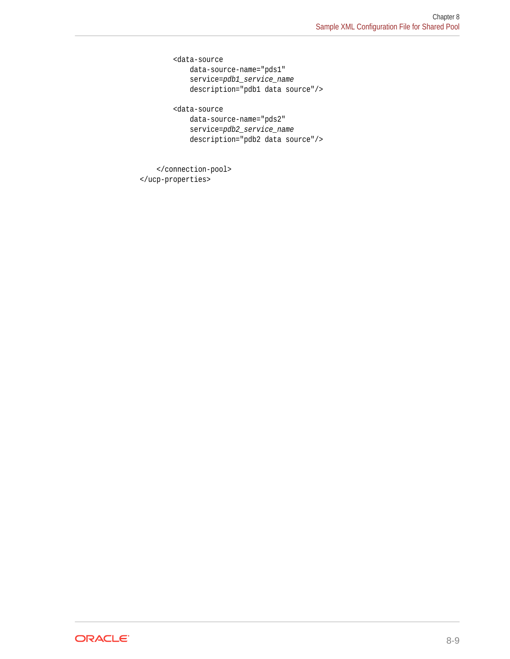```
 <data-source
    data-source-name="pds1"
    service=pdb1_service_name
    description="pdb1 data source"/>
```
<data-source

 data-source-name="pds2" service=pdb2\_service\_name description="pdb2 data source"/>

 </connection-pool> </ucp-properties>

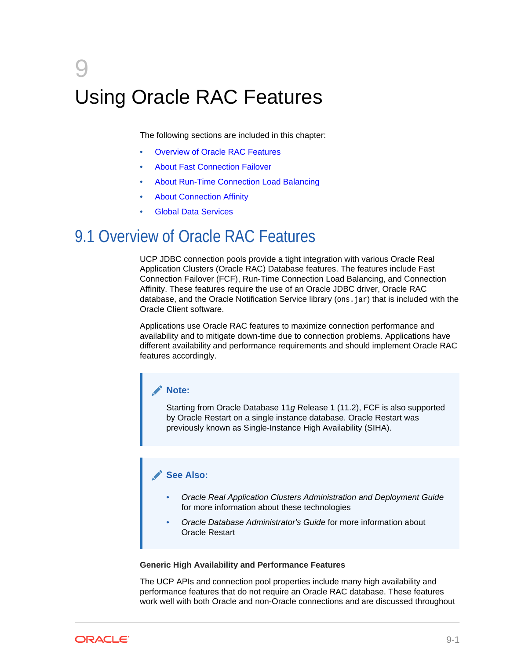# 9 Using Oracle RAC Features

The following sections are included in this chapter:

- Overview of Oracle RAC Features
- [About Fast Connection Failover](#page-67-0)
- [About Run-Time Connection Load Balancing](#page-79-0)
- **[About Connection Affinity](#page-81-0)**
- [Global Data Services](#page-86-0)

## 9.1 Overview of Oracle RAC Features

UCP JDBC connection pools provide a tight integration with various Oracle Real Application Clusters (Oracle RAC) Database features. The features include Fast Connection Failover (FCF), Run-Time Connection Load Balancing, and Connection Affinity. These features require the use of an Oracle JDBC driver, Oracle RAC database, and the Oracle Notification Service library (ons.jar) that is included with the Oracle Client software.

Applications use Oracle RAC features to maximize connection performance and availability and to mitigate down-time due to connection problems. Applications have different availability and performance requirements and should implement Oracle RAC features accordingly.

### **Note:**

Starting from Oracle Database 11*g* Release 1 (11.2), FCF is also supported by Oracle Restart on a single instance database. Oracle Restart was previously known as Single-Instance High Availability (SIHA).

### **See Also:**

- *Oracle Real Application Clusters Administration and Deployment Guide* for more information about these technologies
- *Oracle Database Administrator's Guide* for more information about Oracle Restart

#### **Generic High Availability and Performance Features**

The UCP APIs and connection pool properties include many high availability and performance features that do not require an Oracle RAC database. These features work well with both Oracle and non-Oracle connections and are discussed throughout

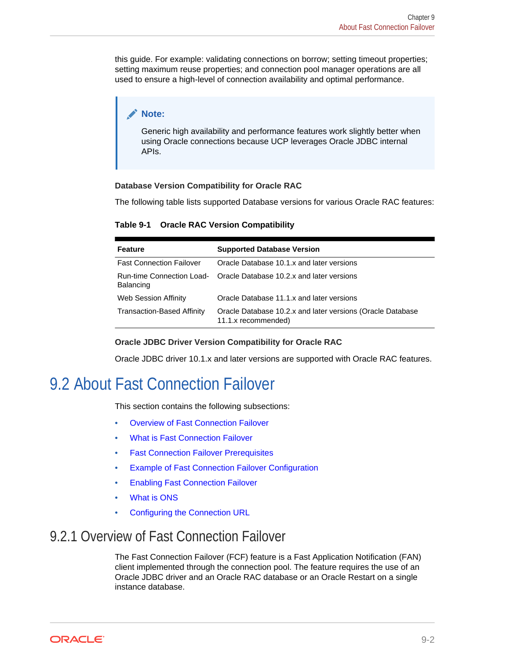<span id="page-67-0"></span>this guide. For example: validating connections on borrow; setting timeout properties; setting maximum reuse properties; and connection pool manager operations are all used to ensure a high-level of connection availability and optimal performance.



#### **Database Version Compatibility for Oracle RAC**

The following table lists supported Database versions for various Oracle RAC features:

**Table 9-1 Oracle RAC Version Compatibility**

| <b>Feature</b>                    | <b>Supported Database Version</b>                                                 |
|-----------------------------------|-----------------------------------------------------------------------------------|
| <b>Fast Connection Failover</b>   | Oracle Database 10.1.x and later versions                                         |
| <b>Balancing</b>                  | Run-time Connection Load- Oracle Database 10.2.x and later versions               |
| <b>Web Session Affinity</b>       | Oracle Database 11.1.x and later versions                                         |
| <b>Transaction-Based Affinity</b> | Oracle Database 10.2.x and later versions (Oracle Database<br>11.1.x recommended) |

### **Oracle JDBC Driver Version Compatibility for Oracle RAC**

Oracle JDBC driver 10.1.x and later versions are supported with Oracle RAC features.

## 9.2 About Fast Connection Failover

This section contains the following subsections:

- Overview of Fast Connection Failover
- [What is Fast Connection Failover](#page-69-0)
- **[Fast Connection Failover Prerequisites](#page-70-0)**
- **[Example of Fast Connection Failover Configuration](#page-71-0)**
- [Enabling Fast Connection Failover](#page-71-0)
- [What is ONS](#page-72-0)
- [Configuring the Connection URL](#page-78-0)

### 9.2.1 Overview of Fast Connection Failover

The Fast Connection Failover (FCF) feature is a Fast Application Notification (FAN) client implemented through the connection pool. The feature requires the use of an Oracle JDBC driver and an Oracle RAC database or an Oracle Restart on a single instance database.

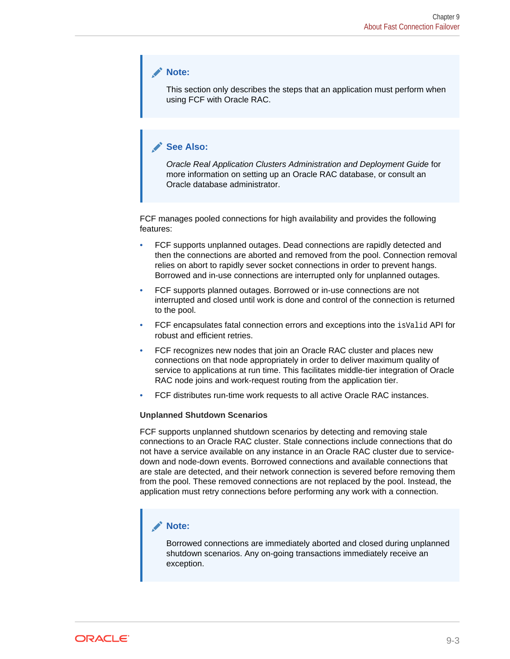### **Note:**

This section only describes the steps that an application must perform when using FCF with Oracle RAC.

### **See Also:**

*Oracle Real Application Clusters Administration and Deployment Guide* for more information on setting up an Oracle RAC database, or consult an Oracle database administrator.

FCF manages pooled connections for high availability and provides the following features:

- FCF supports unplanned outages. Dead connections are rapidly detected and then the connections are aborted and removed from the pool. Connection removal relies on abort to rapidly sever socket connections in order to prevent hangs. Borrowed and in-use connections are interrupted only for unplanned outages.
- FCF supports planned outages. Borrowed or in-use connections are not interrupted and closed until work is done and control of the connection is returned to the pool.
- FCF encapsulates fatal connection errors and exceptions into the isValid API for robust and efficient retries.
- FCF recognizes new nodes that join an Oracle RAC cluster and places new connections on that node appropriately in order to deliver maximum quality of service to applications at run time. This facilitates middle-tier integration of Oracle RAC node joins and work-request routing from the application tier.
- FCF distributes run-time work requests to all active Oracle RAC instances.

#### **Unplanned Shutdown Scenarios**

FCF supports unplanned shutdown scenarios by detecting and removing stale connections to an Oracle RAC cluster. Stale connections include connections that do not have a service available on any instance in an Oracle RAC cluster due to servicedown and node-down events. Borrowed connections and available connections that are stale are detected, and their network connection is severed before removing them from the pool. These removed connections are not replaced by the pool. Instead, the application must retry connections before performing any work with a connection.

### **Note:**

Borrowed connections are immediately aborted and closed during unplanned shutdown scenarios. Any on-going transactions immediately receive an exception.

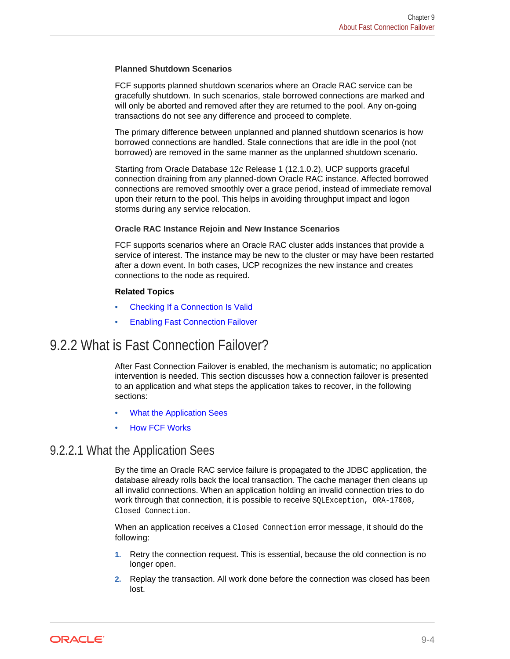#### <span id="page-69-0"></span>**Planned Shutdown Scenarios**

FCF supports planned shutdown scenarios where an Oracle RAC service can be gracefully shutdown. In such scenarios, stale borrowed connections are marked and will only be aborted and removed after they are returned to the pool. Any on-going transactions do not see any difference and proceed to complete.

The primary difference between unplanned and planned shutdown scenarios is how borrowed connections are handled. Stale connections that are idle in the pool (not borrowed) are removed in the same manner as the unplanned shutdown scenario.

Starting from Oracle Database 12*c* Release 1 (12.1.0.2), UCP supports graceful connection draining from any planned-down Oracle RAC instance. Affected borrowed connections are removed smoothly over a grace period, instead of immediate removal upon their return to the pool. This helps in avoiding throughput impact and logon storms during any service relocation.

#### **Oracle RAC Instance Rejoin and New Instance Scenarios**

FCF supports scenarios where an Oracle RAC cluster adds instances that provide a service of interest. The instance may be new to the cluster or may have been restarted after a down event. In both cases, UCP recognizes the new instance and creates connections to the node as required.

#### **Related Topics**

- [Checking If a Connection Is Valid](#page-27-0)
- [Enabling Fast Connection Failover](#page-71-0)

### 9.2.2 What is Fast Connection Failover?

After Fast Connection Failover is enabled, the mechanism is automatic; no application intervention is needed. This section discusses how a connection failover is presented to an application and what steps the application takes to recover, in the following sections:

- What the Application Sees
- [How FCF Works](#page-70-0)

### 9.2.2.1 What the Application Sees

By the time an Oracle RAC service failure is propagated to the JDBC application, the database already rolls back the local transaction. The cache manager then cleans up all invalid connections. When an application holding an invalid connection tries to do work through that connection, it is possible to receive SQLException, ORA-17008, Closed Connection.

When an application receives a Closed Connection error message, it should do the following:

- **1.** Retry the connection request. This is essential, because the old connection is no longer open.
- **2.** Replay the transaction. All work done before the connection was closed has been lost.

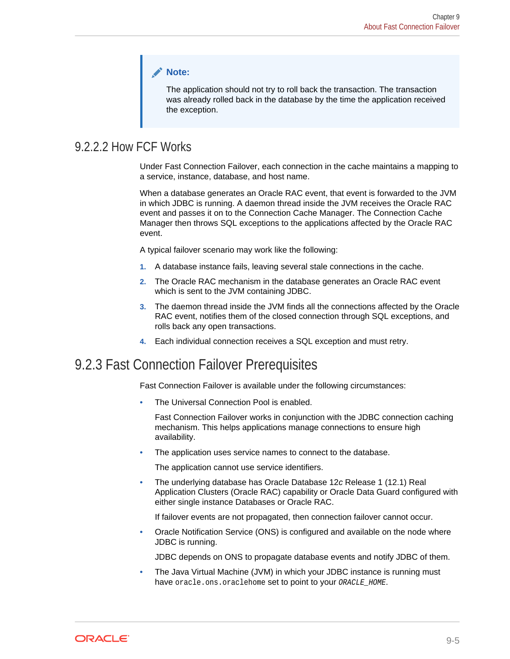### **Note:**

The application should not try to roll back the transaction. The transaction was already rolled back in the database by the time the application received the exception.

### <span id="page-70-0"></span>9.2.2.2 How FCF Works

Under Fast Connection Failover, each connection in the cache maintains a mapping to a service, instance, database, and host name.

When a database generates an Oracle RAC event, that event is forwarded to the JVM in which JDBC is running. A daemon thread inside the JVM receives the Oracle RAC event and passes it on to the Connection Cache Manager. The Connection Cache Manager then throws SQL exceptions to the applications affected by the Oracle RAC event.

A typical failover scenario may work like the following:

- **1.** A database instance fails, leaving several stale connections in the cache.
- **2.** The Oracle RAC mechanism in the database generates an Oracle RAC event which is sent to the JVM containing JDBC.
- **3.** The daemon thread inside the JVM finds all the connections affected by the Oracle RAC event, notifies them of the closed connection through SQL exceptions, and rolls back any open transactions.
- **4.** Each individual connection receives a SQL exception and must retry.

### 9.2.3 Fast Connection Failover Prerequisites

Fast Connection Failover is available under the following circumstances:

The Universal Connection Pool is enabled.

Fast Connection Failover works in conjunction with the JDBC connection caching mechanism. This helps applications manage connections to ensure high availability.

The application uses service names to connect to the database.

The application cannot use service identifiers.

• The underlying database has Oracle Database 12*c* Release 1 (12.1) Real Application Clusters (Oracle RAC) capability or Oracle Data Guard configured with either single instance Databases or Oracle RAC.

If failover events are not propagated, then connection failover cannot occur.

• Oracle Notification Service (ONS) is configured and available on the node where JDBC is running.

JDBC depends on ONS to propagate database events and notify JDBC of them.

• The Java Virtual Machine (JVM) in which your JDBC instance is running must have oracle.ons.oraclehome set to point to your ORACLE HOME.

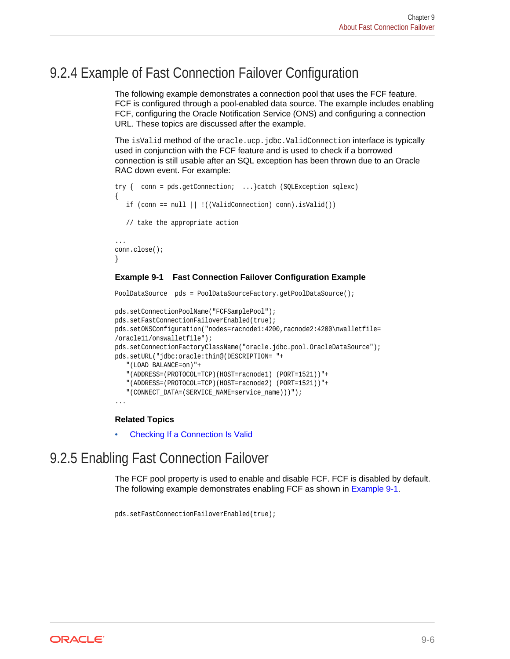### <span id="page-71-0"></span>9.2.4 Example of Fast Connection Failover Configuration

The following example demonstrates a connection pool that uses the FCF feature. FCF is configured through a pool-enabled data source. The example includes enabling FCF, configuring the Oracle Notification Service (ONS) and configuring a connection URL. These topics are discussed after the example.

The isValid method of the oracle.ucp.jdbc.ValidConnection interface is typically used in conjunction with the FCF feature and is used to check if a borrowed connection is still usable after an SQL exception has been thrown due to an Oracle RAC down event. For example:

```
try { conn = pds.getConnection; ...}catch (SQLException sqlexc)
{
    if (conn == null || !((ValidConnection) conn).isValid())
    // take the appropriate action
...
conn.close();
}
```
#### **Example 9-1 Fast Connection Failover Configuration Example**

```
PoolDataSource pds = PoolDataSourceFactory.getPoolDataSource();
```

```
pds.setConnectionPoolName("FCFSamplePool");
pds.setFastConnectionFailoverEnabled(true);
pds.setONSConfiguration("nodes=racnode1:4200,racnode2:4200\nwalletfile=
/oracle11/onswalletfile");
pds.setConnectionFactoryClassName("oracle.jdbc.pool.OracleDataSource");
pds.setURL("jdbc:oracle:thin@(DESCRIPTION= "+
    "(LOAD_BALANCE=on)"+
    "(ADDRESS=(PROTOCOL=TCP)(HOST=racnode1) (PORT=1521))"+
    "(ADDRESS=(PROTOCOL=TCP)(HOST=racnode2) (PORT=1521))"+
    "(CONNECT_DATA=(SERVICE_NAME=service_name)))");
...
```
#### **Related Topics**

• [Checking If a Connection Is Valid](#page-27-0)

### 9.2.5 Enabling Fast Connection Failover

The FCF pool property is used to enable and disable FCF. FCF is disabled by default. The following example demonstrates enabling FCF as shown in Example 9-1.

pds.setFastConnectionFailoverEnabled(true);

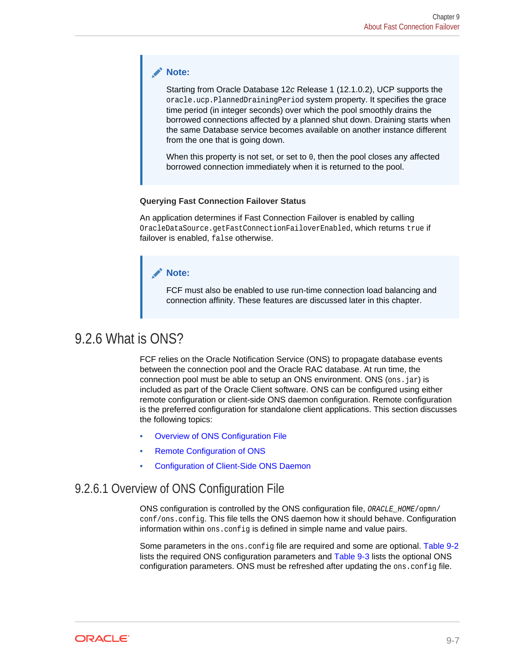#### **Note:**

Starting from Oracle Database 12*c* Release 1 (12.1.0.2), UCP supports the oracle.ucp.PlannedDrainingPeriod system property. It specifies the grace time period (in integer seconds) over which the pool smoothly drains the borrowed connections affected by a planned shut down. Draining starts when the same Database service becomes available on another instance different from the one that is going down.

When this property is not set, or set to 0, then the pool closes any affected borrowed connection immediately when it is returned to the pool.

#### **Querying Fast Connection Failover Status**

An application determines if Fast Connection Failover is enabled by calling OracleDataSource.getFastConnectionFailoverEnabled, which returns true if failover is enabled, false otherwise.

#### **Note:**

FCF must also be enabled to use run-time connection load balancing and connection affinity. These features are discussed later in this chapter.

### 9.2.6 What is ONS?

FCF relies on the Oracle Notification Service (ONS) to propagate database events between the connection pool and the Oracle RAC database. At run time, the connection pool must be able to setup an ONS environment. ONS (ons. jar) is included as part of the Oracle Client software. ONS can be configured using either remote configuration or client-side ONS daemon configuration. Remote configuration is the preferred configuration for standalone client applications. This section discusses the following topics:

- Overview of ONS Configuration File
- [Remote Configuration of ONS](#page-75-0)
- [Configuration of Client-Side ONS Daemon](#page-76-0)

### 9.2.6.1 Overview of ONS Configuration File

ONS configuration is controlled by the ONS configuration file, ORACLE\_HOME/opmn/ conf/ons.config. This file tells the ONS daemon how it should behave. Configuration information within ons.config is defined in simple name and value pairs.

Some parameters in the ons.config file are required and some are optional. [Table 9-2](#page-73-0) lists the required ONS configuration parameters and [Table 9-3](#page-74-0) lists the optional ONS configuration parameters. ONS must be refreshed after updating the ons.config file.

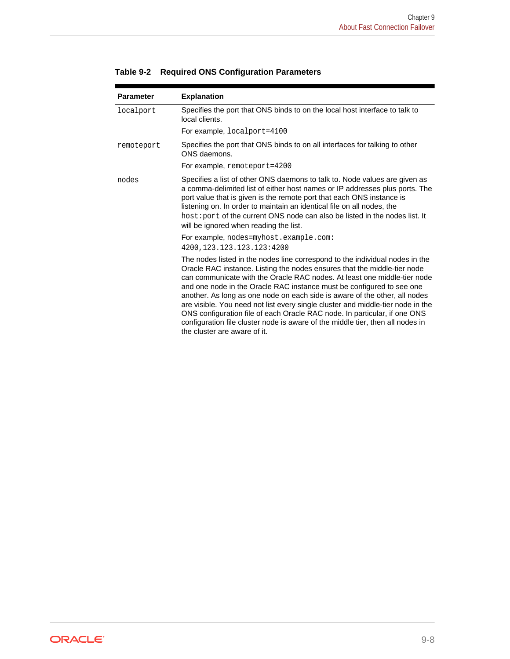| <b>Parameter</b> | <b>Explanation</b>                                                                                                                                                                                                                                                                                                                                                                                                                                                                                                                                                                                                                                                            |
|------------------|-------------------------------------------------------------------------------------------------------------------------------------------------------------------------------------------------------------------------------------------------------------------------------------------------------------------------------------------------------------------------------------------------------------------------------------------------------------------------------------------------------------------------------------------------------------------------------------------------------------------------------------------------------------------------------|
| localport        | Specifies the port that ONS binds to on the local host interface to talk to<br>local clients.                                                                                                                                                                                                                                                                                                                                                                                                                                                                                                                                                                                 |
|                  | For example, localport=4100                                                                                                                                                                                                                                                                                                                                                                                                                                                                                                                                                                                                                                                   |
| remoteport       | Specifies the port that ONS binds to on all interfaces for talking to other<br>ONS daemons.                                                                                                                                                                                                                                                                                                                                                                                                                                                                                                                                                                                   |
|                  | For example, remoteport=4200                                                                                                                                                                                                                                                                                                                                                                                                                                                                                                                                                                                                                                                  |
| nodes            | Specifies a list of other ONS daemons to talk to. Node values are given as<br>a comma-delimited list of either host names or IP addresses plus ports. The<br>port value that is given is the remote port that each ONS instance is<br>listening on. In order to maintain an identical file on all nodes, the<br>host: port of the current ONS node can also be listed in the nodes list. It<br>will be ignored when reading the list.                                                                                                                                                                                                                                         |
|                  | For example, nodes=myhost.example.com:<br>4200, 123, 123, 123, 123: 4200                                                                                                                                                                                                                                                                                                                                                                                                                                                                                                                                                                                                      |
|                  | The nodes listed in the nodes line correspond to the individual nodes in the<br>Oracle RAC instance. Listing the nodes ensures that the middle-tier node<br>can communicate with the Oracle RAC nodes. At least one middle-tier node<br>and one node in the Oracle RAC instance must be configured to see one<br>another. As long as one node on each side is aware of the other, all nodes<br>are visible. You need not list every single cluster and middle-tier node in the<br>ONS configuration file of each Oracle RAC node. In particular, if one ONS<br>configuration file cluster node is aware of the middle tier, then all nodes in<br>the cluster are aware of it. |

#### <span id="page-73-0"></span>**Table 9-2 Required ONS Configuration Parameters**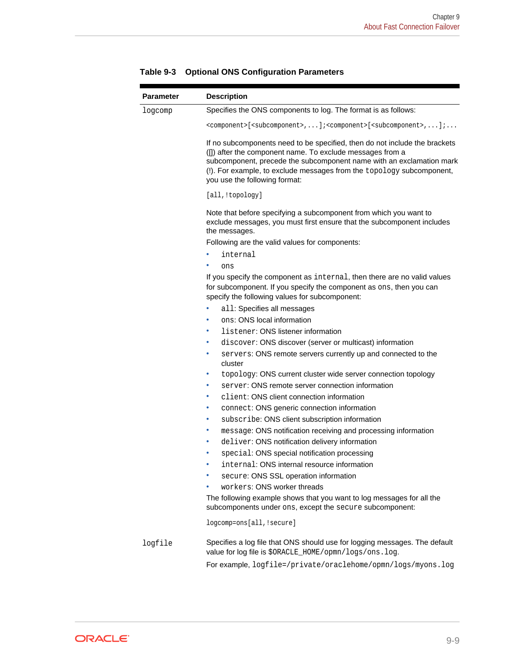| <b>Parameter</b> | <b>Description</b>                                                                                                                                                                                                                                                                                                        |
|------------------|---------------------------------------------------------------------------------------------------------------------------------------------------------------------------------------------------------------------------------------------------------------------------------------------------------------------------|
| logcomp          | Specifies the ONS components to log. The format is as follows:                                                                                                                                                                                                                                                            |
|                  | <component>[<subcomponent>,];<component>[<subcomponent>,];</subcomponent></component></subcomponent></component>                                                                                                                                                                                                          |
|                  | If no subcomponents need to be specified, then do not include the brackets<br>([]) after the component name. To exclude messages from a<br>subcomponent, precede the subcomponent name with an exclamation mark<br>(!). For example, to exclude messages from the topology subcomponent,<br>you use the following format: |
|                  | [all, !topology]                                                                                                                                                                                                                                                                                                          |
|                  | Note that before specifying a subcomponent from which you want to<br>exclude messages, you must first ensure that the subcomponent includes<br>the messages.                                                                                                                                                              |
|                  | Following are the valid values for components:                                                                                                                                                                                                                                                                            |
|                  | internal<br>۰                                                                                                                                                                                                                                                                                                             |
|                  | ons                                                                                                                                                                                                                                                                                                                       |
|                  | If you specify the component as internal, then there are no valid values<br>for subcomponent. If you specify the component as ons, then you can<br>specify the following values for subcomponent:                                                                                                                         |
|                  | all: Specifies all messages                                                                                                                                                                                                                                                                                               |
|                  | ons: ONS local information<br>۰                                                                                                                                                                                                                                                                                           |
|                  | listener: ONS listener information<br>٠                                                                                                                                                                                                                                                                                   |
|                  | discover: ONS discover (server or multicast) information<br>۰                                                                                                                                                                                                                                                             |
|                  | servers: ONS remote servers currently up and connected to the<br>cluster                                                                                                                                                                                                                                                  |
|                  | topology: ONS current cluster wide server connection topology<br>٠                                                                                                                                                                                                                                                        |
|                  | server: ONS remote server connection information                                                                                                                                                                                                                                                                          |
|                  | client: ONS client connection information                                                                                                                                                                                                                                                                                 |
|                  | connect: ONS generic connection information<br>٠                                                                                                                                                                                                                                                                          |
|                  | subscribe: ONS client subscription information                                                                                                                                                                                                                                                                            |
|                  | message: ONS notification receiving and processing information                                                                                                                                                                                                                                                            |
|                  | deliver: ONS notification delivery information                                                                                                                                                                                                                                                                            |
|                  | special: ONS special notification processing                                                                                                                                                                                                                                                                              |
|                  | internal: ONS internal resource information                                                                                                                                                                                                                                                                               |
|                  | secure: ONS SSL operation information                                                                                                                                                                                                                                                                                     |
|                  | workers: ONS worker threads                                                                                                                                                                                                                                                                                               |
|                  | The following example shows that you want to log messages for all the<br>subcomponents under ons, except the secure subcomponent:                                                                                                                                                                                         |
|                  | logcomp=ons[all, !secure]                                                                                                                                                                                                                                                                                                 |
| logfile          | Specifies a log file that ONS should use for logging messages. The default<br>value for log file is \$ORACLE_HOME/opmn/logs/ons.log.                                                                                                                                                                                      |
|                  | For example, logfile=/private/oraclehome/opmn/logs/myons.log                                                                                                                                                                                                                                                              |

#### <span id="page-74-0"></span>**Table 9-3 Optional ONS Configuration Parameters**

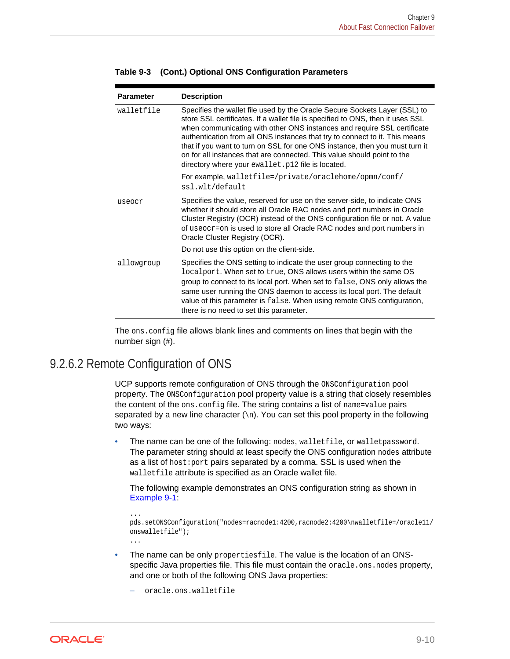| <b>Parameter</b> | <b>Description</b>                                                                                                                                                                                                                                                                                                                                                                                                                                                                                                                    |
|------------------|---------------------------------------------------------------------------------------------------------------------------------------------------------------------------------------------------------------------------------------------------------------------------------------------------------------------------------------------------------------------------------------------------------------------------------------------------------------------------------------------------------------------------------------|
| walletfile       | Specifies the wallet file used by the Oracle Secure Sockets Layer (SSL) to<br>store SSL certificates. If a wallet file is specified to ONS, then it uses SSL<br>when communicating with other ONS instances and require SSL certificate<br>authentication from all ONS instances that try to connect to it. This means<br>that if you want to turn on SSL for one ONS instance, then you must turn it<br>on for all instances that are connected. This value should point to the<br>directory where your ewallet.p12 file is located. |
|                  | For example, walletfile=/private/oraclehome/opmn/conf/<br>ssl.wlt/default                                                                                                                                                                                                                                                                                                                                                                                                                                                             |
| useocr           | Specifies the value, reserved for use on the server-side, to indicate ONS<br>whether it should store all Oracle RAC nodes and port numbers in Oracle<br>Cluster Registry (OCR) instead of the ONS configuration file or not. A value<br>of useocr=on is used to store all Oracle RAC nodes and port numbers in<br>Oracle Cluster Registry (OCR).                                                                                                                                                                                      |
|                  | Do not use this option on the client-side.                                                                                                                                                                                                                                                                                                                                                                                                                                                                                            |
| allowgroup       | Specifies the ONS setting to indicate the user group connecting to the<br>localport. When set to true, ONS allows users within the same OS<br>group to connect to its local port. When set to false, ONS only allows the<br>same user running the ONS daemon to access its local port. The default<br>value of this parameter is false. When using remote ONS configuration,<br>there is no need to set this parameter.                                                                                                               |

<span id="page-75-0"></span>**Table 9-3 (Cont.) Optional ONS Configuration Parameters**

The ons.config file allows blank lines and comments on lines that begin with the number sign (#).

### 9.2.6.2 Remote Configuration of ONS

...

UCP supports remote configuration of ONS through the ONSConfiguration pool property. The ONSConfiguration pool property value is a string that closely resembles the content of the ons.config file. The string contains a list of name=value pairs separated by a new line character  $(\nabla n)$ . You can set this pool property in the following two ways:

The name can be one of the following: nodes, walletfile, or walletpassword. The parameter string should at least specify the ONS configuration nodes attribute as a list of host: port pairs separated by a comma. SSL is used when the walletfile attribute is specified as an Oracle wallet file.

The following example demonstrates an ONS configuration string as shown in [Example 9-1](#page-71-0):

```
pds.setONSConfiguration("nodes=racnode1:4200,racnode2:4200\nwalletfile=/oracle11/
onswalletfile");
...
```
The name can be only propertiesfile. The value is the location of an ONSspecific Java properties file. This file must contain the oracle.ons.nodes property, and one or both of the following ONS Java properties:

```
– oracle.ons.walletfile
```
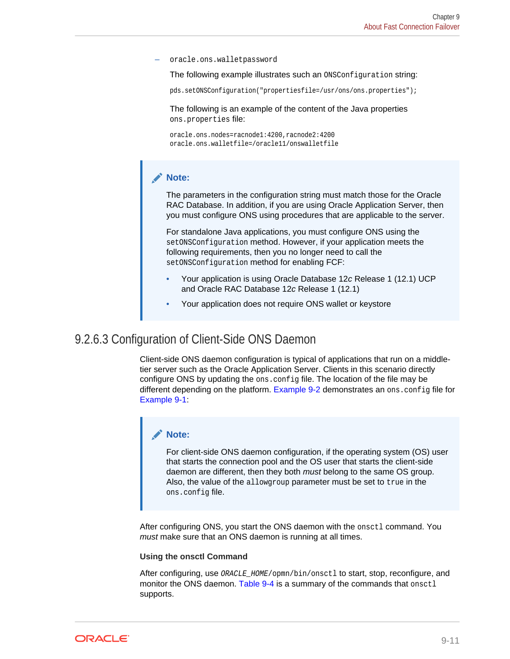<span id="page-76-0"></span>– oracle.ons.walletpassword

The following example illustrates such an ONSConfiguration string:

pds.setONSConfiguration("propertiesfile=/usr/ons/ons.properties");

The following is an example of the content of the Java properties ons.properties file:

oracle.ons.nodes=racnode1:4200,racnode2:4200 oracle.ons.walletfile=/oracle11/onswalletfile

#### **Note:**

The parameters in the configuration string must match those for the Oracle RAC Database. In addition, if you are using Oracle Application Server, then you must configure ONS using procedures that are applicable to the server.

For standalone Java applications, you must configure ONS using the setONSConfiguration method. However, if your application meets the following requirements, then you no longer need to call the setONSConfiguration method for enabling FCF:

- Your application is using Oracle Database 12*c* Release 1 (12.1) UCP and Oracle RAC Database 12*c* Release 1 (12.1)
- Your application does not require ONS wallet or keystore

### 9.2.6.3 Configuration of Client-Side ONS Daemon

Client-side ONS daemon configuration is typical of applications that run on a middletier server such as the Oracle Application Server. Clients in this scenario directly configure ONS by updating the ons.config file. The location of the file may be different depending on the platform. [Example 9-2](#page-78-0) demonstrates an ons.config file for [Example 9-1](#page-71-0):

#### **Note:**

For client-side ONS daemon configuration, if the operating system (OS) user that starts the connection pool and the OS user that starts the client-side daemon are different, then they both *must* belong to the same OS group. Also, the value of the allowgroup parameter must be set to true in the ons.config file.

After configuring ONS, you start the ONS daemon with the onsctl command. You *must* make sure that an ONS daemon is running at all times.

#### **Using the onsctl Command**

After configuring, use *ORACLE HOME*/opmn/bin/onsctl to start, stop, reconfigure, and monitor the ONS daemon. [Table 9-4](#page-77-0) is a summary of the commands that onset l supports.

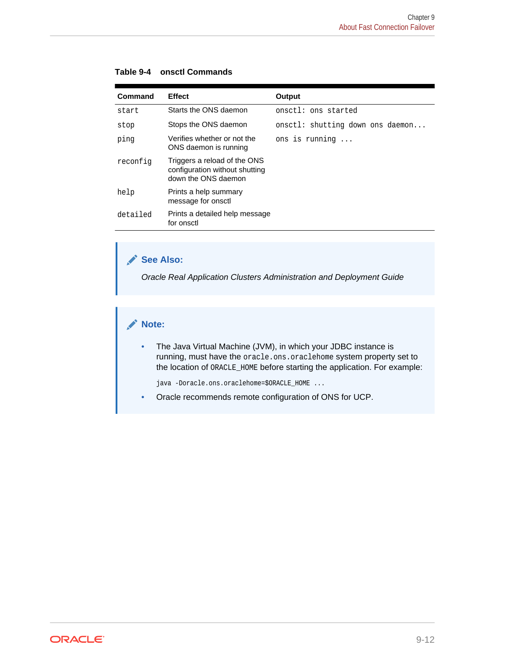| Command  | <b>Effect</b>                                                                         | Output                           |
|----------|---------------------------------------------------------------------------------------|----------------------------------|
| start    | Starts the ONS daemon                                                                 | onsctl: ons started              |
| stop     | Stops the ONS daemon                                                                  | onsctl: shutting down ons daemon |
| ping     | Verifies whether or not the<br>ONS daemon is running                                  | ons is running                   |
| reconfig | Triggers a reload of the ONS<br>configuration without shutting<br>down the ONS daemon |                                  |
| help     | Prints a help summary<br>message for onsctl                                           |                                  |
| detailed | Prints a detailed help message<br>for onsctl                                          |                                  |

#### <span id="page-77-0"></span>**Table 9-4 onsctl Commands**

#### See Also:

*Oracle Real Application Clusters Administration and Deployment Guide*

#### **Note:**

• The Java Virtual Machine (JVM), in which your JDBC instance is running, must have the oracle.ons.oraclehome system property set to the location of ORACLE\_HOME before starting the application. For example:

java -Doracle.ons.oraclehome=\$ORACLE\_HOME ...

• Oracle recommends remote configuration of ONS for UCP.

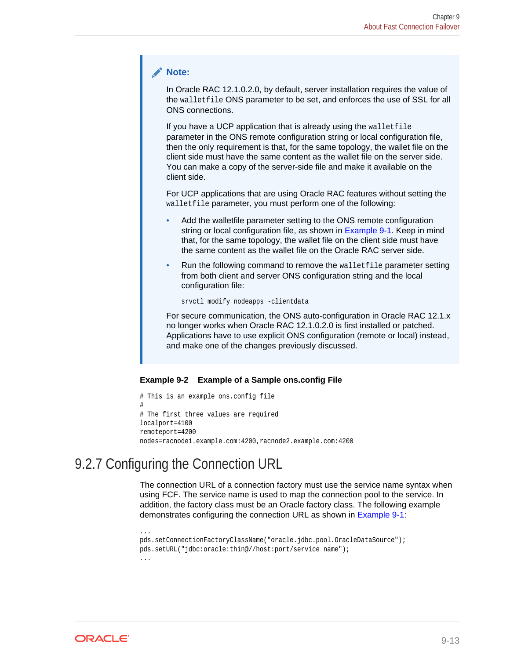#### <span id="page-78-0"></span>**Note:**

In Oracle RAC 12.1.0.2.0, by default, server installation requires the value of the walletfile ONS parameter to be set, and enforces the use of SSL for all ONS connections.

If you have a UCP application that is already using the walletfile parameter in the ONS remote configuration string or local configuration file, then the only requirement is that, for the same topology, the wallet file on the client side must have the same content as the wallet file on the server side. You can make a copy of the server-side file and make it available on the client side.

For UCP applications that are using Oracle RAC features without setting the walletfile parameter, you must perform one of the following:

- Add the walletfile parameter setting to the ONS remote configuration string or local configuration file, as shown in [Example 9-1](#page-71-0). Keep in mind that, for the same topology, the wallet file on the client side must have the same content as the wallet file on the Oracle RAC server side.
- Run the following command to remove the walletfile parameter setting from both client and server ONS configuration string and the local configuration file:

srvctl modify nodeapps -clientdata

For secure communication, the ONS auto-configuration in Oracle RAC 12.1.x no longer works when Oracle RAC 12.1.0.2.0 is first installed or patched. Applications have to use explicit ONS configuration (remote or local) instead, and make one of the changes previously discussed.

#### **Example 9-2 Example of a Sample ons.config File**

```
# This is an example ons.config file
#
# The first three values are required
localport=4100
remoteport=4200
nodes=racnode1.example.com:4200,racnode2.example.com:4200
```
### 9.2.7 Configuring the Connection URL

...

The connection URL of a connection factory must use the service name syntax when using FCF. The service name is used to map the connection pool to the service. In addition, the factory class must be an Oracle factory class. The following example demonstrates configuring the connection URL as shown in [Example 9-1](#page-71-0):

```
pds.setConnectionFactoryClassName("oracle.jdbc.pool.OracleDataSource");
pds.setURL("jdbc:oracle:thin@//host:port/service_name");
...
```
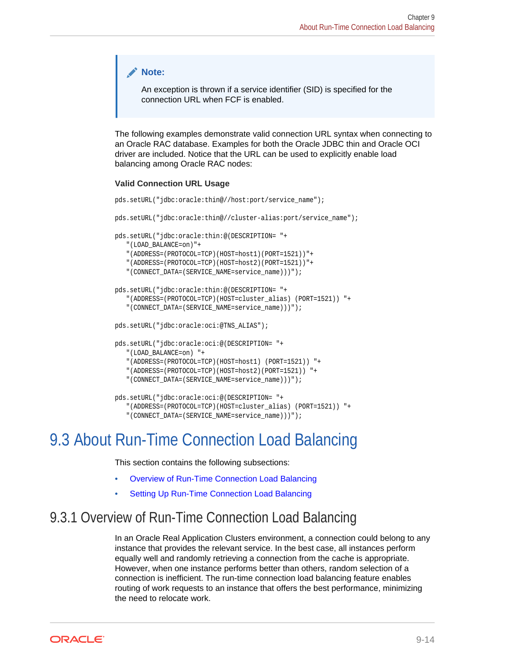<span id="page-79-0"></span>**Note:** An exception is thrown if a service identifier (SID) is specified for the connection URL when FCF is enabled.

The following examples demonstrate valid connection URL syntax when connecting to an Oracle RAC database. Examples for both the Oracle JDBC thin and Oracle OCI driver are included. Notice that the URL can be used to explicitly enable load balancing among Oracle RAC nodes:

#### **Valid Connection URL Usage**

```
pds.setURL("jdbc:oracle:thin@//host:port/service_name"); 
pds.setURL("jdbc:oracle:thin@//cluster-alias:port/service_name"); 
pds.setURL("jdbc:oracle:thin:@(DESCRIPTION= "+
    "(LOAD_BALANCE=on)"+
    "(ADDRESS=(PROTOCOL=TCP)(HOST=host1)(PORT=1521))"+
    "(ADDRESS=(PROTOCOL=TCP)(HOST=host2)(PORT=1521))"+
    "(CONNECT_DATA=(SERVICE_NAME=service_name)))");
pds.setURL("jdbc:oracle:thin:@(DESCRIPTION= "+
    "(ADDRESS=(PROTOCOL=TCP)(HOST=cluster_alias) (PORT=1521)) "+
    "(CONNECT_DATA=(SERVICE_NAME=service_name)))");
pds.setURL("jdbc:oracle:oci:@TNS_ALIAS");
pds.setURL("jdbc:oracle:oci:@(DESCRIPTION= "+
    "(LOAD_BALANCE=on) "+
    "(ADDRESS=(PROTOCOL=TCP)(HOST=host1) (PORT=1521)) "+
    "(ADDRESS=(PROTOCOL=TCP)(HOST=host2)(PORT=1521)) "+
    "(CONNECT_DATA=(SERVICE_NAME=service_name)))"); 
pds.setURL("jdbc:oracle:oci:@(DESCRIPTION= "+
    "(ADDRESS=(PROTOCOL=TCP)(HOST=cluster_alias) (PORT=1521)) "+
    "(CONNECT_DATA=(SERVICE_NAME=service_name)))");
```
# 9.3 About Run-Time Connection Load Balancing

This section contains the following subsections:

- Overview of Run-Time Connection Load Balancing
- [Setting Up Run-Time Connection Load Balancing](#page-80-0)

### 9.3.1 Overview of Run-Time Connection Load Balancing

In an Oracle Real Application Clusters environment, a connection could belong to any instance that provides the relevant service. In the best case, all instances perform equally well and randomly retrieving a connection from the cache is appropriate. However, when one instance performs better than others, random selection of a connection is inefficient. The run-time connection load balancing feature enables routing of work requests to an instance that offers the best performance, minimizing the need to relocate work.

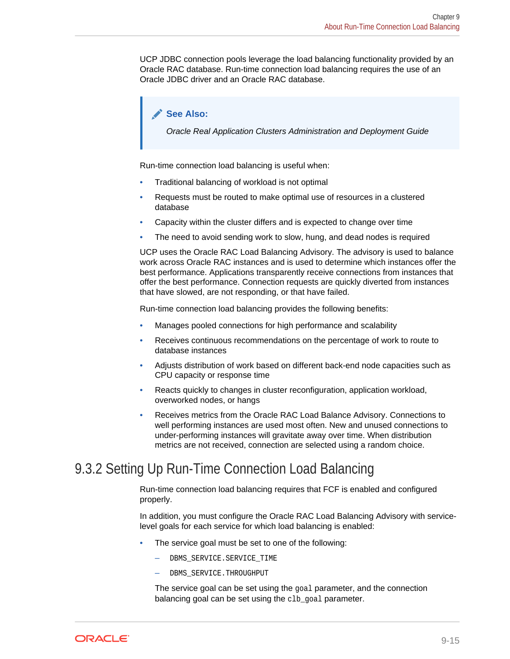<span id="page-80-0"></span>UCP JDBC connection pools leverage the load balancing functionality provided by an Oracle RAC database. Run-time connection load balancing requires the use of an Oracle JDBC driver and an Oracle RAC database.

#### **See Also:**

*Oracle Real Application Clusters Administration and Deployment Guide*

Run-time connection load balancing is useful when:

- Traditional balancing of workload is not optimal
- Requests must be routed to make optimal use of resources in a clustered database
- Capacity within the cluster differs and is expected to change over time
- The need to avoid sending work to slow, hung, and dead nodes is required

UCP uses the Oracle RAC Load Balancing Advisory. The advisory is used to balance work across Oracle RAC instances and is used to determine which instances offer the best performance. Applications transparently receive connections from instances that offer the best performance. Connection requests are quickly diverted from instances that have slowed, are not responding, or that have failed.

Run-time connection load balancing provides the following benefits:

- Manages pooled connections for high performance and scalability
- Receives continuous recommendations on the percentage of work to route to database instances
- Adjusts distribution of work based on different back-end node capacities such as CPU capacity or response time
- Reacts quickly to changes in cluster reconfiguration, application workload, overworked nodes, or hangs
- Receives metrics from the Oracle RAC Load Balance Advisory. Connections to well performing instances are used most often. New and unused connections to under-performing instances will gravitate away over time. When distribution metrics are not received, connection are selected using a random choice.

## 9.3.2 Setting Up Run-Time Connection Load Balancing

Run-time connection load balancing requires that FCF is enabled and configured properly.

In addition, you must configure the Oracle RAC Load Balancing Advisory with servicelevel goals for each service for which load balancing is enabled:

- The service goal must be set to one of the following:
	- DBMS\_SERVICE.SERVICE\_TIME
	- DBMS SERVICE. THROUGHPUT

The service goal can be set using the goal parameter, and the connection balancing goal can be set using the clb\_goal parameter.

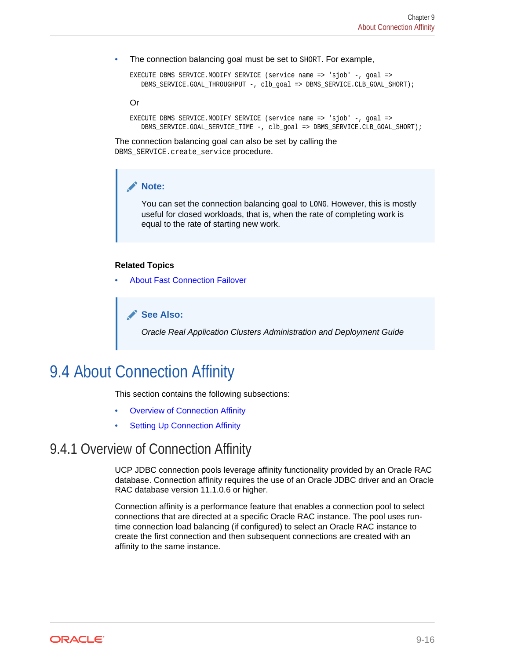The connection balancing goal must be set to SHORT. For example,

```
EXECUTE DBMS SERVICE.MODIFY_SERVICE (service_name => 'sjob' -, goal =>
    DBMS_SERVICE.GOAL_THROUGHPUT -, clb_goal => DBMS_SERVICE.CLB_GOAL_SHORT);
```
Or

```
EXECUTE DBMS_SERVICE.MODIFY_SERVICE (service_name => 'sjob' -, goal => 
    DBMS_SERVICE.GOAL_SERVICE_TIME -, clb_goal => DBMS_SERVICE.CLB_GOAL_SHORT);
```
The connection balancing goal can also be set by calling the DBMS\_SERVICE.create\_service procedure.

#### **Note:**

You can set the connection balancing goal to LONG. However, this is mostly useful for closed workloads, that is, when the rate of completing work is equal to the rate of starting new work.

#### **Related Topics**

**[About Fast Connection Failover](#page-67-0)** 

**See Also:**

*Oracle Real Application Clusters Administration and Deployment Guide*

# 9.4 About Connection Affinity

This section contains the following subsections:

- **Overview of Connection Affinity**
- **[Setting Up Connection Affinity](#page-83-0)**

## 9.4.1 Overview of Connection Affinity

UCP JDBC connection pools leverage affinity functionality provided by an Oracle RAC database. Connection affinity requires the use of an Oracle JDBC driver and an Oracle RAC database version 11.1.0.6 or higher.

Connection affinity is a performance feature that enables a connection pool to select connections that are directed at a specific Oracle RAC instance. The pool uses runtime connection load balancing (if configured) to select an Oracle RAC instance to create the first connection and then subsequent connections are created with an affinity to the same instance.

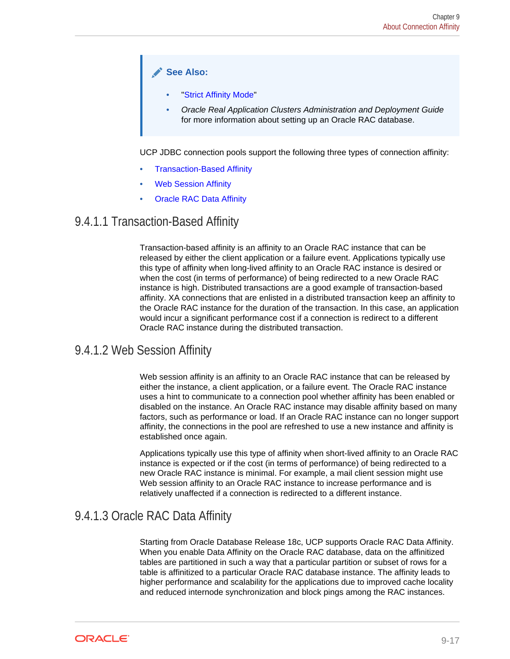**See Also:**

- ["Strict Affinity Mode"](#page-86-0)
- *Oracle Real Application Clusters Administration and Deployment Guide* for more information about setting up an Oracle RAC database.

UCP JDBC connection pools support the following three types of connection affinity:

- Transaction-Based Affinity
- **Web Session Affinity**
- Oracle RAC Data Affinity

### 9.4.1.1 Transaction-Based Affinity

Transaction-based affinity is an affinity to an Oracle RAC instance that can be released by either the client application or a failure event. Applications typically use this type of affinity when long-lived affinity to an Oracle RAC instance is desired or when the cost (in terms of performance) of being redirected to a new Oracle RAC instance is high. Distributed transactions are a good example of transaction-based affinity. XA connections that are enlisted in a distributed transaction keep an affinity to the Oracle RAC instance for the duration of the transaction. In this case, an application would incur a significant performance cost if a connection is redirect to a different Oracle RAC instance during the distributed transaction.

### 9.4.1.2 Web Session Affinity

Web session affinity is an affinity to an Oracle RAC instance that can be released by either the instance, a client application, or a failure event. The Oracle RAC instance uses a hint to communicate to a connection pool whether affinity has been enabled or disabled on the instance. An Oracle RAC instance may disable affinity based on many factors, such as performance or load. If an Oracle RAC instance can no longer support affinity, the connections in the pool are refreshed to use a new instance and affinity is established once again.

Applications typically use this type of affinity when short-lived affinity to an Oracle RAC instance is expected or if the cost (in terms of performance) of being redirected to a new Oracle RAC instance is minimal. For example, a mail client session might use Web session affinity to an Oracle RAC instance to increase performance and is relatively unaffected if a connection is redirected to a different instance.

### 9.4.1.3 Oracle RAC Data Affinity

Starting from Oracle Database Release 18c, UCP supports Oracle RAC Data Affinity. When you enable Data Affinity on the Oracle RAC database, data on the affinitized tables are partitioned in such a way that a particular partition or subset of rows for a table is affinitized to a particular Oracle RAC database instance. The affinity leads to higher performance and scalability for the applications due to improved cache locality and reduced internode synchronization and block pings among the RAC instances.

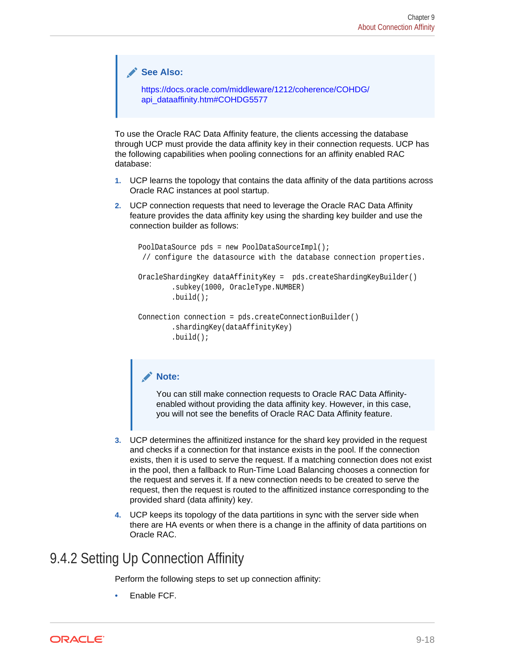<span id="page-83-0"></span>**See Also:** [https://docs.oracle.com/middleware/1212/coherence/COHDG/](https://docs.oracle.com/middleware/1212/coherence/COHDG/api_dataaffinity.htm#COHDG5577) [api\\_dataaffinity.htm#COHDG5577](https://docs.oracle.com/middleware/1212/coherence/COHDG/api_dataaffinity.htm#COHDG5577)

To use the Oracle RAC Data Affinity feature, the clients accessing the database through UCP must provide the data affinity key in their connection requests. UCP has the following capabilities when pooling connections for an affinity enabled RAC database:

- **1.** UCP learns the topology that contains the data affinity of the data partitions across Oracle RAC instances at pool startup.
- **2.** UCP connection requests that need to leverage the Oracle RAC Data Affinity feature provides the data affinity key using the sharding key builder and use the connection builder as follows:

```
 PoolDataSource pds = new PoolDataSourceImpl();
 // configure the datasource with the database connection properties.
 OracleShardingKey dataAffinityKey = pds.createShardingKeyBuilder()
         .subkey(1000, OracleType.NUMBER)
        .build();
 Connection connection = pds.createConnectionBuilder()
         .shardingKey(dataAffinityKey)
        .build();
```
#### **Note:**

You can still make connection requests to Oracle RAC Data Affinityenabled without providing the data affinity key. However, in this case, you will not see the benefits of Oracle RAC Data Affinity feature.

- **3.** UCP determines the affinitized instance for the shard key provided in the request and checks if a connection for that instance exists in the pool. If the connection exists, then it is used to serve the request. If a matching connection does not exist in the pool, then a fallback to Run-Time Load Balancing chooses a connection for the request and serves it. If a new connection needs to be created to serve the request, then the request is routed to the affinitized instance corresponding to the provided shard (data affinity) key.
- **4.** UCP keeps its topology of the data partitions in sync with the server side when there are HA events or when there is a change in the affinity of data partitions on Oracle RAC.

### 9.4.2 Setting Up Connection Affinity

Perform the following steps to set up connection affinity:

Enable FCF.

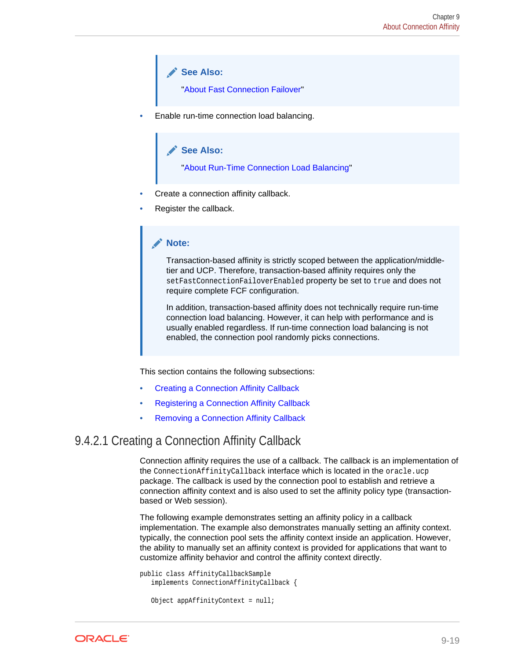**See Also:**

["About Fast Connection Failover](#page-67-0)"

• Enable run-time connection load balancing.

```
See Also:
```
["About Run-Time Connection Load Balancing](#page-79-0)"

- Create a connection affinity callback.
- Register the callback.

#### **Note:**

Transaction-based affinity is strictly scoped between the application/middletier and UCP. Therefore, transaction-based affinity requires only the setFastConnectionFailoverEnabled property be set to true and does not require complete FCF configuration.

In addition, transaction-based affinity does not technically require run-time connection load balancing. However, it can help with performance and is usually enabled regardless. If run-time connection load balancing is not enabled, the connection pool randomly picks connections.

This section contains the following subsections:

- Creating a Connection Affinity Callback
- [Registering a Connection Affinity Callback](#page-85-0)
- [Removing a Connection Affinity Callback](#page-85-0)

### 9.4.2.1 Creating a Connection Affinity Callback

Connection affinity requires the use of a callback. The callback is an implementation of the ConnectionAffinityCallback interface which is located in the oracle.ucp package. The callback is used by the connection pool to establish and retrieve a connection affinity context and is also used to set the affinity policy type (transactionbased or Web session).

The following example demonstrates setting an affinity policy in a callback implementation. The example also demonstrates manually setting an affinity context. typically, the connection pool sets the affinity context inside an application. However, the ability to manually set an affinity context is provided for applications that want to customize affinity behavior and control the affinity context directly.

```
public class AffinityCallbackSample
    implements ConnectionAffinityCallback {
    Object appAffinityContext = null;
```

```
ORACLE
```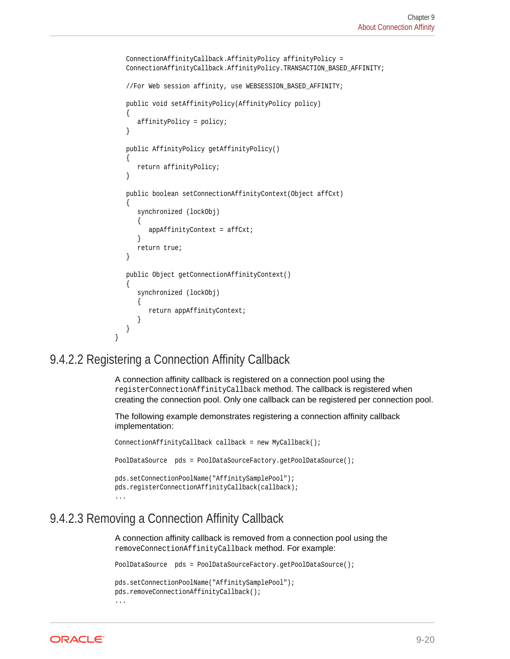```
 ConnectionAffinityCallback.AffinityPolicy affinityPolicy =
    ConnectionAffinityCallback.AffinityPolicy.TRANSACTION_BASED_AFFINITY;
    //For Web session affinity, use WEBSESSION_BASED_AFFINITY;
    public void setAffinityPolicy(AffinityPolicy policy)
\mathcal{A} affinityPolicy = policy;
\rightarrow public AffinityPolicy getAffinityPolicy()
\mathcal{A} return affinityPolicy;
\rightarrow public boolean setConnectionAffinityContext(Object affCxt)
\mathcal{A} synchronized (lockObj)
      \left\{ \right. appAffinityContext = affCxt;
       }
       return true;
\rightarrow public Object getConnectionAffinityContext()
   {
       synchronized (lockObj)
\mathcal{A} return appAffinityContext;
 }
\rightarrow}
```
### 9.4.2.2 Registering a Connection Affinity Callback

A connection affinity callback is registered on a connection pool using the registerConnectionAffinityCallback method. The callback is registered when creating the connection pool. Only one callback can be registered per connection pool.

The following example demonstrates registering a connection affinity callback implementation:

```
ConnectionAffinityCallback callback = new MyCallback();
PoolDataSource pds = PoolDataSourceFactory.getPoolDataSource();
pds.setConnectionPoolName("AffinitySamplePool");
pds.registerConnectionAffinityCallback(callback);
...
```
### 9.4.2.3 Removing a Connection Affinity Callback

A connection affinity callback is removed from a connection pool using the removeConnectionAffinityCallback method. For example:

```
PoolDataSource pds = PoolDataSourceFactory.getPoolDataSource();
pds.setConnectionPoolName("AffinitySamplePool");
pds.removeConnectionAffinityCallback();
...
```
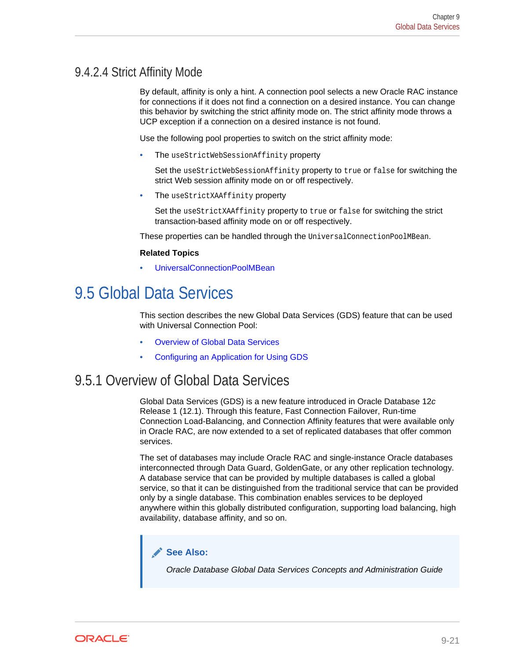### <span id="page-86-0"></span>9.4.2.4 Strict Affinity Mode

By default, affinity is only a hint. A connection pool selects a new Oracle RAC instance for connections if it does not find a connection on a desired instance. You can change this behavior by switching the strict affinity mode on. The strict affinity mode throws a UCP exception if a connection on a desired instance is not found.

Use the following pool properties to switch on the strict affinity mode:

The useStrictWebSessionAffinity property

Set the useStrictWebSessionAffinity property to true or false for switching the strict Web session affinity mode on or off respectively.

The useStrictXAAffinity property

Set the useStrictXAAffinity property to true or false for switching the strict transaction-based affinity mode on or off respectively.

These properties can be handled through the UniversalConnectionPoolMBean.

#### **Related Topics**

• [UniversalConnectionPoolMBean](#page-56-0)

# 9.5 Global Data Services

This section describes the new Global Data Services (GDS) feature that can be used with Universal Connection Pool:

- Overview of Global Data Services
- [Configuring an Application for Using GDS](#page-87-0)

### 9.5.1 Overview of Global Data Services

Global Data Services (GDS) is a new feature introduced in Oracle Database 12*c* Release 1 (12.1). Through this feature, Fast Connection Failover, Run-time Connection Load-Balancing, and Connection Affinity features that were available only in Oracle RAC, are now extended to a set of replicated databases that offer common services.

The set of databases may include Oracle RAC and single-instance Oracle databases interconnected through Data Guard, GoldenGate, or any other replication technology. A database service that can be provided by multiple databases is called a global service, so that it can be distinguished from the traditional service that can be provided only by a single database. This combination enables services to be deployed anywhere within this globally distributed configuration, supporting load balancing, high availability, database affinity, and so on.

#### **See Also:**

*Oracle Database Global Data Services Concepts and Administration Guide*

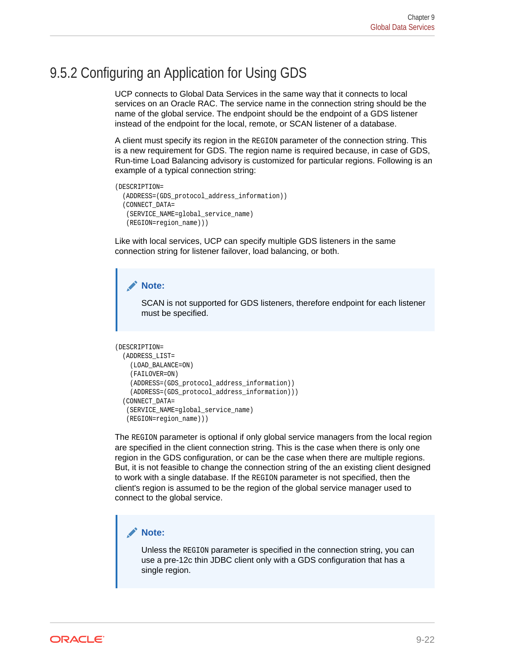### <span id="page-87-0"></span>9.5.2 Configuring an Application for Using GDS

UCP connects to Global Data Services in the same way that it connects to local services on an Oracle RAC. The service name in the connection string should be the name of the global service. The endpoint should be the endpoint of a GDS listener instead of the endpoint for the local, remote, or SCAN listener of a database.

A client must specify its region in the REGION parameter of the connection string. This is a new requirement for GDS. The region name is required because, in case of GDS, Run-time Load Balancing advisory is customized for particular regions. Following is an example of a typical connection string:

```
(DESCRIPTION=
  (ADDRESS=(GDS_protocol_address_information))
  (CONNECT_DATA=
   (SERVICE_NAME=global_service_name)
   (REGION=region_name)))
```
Like with local services, UCP can specify multiple GDS listeners in the same connection string for listener failover, load balancing, or both.

#### **Note:**

SCAN is not supported for GDS listeners, therefore endpoint for each listener must be specified.

```
(DESCRIPTION=
  (ADDRESS_LIST=
    (LOAD_BALANCE=ON)
    (FAILOVER=ON)
    (ADDRESS=(GDS_protocol_address_information))
    (ADDRESS=(GDS_protocol_address_information)))
  (CONNECT_DATA=
    (SERVICE_NAME=global_service_name)
    (REGION=region_name)))
```
The REGION parameter is optional if only global service managers from the local region are specified in the client connection string. This is the case when there is only one region in the GDS configuration, or can be the case when there are multiple regions. But, it is not feasible to change the connection string of the an existing client designed to work with a single database. If the REGION parameter is not specified, then the client's region is assumed to be the region of the global service manager used to connect to the global service.

#### **Note:**

Unless the REGION parameter is specified in the connection string, you can use a pre-12c thin JDBC client only with a GDS configuration that has a single region.

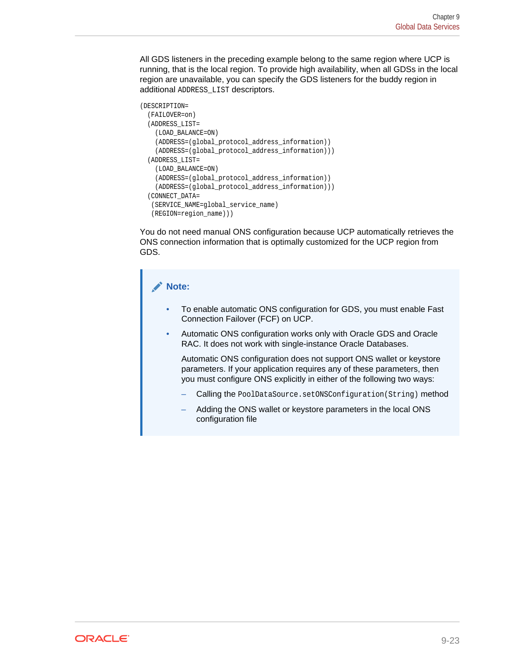All GDS listeners in the preceding example belong to the same region where UCP is running, that is the local region. To provide high availability, when all GDSs in the local region are unavailable, you can specify the GDS listeners for the buddy region in additional ADDRESS\_LIST descriptors.

```
(DESCRIPTION=
   (FAILOVER=on)
   (ADDRESS_LIST=
    (LOAD_BALANCE=ON)
     (ADDRESS=(global_protocol_address_information))
     (ADDRESS=(global_protocol_address_information)))
   (ADDRESS_LIST=
     (LOAD_BALANCE=ON)
     (ADDRESS=(global_protocol_address_information))
     (ADDRESS=(global_protocol_address_information)))
   (CONNECT_DATA=
    (SERVICE_NAME=global_service_name)
    (REGION=region_name)))
```
You do not need manual ONS configuration because UCP automatically retrieves the ONS connection information that is optimally customized for the UCP region from GDS.

#### **Note:**

- To enable automatic ONS configuration for GDS, you must enable Fast Connection Failover (FCF) on UCP.
- Automatic ONS configuration works only with Oracle GDS and Oracle RAC. It does not work with single-instance Oracle Databases.

Automatic ONS configuration does not support ONS wallet or keystore parameters. If your application requires any of these parameters, then you must configure ONS explicitly in either of the following two ways:

- Calling the PoolDataSource.setONSConfiguration(String) method
- Adding the ONS wallet or keystore parameters in the local ONS configuration file

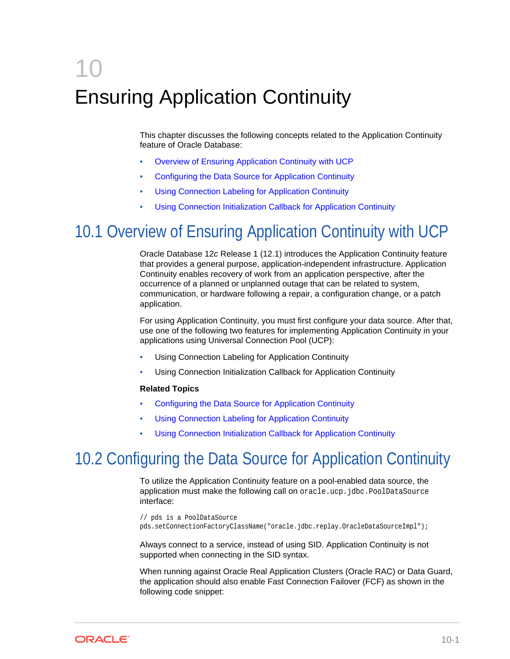# 10 Ensuring Application Continuity

This chapter discusses the following concepts related to the Application Continuity feature of Oracle Database:

- Overview of Ensuring Application Continuity with UCP
- Configuring the Data Source for Application Continuity
- [Using Connection Labeling for Application Continuity](#page-90-0)
- [Using Connection Initialization Callback for Application Continuity](#page-90-0)

# 10.1 Overview of Ensuring Application Continuity with UCP

Oracle Database 12*c* Release 1 (12.1) introduces the Application Continuity feature that provides a general purpose, application-independent infrastructure. Application Continuity enables recovery of work from an application perspective, after the occurrence of a planned or unplanned outage that can be related to system, communication, or hardware following a repair, a configuration change, or a patch application.

For using Application Continuity, you must first configure your data source. After that, use one of the following two features for implementing Application Continuity in your applications using Universal Connection Pool (UCP):

- Using Connection Labeling for Application Continuity
- Using Connection Initialization Callback for Application Continuity

#### **Related Topics**

- Configuring the Data Source for Application Continuity
- [Using Connection Labeling for Application Continuity](#page-90-0)
- [Using Connection Initialization Callback for Application Continuity](#page-90-0)

# 10.2 Configuring the Data Source for Application Continuity

To utilize the Application Continuity feature on a pool-enabled data source, the application must make the following call on oracle.ucp.jdbc.PoolDataSource interface:

```
// pds is a PoolDataSource
pds.setConnectionFactoryClassName("oracle.jdbc.replay.OracleDataSourceImpl");
```
Always connect to a service, instead of using SID. Application Continuity is not supported when connecting in the SID syntax.

When running against Oracle Real Application Clusters (Oracle RAC) or Data Guard, the application should also enable Fast Connection Failover (FCF) as shown in the following code snippet:

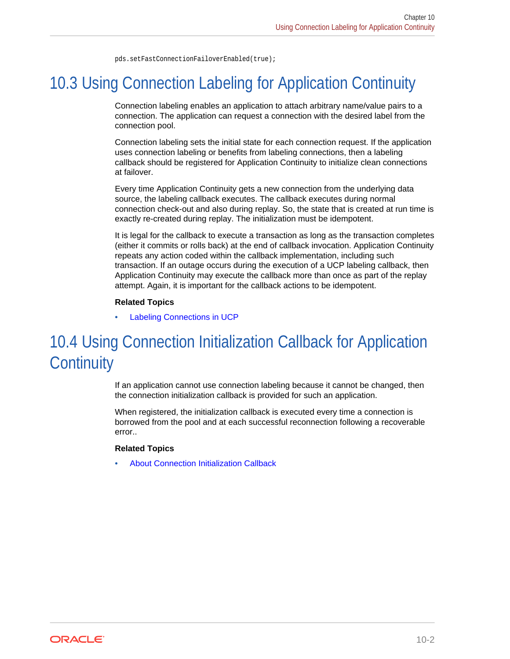pds.setFastConnectionFailoverEnabled(true);

# <span id="page-90-0"></span>10.3 Using Connection Labeling for Application Continuity

Connection labeling enables an application to attach arbitrary name/value pairs to a connection. The application can request a connection with the desired label from the connection pool.

Connection labeling sets the initial state for each connection request. If the application uses connection labeling or benefits from labeling connections, then a labeling callback should be registered for Application Continuity to initialize clean connections at failover.

Every time Application Continuity gets a new connection from the underlying data source, the labeling callback executes. The callback executes during normal connection check-out and also during replay. So, the state that is created at run time is exactly re-created during replay. The initialization must be idempotent.

It is legal for the callback to execute a transaction as long as the transaction completes (either it commits or rolls back) at the end of callback invocation. Application Continuity repeats any action coded within the callback implementation, including such transaction. If an outage occurs during the execution of a UCP labeling callback, then Application Continuity may execute the callback more than once as part of the replay attempt. Again, it is important for the callback actions to be idempotent.

#### **Related Topics**

[Labeling Connections in UCP](#page-42-0)

# 10.4 Using Connection Initialization Callback for Application **Continuity**

If an application cannot use connection labeling because it cannot be changed, then the connection initialization callback is provided for such an application.

When registered, the initialization callback is executed every time a connection is borrowed from the pool and at each successful reconnection following a recoverable error..

#### **Related Topics**

• [About Connection Initialization Callback](#page-23-0)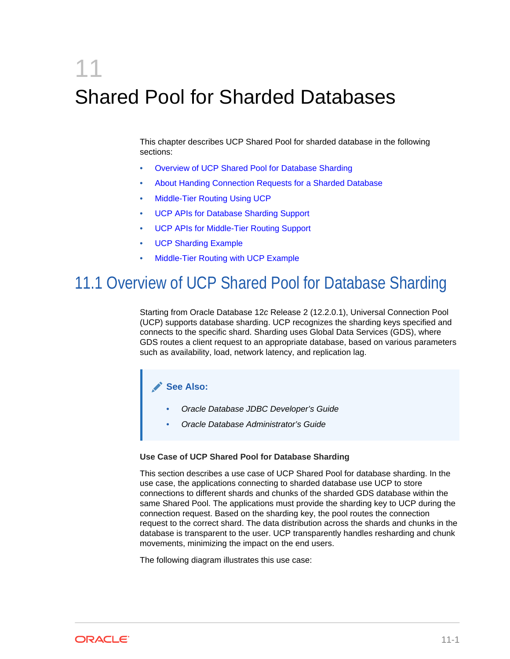# 11 Shared Pool for Sharded Databases

This chapter describes UCP Shared Pool for sharded database in the following sections:

- Overview of UCP Shared Pool for Database Sharding
- [About Handing Connection Requests for a Sharded Database](#page-92-0)
- **[Middle-Tier Routing Using UCP](#page-97-0)**
- [UCP APIs for Database Sharding Support](#page-97-0)
- [UCP APIs for Middle-Tier Routing Support](#page-99-0)
- [UCP Sharding Example](#page-99-0)
- [Middle-Tier Routing with UCP Example](#page-100-0)

# 11.1 Overview of UCP Shared Pool for Database Sharding

Starting from Oracle Database 12*c* Release 2 (12.2.0.1), Universal Connection Pool (UCP) supports database sharding. UCP recognizes the sharding keys specified and connects to the specific shard. Sharding uses Global Data Services (GDS), where GDS routes a client request to an appropriate database, based on various parameters such as availability, load, network latency, and replication lag.

#### **See Also:**

- *Oracle Database JDBC Developer's Guide*
- *Oracle Database Administrator's Guide*

#### **Use Case of UCP Shared Pool for Database Sharding**

This section describes a use case of UCP Shared Pool for database sharding. In the use case, the applications connecting to sharded database use UCP to store connections to different shards and chunks of the sharded GDS database within the same Shared Pool. The applications must provide the sharding key to UCP during the connection request. Based on the sharding key, the pool routes the connection request to the correct shard. The data distribution across the shards and chunks in the database is transparent to the user. UCP transparently handles resharding and chunk movements, minimizing the impact on the end users.

The following diagram illustrates this use case:

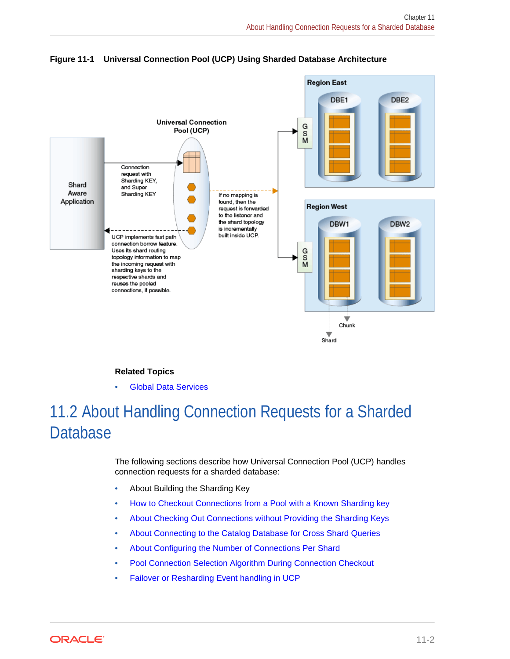

#### <span id="page-92-0"></span>**Figure 11-1 Universal Connection Pool (UCP) Using Sharded Database Architecture**

#### **Related Topics**

• [Global Data Services](#page-86-0)

# 11.2 About Handling Connection Requests for a Sharded Database

The following sections describe how Universal Connection Pool (UCP) handles connection requests for a sharded database:

- About Building the Sharding Key
- [How to Checkout Connections from a Pool with a Known Sharding key](#page-95-0)
- [About Checking Out Connections without Providing the Sharding Keys](#page-95-0)
- [About Connecting to the Catalog Database for Cross Shard Queries](#page-96-0)
- [About Configuring the Number of Connections Per Shard](#page-96-0)
- [Pool Connection Selection Algorithm During Connection Checkout](#page-96-0)
- [Failover or Resharding Event handling in UCP](#page-97-0)

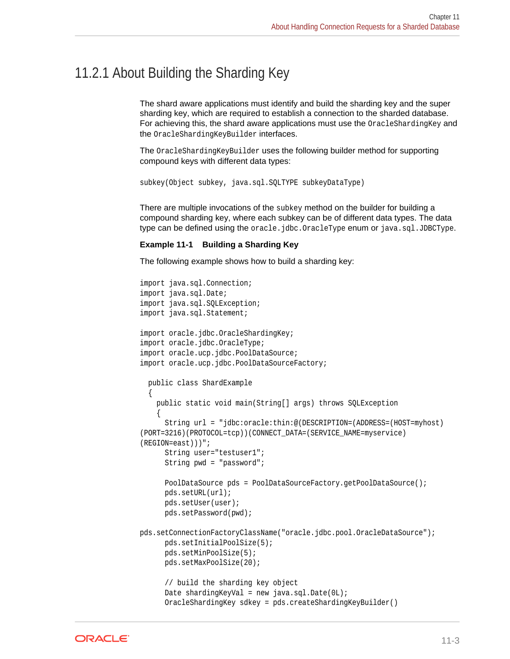## 11.2.1 About Building the Sharding Key

The shard aware applications must identify and build the sharding key and the super sharding key, which are required to establish a connection to the sharded database. For achieving this, the shard aware applications must use the OracleShardingKey and the OracleShardingKeyBuilder interfaces.

The OracleShardingKeyBuilder uses the following builder method for supporting compound keys with different data types:

```
subkey(Object subkey, java.sql.SQLTYPE subkeyDataType)
```
There are multiple invocations of the subkey method on the builder for building a compound sharding key, where each subkey can be of different data types. The data type can be defined using the oracle.jdbc.OracleType enum or java.sql.JDBCType.

#### **Example 11-1 Building a Sharding Key**

The following example shows how to build a sharding key:

```
import java.sql.Connection;
import java.sql.Date;
import java.sql.SQLException;
import java.sql.Statement;
import oracle.jdbc.OracleShardingKey;
import oracle.jdbc.OracleType;
import oracle.ucp.jdbc.PoolDataSource;
import oracle.ucp.jdbc.PoolDataSourceFactory;
   public class ShardExample
\left\{\right\} public static void main(String[] args) throws SQLException
\left\{\begin{array}{ccc} \end{array}\right\} String url = "jdbc:oracle:thin:@(DESCRIPTION=(ADDRESS=(HOST=myhost)
(PORT=3216)(PROTOCOL=tcp))(CONNECT_DATA=(SERVICE_NAME=myservice)
(REGION=east)))";
       String user="testuser1";
       String pwd = "password";
      PoolDataSource pds = PoolDataSourceFactory.getPoolDataSource();
       pds.setURL(url);
       pds.setUser(user);
       pds.setPassword(pwd);
pds.setConnectionFactoryClassName("oracle.jdbc.pool.OracleDataSource");
       pds.setInitialPoolSize(5);
       pds.setMinPoolSize(5);
       pds.setMaxPoolSize(20);
       // build the sharding key object
      Date shardingKeyVal = new java.sql.Date(0L);
       OracleShardingKey sdkey = pds.createShardingKeyBuilder()
```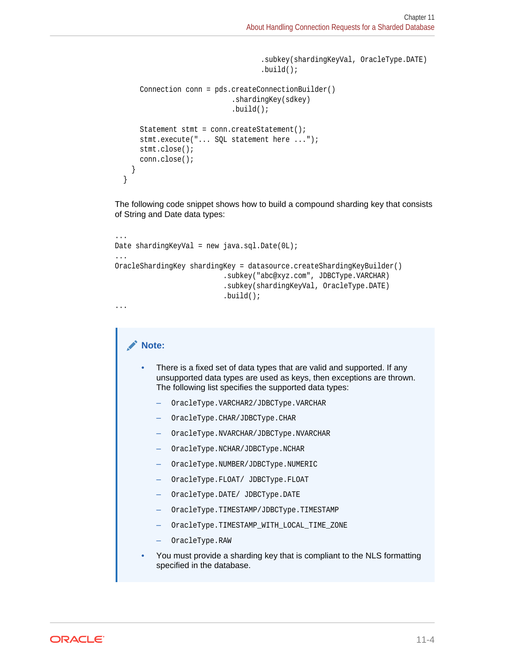```
 .subkey(shardingKeyVal, OracleType.DATE)
                                    .build();
     Connection conn = pds.createConnectionBuilder()
                             .shardingKey(sdkey)
                             .build();
    Statement stmt = conn.createStatement();
     stmt.execute("... SQL statement here ...");
     stmt.close();
     conn.close();
   }
 }
```
The following code snippet shows how to build a compound sharding key that consists of String and Date data types:

```
...
Date shardingKeyVal = new java.sql.Date(OL);
...
OracleShardingKey shardingKey = datasource.createShardingKeyBuilder()
                            .subkey("abc@xyz.com", JDBCType.VARCHAR)
                            .subkey(shardingKeyVal, OracleType.DATE)
                            .build();
...
```

```
Note:
```
- There is a fixed set of data types that are valid and supported. If any unsupported data types are used as keys, then exceptions are thrown. The following list specifies the supported data types:
	- OracleType.VARCHAR2/JDBCType.VARCHAR
	- OracleType.CHAR/JDBCType.CHAR
	- OracleType.NVARCHAR/JDBCType.NVARCHAR
	- OracleType.NCHAR/JDBCType.NCHAR
	- OracleType.NUMBER/JDBCType.NUMERIC
	- OracleType.FLOAT/ JDBCType.FLOAT
	- OracleType.DATE/ JDBCType.DATE
	- OracleType.TIMESTAMP/JDBCType.TIMESTAMP
	- OracleType.TIMESTAMP\_WITH\_LOCAL\_TIME\_ZONE
	- OracleType.RAW
- You must provide a sharding key that is compliant to the NLS formatting specified in the database.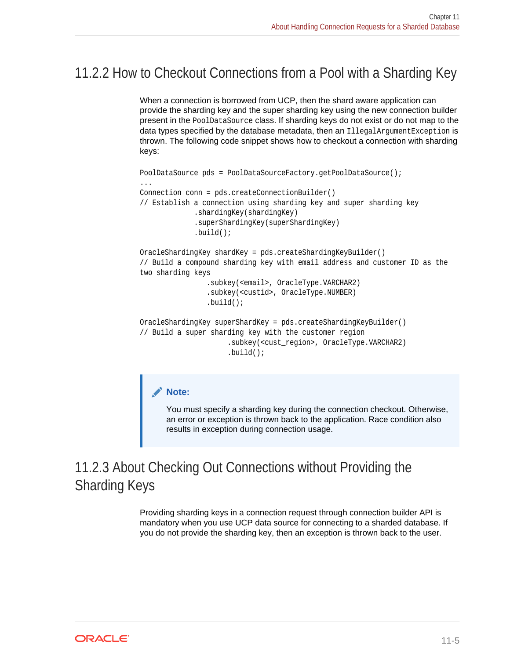# <span id="page-95-0"></span>11.2.2 How to Checkout Connections from a Pool with a Sharding Key

When a connection is borrowed from UCP, then the shard aware application can provide the sharding key and the super sharding key using the new connection builder present in the PoolDataSource class. If sharding keys do not exist or do not map to the data types specified by the database metadata, then an IllegalArgumentException is thrown. The following code snippet shows how to checkout a connection with sharding keys:

```
PoolDataSource pds = PoolDataSourceFactory.getPoolDataSource();
...
Connection conn = pds.createConnectionBuilder()
// Establish a connection using sharding key and super sharding key
              .shardingKey(shardingKey) 
              .superShardingKey(superShardingKey)
              .build();
OracleShardingKey shardKey = pds.createShardingKeyBuilder() 
// Build a compound sharding key with email address and customer ID as the 
two sharding keys
                 .subkey(<email>, OracleType.VARCHAR2)
                 .subkey(<custid>, OracleType.NUMBER)
                  .build();
```

```
OracleShardingKey superShardKey = pds.createShardingKeyBuilder() 
// Build a super sharding key with the customer region
                      .subkey(<cust_region>, OracleType.VARCHAR2)
                      .build();
```
#### **Note:**

You must specify a sharding key during the connection checkout. Otherwise, an error or exception is thrown back to the application. Race condition also results in exception during connection usage.

11.2.3 About Checking Out Connections without Providing the Sharding Keys

> Providing sharding keys in a connection request through connection builder API is mandatory when you use UCP data source for connecting to a sharded database. If you do not provide the sharding key, then an exception is thrown back to the user.

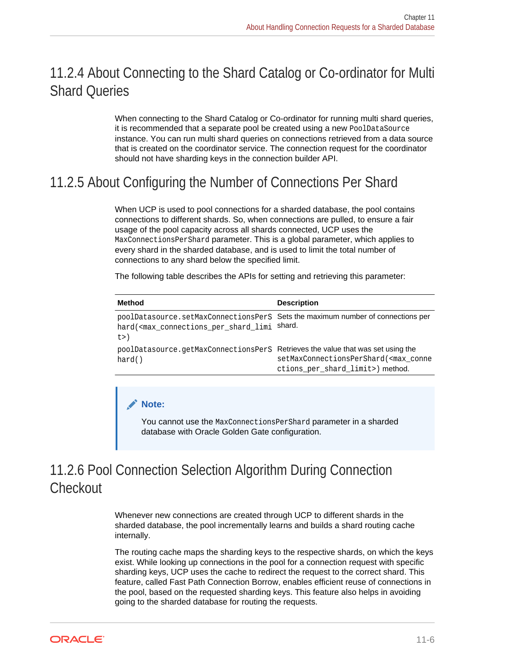# <span id="page-96-0"></span>11.2.4 About Connecting to the Shard Catalog or Co-ordinator for Multi Shard Queries

When connecting to the Shard Catalog or Co-ordinator for running multi shard queries, it is recommended that a separate pool be created using a new PoolDataSource instance. You can run multi shard queries on connections retrieved from a data source that is created on the coordinator service. The connection request for the coordinator should not have sharding keys in the connection builder API.

## 11.2.5 About Configuring the Number of Connections Per Shard

When UCP is used to pool connections for a sharded database, the pool contains connections to different shards. So, when connections are pulled, to ensure a fair usage of the pool capacity across all shards connected, UCP uses the MaxConnectionsPerShard parameter. This is a global parameter, which applies to every shard in the sharded database, and is used to limit the total number of connections to any shard below the specified limit.

The following table describes the APIs for setting and retrieving this parameter:

| Method                                                                                                                                                                        | <b>Description</b>                                                                    |
|-------------------------------------------------------------------------------------------------------------------------------------------------------------------------------|---------------------------------------------------------------------------------------|
| poolDatasource.setMaxConnectionsPerS Sets the maximum number of connections per<br>hard( <max_connections_per_shard limi="" shard.<br="">t &gt; 0</max_connections_per_shard> |                                                                                       |
| poolDatasource.getMaxConnectionsPerS Retrieves the value that was set using the<br>hard()                                                                                     | setMaxConnectionsPerShard( <max conne<br="">ctions_per_shard_limit&gt;) method.</max> |

#### **Note:**

You cannot use the MaxConnectionsPerShard parameter in a sharded database with Oracle Golden Gate configuration.

# 11.2.6 Pool Connection Selection Algorithm During Connection **Checkout**

Whenever new connections are created through UCP to different shards in the sharded database, the pool incrementally learns and builds a shard routing cache internally.

The routing cache maps the sharding keys to the respective shards, on which the keys exist. While looking up connections in the pool for a connection request with specific sharding keys, UCP uses the cache to redirect the request to the correct shard. This feature, called Fast Path Connection Borrow, enables efficient reuse of connections in the pool, based on the requested sharding keys. This feature also helps in avoiding going to the sharded database for routing the requests.

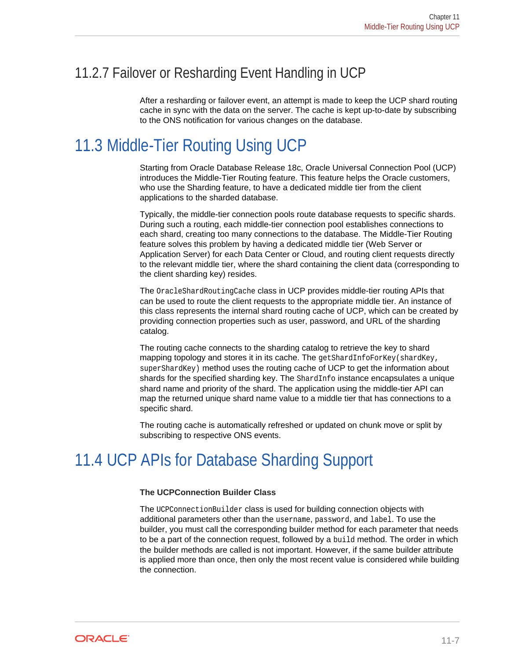## <span id="page-97-0"></span>11.2.7 Failover or Resharding Event Handling in UCP

After a resharding or failover event, an attempt is made to keep the UCP shard routing cache in sync with the data on the server. The cache is kept up-to-date by subscribing to the ONS notification for various changes on the database.

# 11.3 Middle-Tier Routing Using UCP

Starting from Oracle Database Release 18c, Oracle Universal Connection Pool (UCP) introduces the Middle-Tier Routing feature. This feature helps the Oracle customers, who use the Sharding feature, to have a dedicated middle tier from the client applications to the sharded database.

Typically, the middle-tier connection pools route database requests to specific shards. During such a routing, each middle-tier connection pool establishes connections to each shard, creating too many connections to the database. The Middle-Tier Routing feature solves this problem by having a dedicated middle tier (Web Server or Application Server) for each Data Center or Cloud, and routing client requests directly to the relevant middle tier, where the shard containing the client data (corresponding to the client sharding key) resides.

The OracleShardRoutingCache class in UCP provides middle-tier routing APIs that can be used to route the client requests to the appropriate middle tier. An instance of this class represents the internal shard routing cache of UCP, which can be created by providing connection properties such as user, password, and URL of the sharding catalog.

The routing cache connects to the sharding catalog to retrieve the key to shard mapping topology and stores it in its cache. The getShardInfoForKey(shardKey, superShardKey) method uses the routing cache of UCP to get the information about shards for the specified sharding key. The ShardInfo instance encapsulates a unique shard name and priority of the shard. The application using the middle-tier API can map the returned unique shard name value to a middle tier that has connections to a specific shard.

The routing cache is automatically refreshed or updated on chunk move or split by subscribing to respective ONS events.

# 11.4 UCP APIs for Database Sharding Support

#### **The UCPConnection Builder Class**

The UCPConnectionBuilder class is used for building connection objects with additional parameters other than the username, password, and label. To use the builder, you must call the corresponding builder method for each parameter that needs to be a part of the connection request, followed by a build method. The order in which the builder methods are called is not important. However, if the same builder attribute is applied more than once, then only the most recent value is considered while building the connection.

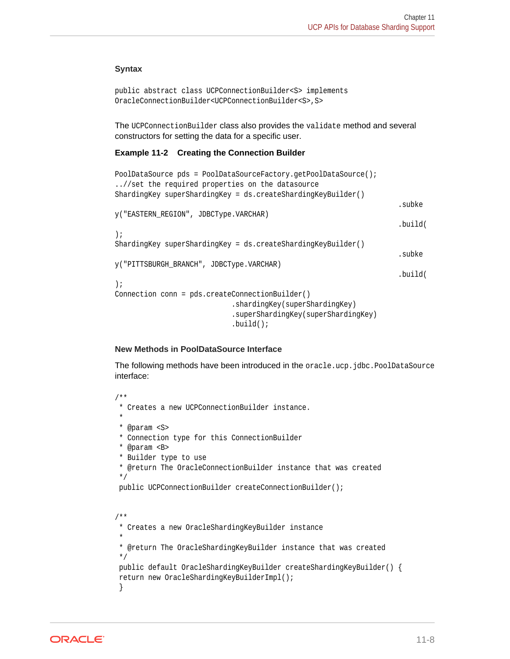#### **Syntax**

```
public abstract class UCPConnectionBuilder<S> implements 
OracleConnectionBuilder<UCPConnectionBuilder<S>,S>
```
The UCPConnectionBuilder class also provides the validate method and several constructors for setting the data for a specific user.

#### **Example 11-2 Creating the Connection Builder**

```
PoolDataSource pds = PoolDataSourceFactory.getPoolDataSource();
..//set the required properties on the datasource 
ShardingKey superShardingKey = ds.createShardingKeyBuilder()
. Subker and the state of the state of the state of the state of the state of the state of the state of the state of the state of the state of the state of the state of the state of the state of the state of the state of t
y("EASTERN_REGION", JDBCType.VARCHAR)
 .build(
);
ShardingKey superShardingKey = ds.createShardingKeyBuilder()
. Subker and the state of the state of the state of the state of the state of the state of the state of the state of the state of the state of the state of the state of the state of the state of the state of the state of t
y("PITTSBURGH_BRANCH", JDBCType.VARCHAR)
 .build(
);
Connection conn = pds.createConnectionBuilder()
                                   .shardingKey(superShardingKey)
                                   .superShardingKey(superShardingKey)
                                    .build();
```
#### **New Methods in PoolDataSource Interface**

The following methods have been introduced in the oracle.ucp.jdbc.PoolDataSource interface:

```
/**
 * Creates a new UCPConnectionBuilder instance.
 * 
 * @param <S>
 * Connection type for this ConnectionBuilder
 * @param <B>
 * Builder type to use
 * @return The OracleConnectionBuilder instance that was created
 */
 public UCPConnectionBuilder createConnectionBuilder();
/**
 * Creates a new OracleShardingKeyBuilder instance
 *
 * @return The OracleShardingKeyBuilder instance that was created
 */
 public default OracleShardingKeyBuilder createShardingKeyBuilder() {
 return new OracleShardingKeyBuilderImpl();
 }
```
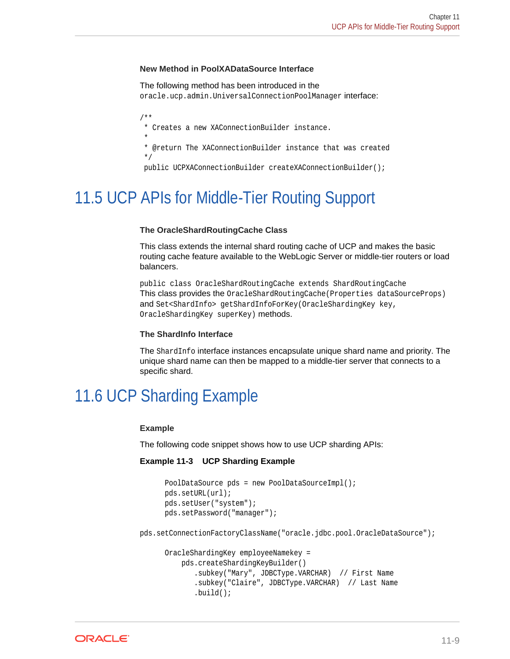#### <span id="page-99-0"></span>**New Method in PoolXADataSource Interface**

#### The following method has been introduced in the

oracle.ucp.admin.UniversalConnectionPoolManager interface:

/\*\*

\* Creates a new XAConnectionBuilder instance.

- \* \* @return The XAConnectionBuilder instance that was created
- \*/

public UCPXAConnectionBuilder createXAConnectionBuilder();

# 11.5 UCP APIs for Middle-Tier Routing Support

#### **The OracleShardRoutingCache Class**

This class extends the internal shard routing cache of UCP and makes the basic routing cache feature available to the WebLogic Server or middle-tier routers or load balancers.

public class OracleShardRoutingCache extends ShardRoutingCache This class provides the OracleShardRoutingCache(Properties dataSourceProps) and Set<ShardInfo> getShardInfoForKey(OracleShardingKey key, OracleShardingKey superKey) methods.

#### **The ShardInfo Interface**

The ShardInfo interface instances encapsulate unique shard name and priority. The unique shard name can then be mapped to a middle-tier server that connects to a specific shard.

# 11.6 UCP Sharding Example

#### **Example**

The following code snippet shows how to use UCP sharding APIs:

#### **Example 11-3 UCP Sharding Example**

```
 PoolDataSource pds = new PoolDataSourceImpl();
 pds.setURL(url);
 pds.setUser("system");
 pds.setPassword("manager");
```
pds.setConnectionFactoryClassName("oracle.jdbc.pool.OracleDataSource");

```
 OracleShardingKey employeeNamekey =
    pds.createShardingKeyBuilder()
        .subkey("Mary", JDBCType.VARCHAR) // First Name
        .subkey("Claire", JDBCType.VARCHAR) // Last Name
        .build();
```
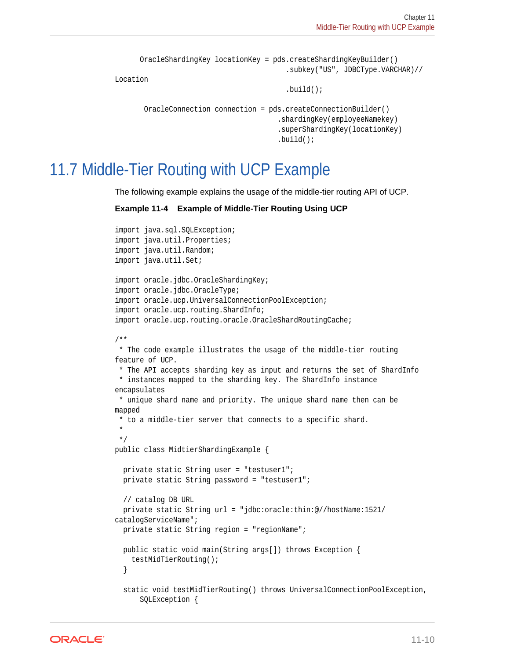```
 OracleShardingKey locationKey = pds.createShardingKeyBuilder()
                                            .subkey("US", JDBCType.VARCHAR)//
Location
                                            .build();
        OracleConnection connection = pds.createConnectionBuilder()
                                          .shardingKey(employeeNamekey)
                                          .superShardingKey(locationKey)
                                         .build();
```
# 11.7 Middle-Tier Routing with UCP Example

The following example explains the usage of the middle-tier routing API of UCP.

```
Example 11-4 Example of Middle-Tier Routing Using UCP
```

```
import java.sql.SQLException;
import java.util.Properties;
import java.util.Random;
import java.util.Set;
import oracle.jdbc.OracleShardingKey;
import oracle.jdbc.OracleType;
import oracle.ucp.UniversalConnectionPoolException;
import oracle.ucp.routing.ShardInfo;
import oracle.ucp.routing.oracle.OracleShardRoutingCache;
/**
  * The code example illustrates the usage of the middle-tier routing 
feature of UCP. 
  * The API accepts sharding key as input and returns the set of ShardInfo 
  * instances mapped to the sharding key. The ShardInfo instance 
encapsulates 
  * unique shard name and priority. The unique shard name then can be 
mapped 
  * to a middle-tier server that connects to a specific shard.
 *
  */
public class MidtierShardingExample {
   private static String user = "testuser1";
   private static String password = "testuser1";
   // catalog DB URL
   private static String url = "jdbc:oracle:thin:@//hostName:1521/
catalogServiceName";
   private static String region = "regionName";
   public static void main(String args[]) throws Exception {
     testMidTierRouting();
   }
   static void testMidTierRouting() throws UniversalConnectionPoolException,
       SQLException {
```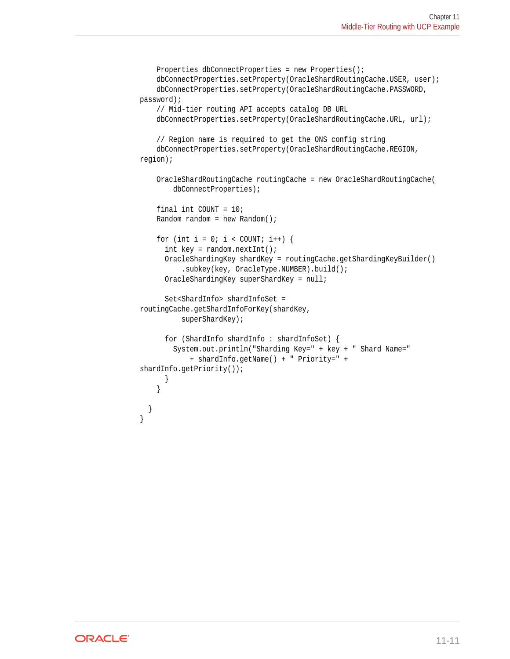```
Properties dbConnectProperties = new Properties();
     dbConnectProperties.setProperty(OracleShardRoutingCache.USER, user);
     dbConnectProperties.setProperty(OracleShardRoutingCache.PASSWORD, 
password);
     // Mid-tier routing API accepts catalog DB URL
     dbConnectProperties.setProperty(OracleShardRoutingCache.URL, url);
     // Region name is required to get the ONS config string
     dbConnectProperties.setProperty(OracleShardRoutingCache.REGION, 
region);
     OracleShardRoutingCache routingCache = new OracleShardRoutingCache(
         dbConnectProperties);
     final int COUNT = 10;
    Random random = new Random();
    for (int i = 0; i < COUNT; i++) {
       int key = random.nextInt();
       OracleShardingKey shardKey = routingCache.getShardingKeyBuilder()
           .subkey(key, OracleType.NUMBER).build();
       OracleShardingKey superShardKey = null;
       Set<ShardInfo> shardInfoSet = 
routingCache.getShardInfoForKey(shardKey,
           superShardKey);
       for (ShardInfo shardInfo : shardInfoSet) {
         System.out.println("Sharding Key=" + key + " Shard Name="
             + shardInfo.getName() + " Priority=" + 
shardInfo.getPriority());
       }
     }
   }
}
```
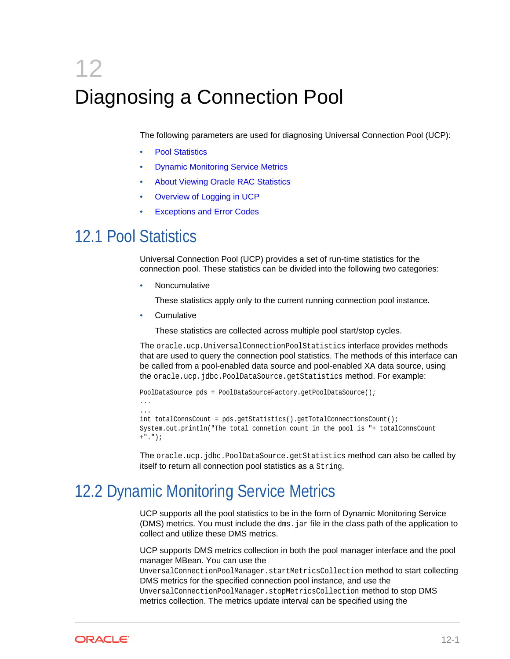# 12 Diagnosing a Connection Pool

The following parameters are used for diagnosing Universal Connection Pool (UCP):

- **Pool Statistics**
- **Dynamic Monitoring Service Metrics**
- **[About Viewing Oracle RAC Statistics](#page-103-0)**
- [Overview of Logging in UCP](#page-104-0)
- [Exceptions and Error Codes](#page-107-0)

# 12.1 Pool Statistics

Universal Connection Pool (UCP) provides a set of run-time statistics for the connection pool. These statistics can be divided into the following two categories:

• Noncumulative

These statistics apply only to the current running connection pool instance.

**Cumulative** 

These statistics are collected across multiple pool start/stop cycles.

The oracle.ucp.UniversalConnectionPoolStatistics interface provides methods that are used to query the connection pool statistics. The methods of this interface can be called from a pool-enabled data source and pool-enabled XA data source, using the oracle.ucp.jdbc.PoolDataSource.getStatistics method. For example:

```
PoolDataSource pds = PoolDataSourceFactory.getPoolDataSource();
...
...
int totalConnsCount = pds.getStatistics().getTotalConnectionsCount();
System.out.println("The total connetion count in the pool is "+ totalConnsCount 
+".");
```
The oracle.ucp.jdbc.PoolDataSource.getStatistics method can also be called by itself to return all connection pool statistics as a String.

# 12.2 Dynamic Monitoring Service Metrics

UCP supports all the pool statistics to be in the form of Dynamic Monitoring Service (DMS) metrics. You must include the  $dms.$  jar file in the class path of the application to collect and utilize these DMS metrics.

UCP supports DMS metrics collection in both the pool manager interface and the pool manager MBean. You can use the

UnversalConnectionPoolManager.startMetricsCollection method to start collecting DMS metrics for the specified connection pool instance, and use the UnversalConnectionPoolManager.stopMetricsCollection method to stop DMS metrics collection. The metrics update interval can be specified using the

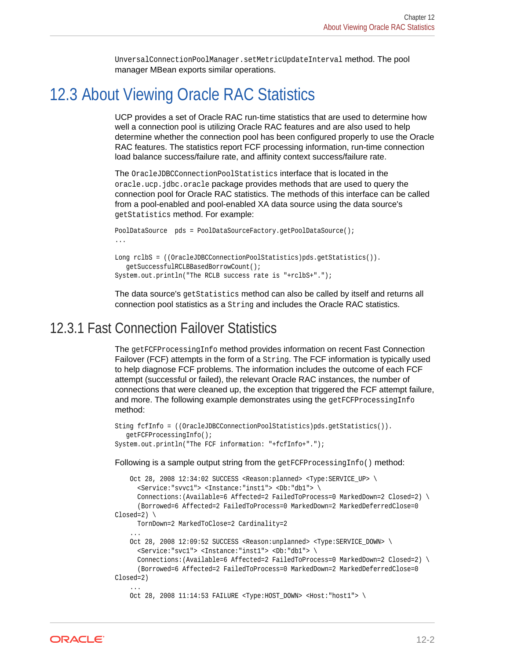UnversalConnectionPoolManager.setMetricUpdateInterval method. The pool manager MBean exports similar operations.

# <span id="page-103-0"></span>12.3 About Viewing Oracle RAC Statistics

UCP provides a set of Oracle RAC run-time statistics that are used to determine how well a connection pool is utilizing Oracle RAC features and are also used to help determine whether the connection pool has been configured properly to use the Oracle RAC features. The statistics report FCF processing information, run-time connection load balance success/failure rate, and affinity context success/failure rate.

The OracleJDBCConnectionPoolStatistics interface that is located in the oracle.ucp.jdbc.oracle package provides methods that are used to query the connection pool for Oracle RAC statistics. The methods of this interface can be called from a pool-enabled and pool-enabled XA data source using the data source's getStatistics method. For example:

```
PoolDataSource pds = PoolDataSourceFactory.getPoolDataSource();
...
Long rclbS = ((OracleJDBCConnectionPoolStatistics)pds.getStatistics()).
    getSuccessfulRCLBBasedBorrowCount();
System.out.println("The RCLB success rate is "+rclbS+".");
```
The data source's getStatistics method can also be called by itself and returns all connection pool statistics as a String and includes the Oracle RAC statistics.

### 12.3.1 Fast Connection Failover Statistics

The getFCFProcessingInfo method provides information on recent Fast Connection Failover (FCF) attempts in the form of a String. The FCF information is typically used to help diagnose FCF problems. The information includes the outcome of each FCF attempt (successful or failed), the relevant Oracle RAC instances, the number of connections that were cleaned up, the exception that triggered the FCF attempt failure, and more. The following example demonstrates using the getFCFProcessingInfo method:

```
Sting fcfInfo = ((OracleJDBCConnectionPoolStatistics)pds.getStatistics()).
    getFCFProcessingInfo();
System.out.println("The FCF information: "+fcfInfo+".");
```
Following is a sample output string from the getFCFProcessingInfo() method:

```
 Oct 28, 2008 12:34:02 SUCCESS <Reason:planned> <Type:SERVICE_UP> \
       <Service:"svvc1"> <Instance:"inst1"> <Db:"db1"> \
       Connections:(Available=6 Affected=2 FailedToProcess=0 MarkedDown=2 Closed=2) \
       (Borrowed=6 Affected=2 FailedToProcess=0 MarkedDown=2 MarkedDeferredClose=0 
Closed=2) \sqrt{} TornDown=2 MarkedToClose=2 Cardinality=2
 ...
     Oct 28, 2008 12:09:52 SUCCESS <Reason:unplanned> <Type:SERVICE_DOWN> \
      <Service:"svc1"> <Instance:"inst1"> <Db:"db1"> \
      Connections:(Available=6 Affected=2 FailedToProcess=0 MarkedDown=2 Closed=2) \
       (Borrowed=6 Affected=2 FailedToProcess=0 MarkedDown=2 MarkedDeferredClose=0 
Closed=2)
 ...
     Oct 28, 2008 11:14:53 FAILURE <Type:HOST_DOWN> <Host:"host1"> \
```
ORACLE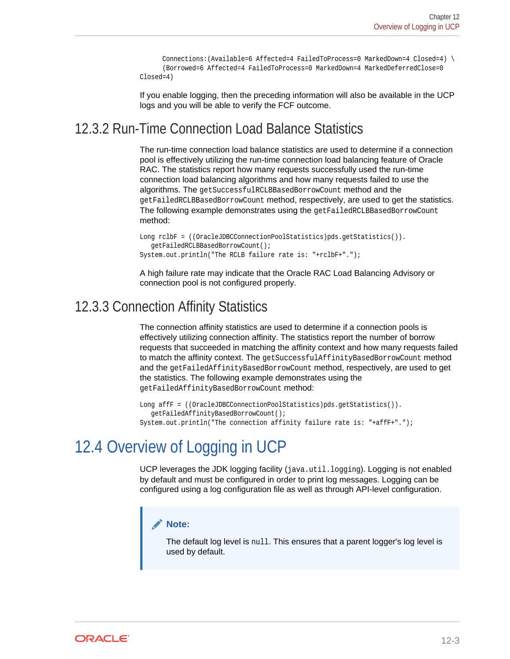```
 Connections:(Available=6 Affected=4 FailedToProcess=0 MarkedDown=4 Closed=4) \
       (Borrowed=6 Affected=4 FailedToProcess=0 MarkedDown=4 MarkedDeferredClose=0 
Closed=4)
```
If you enable logging, then the preceding information will also be available in the UCP logs and you will be able to verify the FCF outcome.

### <span id="page-104-0"></span>12.3.2 Run-Time Connection Load Balance Statistics

The run-time connection load balance statistics are used to determine if a connection pool is effectively utilizing the run-time connection load balancing feature of Oracle RAC. The statistics report how many requests successfully used the run-time connection load balancing algorithms and how many requests failed to use the algorithms. The getSuccessfulRCLBBasedBorrowCount method and the getFailedRCLBBasedBorrowCount method, respectively, are used to get the statistics. The following example demonstrates using the getFailedRCLBBasedBorrowCount method:

```
Long rclbF = ((OracleJDBCConnectionPoolStatistics)pds.getStatistics()).
    getFailedRCLBBasedBorrowCount();
System.out.println("The RCLB failure rate is: "+rclbF+".");
```
A high failure rate may indicate that the Oracle RAC Load Balancing Advisory or connection pool is not configured properly.

### 12.3.3 Connection Affinity Statistics

The connection affinity statistics are used to determine if a connection pools is effectively utilizing connection affinity. The statistics report the number of borrow requests that succeeded in matching the affinity context and how many requests failed to match the affinity context. The getSuccessfulAffinityBasedBorrowCount method and the getFailedAffinityBasedBorrowCount method, respectively, are used to get the statistics. The following example demonstrates using the getFailedAffinityBasedBorrowCount method:

```
Long affF = ((OracleJDBCConnectionPoolStatistics)pds.getStatistics()).
    getFailedAffinityBasedBorrowCount();
System.out.println("The connection affinity failure rate is: "+affF+".");
```
# 12.4 Overview of Logging in UCP

UCP leverages the JDK logging facility (java.util.logging). Logging is not enabled by default and must be configured in order to print log messages. Logging can be configured using a log configuration file as well as through API-level configuration.

#### **Note:**

The default log level is null. This ensures that a parent logger's log level is used by default.

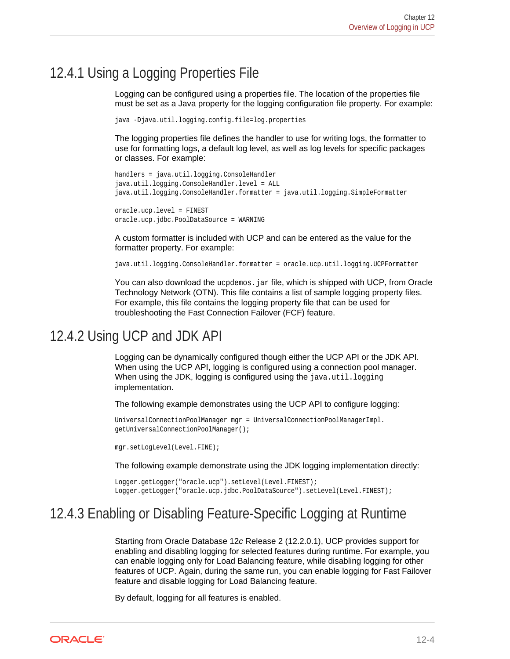### 12.4.1 Using a Logging Properties File

Logging can be configured using a properties file. The location of the properties file must be set as a Java property for the logging configuration file property. For example:

java -Djava.util.logging.config.file=log.properties

The logging properties file defines the handler to use for writing logs, the formatter to use for formatting logs, a default log level, as well as log levels for specific packages or classes. For example:

```
handlers = java.util.logging.ConsoleHandler
java.util.logging.ConsoleHandler.level = ALL
java.util.logging.ConsoleHandler.formatter = java.util.logging.SimpleFormatter
```

```
oracle.ucp.level = FINEST
oracle.ucp.jdbc.PoolDataSource = WARNING
```
A custom formatter is included with UCP and can be entered as the value for the formatter property. For example:

```
java.util.logging.ConsoleHandler.formatter = oracle.ucp.util.logging.UCPFormatter
```
You can also download the ucpdemos. jar file, which is shipped with UCP, from Oracle Technology Network (OTN). This file contains a list of sample logging property files. For example, this file contains the logging property file that can be used for troubleshooting the Fast Connection Failover (FCF) feature.

### 12.4.2 Using UCP and JDK API

Logging can be dynamically configured though either the UCP API or the JDK API. When using the UCP API, logging is configured using a connection pool manager. When using the JDK, logging is configured using the java.util.logging implementation.

The following example demonstrates using the UCP API to configure logging:

UniversalConnectionPoolManager mgr = UniversalConnectionPoolManagerImpl. getUniversalConnectionPoolManager();

mgr.setLogLevel(Level.FINE);

The following example demonstrate using the JDK logging implementation directly:

Logger.getLogger("oracle.ucp").setLevel(Level.FINEST); Logger.getLogger("oracle.ucp.jdbc.PoolDataSource").setLevel(Level.FINEST);

### 12.4.3 Enabling or Disabling Feature-Specific Logging at Runtime

Starting from Oracle Database 12*c* Release 2 (12.2.0.1), UCP provides support for enabling and disabling logging for selected features during runtime. For example, you can enable logging only for Load Balancing feature, while disabling logging for other features of UCP. Again, during the same run, you can enable logging for Fast Failover feature and disable logging for Load Balancing feature.

By default, logging for all features is enabled.

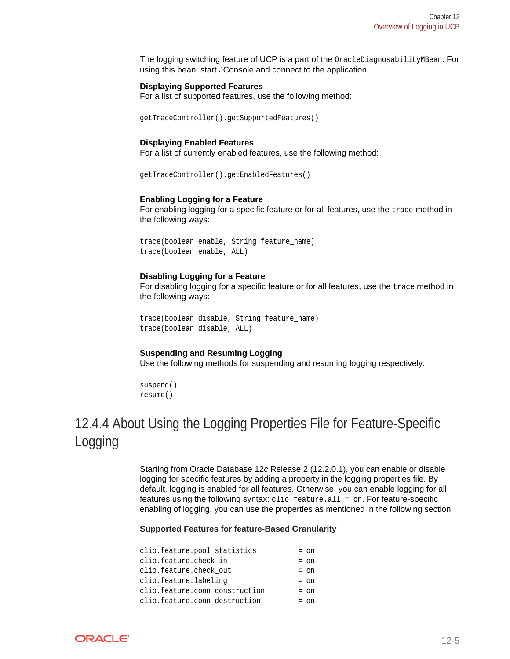The logging switching feature of UCP is a part of the OracleDiagnosabilityMBean. For using this bean, start JConsole and connect to the application.

#### **Displaying Supported Features**

For a list of supported features, use the following method:

```
getTraceController().getSupportedFeatures()
```
#### **Displaying Enabled Features**

For a list of currently enabled features, use the following method:

```
getTraceController().getEnabledFeatures()
```
#### **Enabling Logging for a Feature**

For enabling logging for a specific feature or for all features, use the trace method in the following ways:

```
trace(boolean enable, String feature name)
trace(boolean enable, ALL)
```
#### **Disabling Logging for a Feature**

For disabling logging for a specific feature or for all features, use the trace method in the following ways:

```
trace(boolean disable, String feature name)
trace(boolean disable, ALL)
```
#### **Suspending and Resuming Logging**

Use the following methods for suspending and resuming logging respectively:

suspend() resume()

# 12.4.4 About Using the Logging Properties File for Feature-Specific Logging

Starting from Oracle Database 12*c* Release 2 (12.2.0.1), you can enable or disable logging for specific features by adding a property in the logging properties file. By default, logging is enabled for all features. Otherwise, you can enable logging for all features using the following syntax: clio.feature.all = on. For feature-specific enabling of logging, you can use the properties as mentioned in the following section:

#### **Supported Features for feature-Based Granularity**

| clio.feature.pool_statistics   | $=$ on       |
|--------------------------------|--------------|
| clio.feature.check in          | $=$ on       |
| clio.feature.check out         | $=$ on       |
| clio.feature.labeling          | $=$ on       |
| clio.feature.conn construction | $=$ on       |
| clio.feature.conn destruction  | $=$ $\Omega$ |
|                                |              |

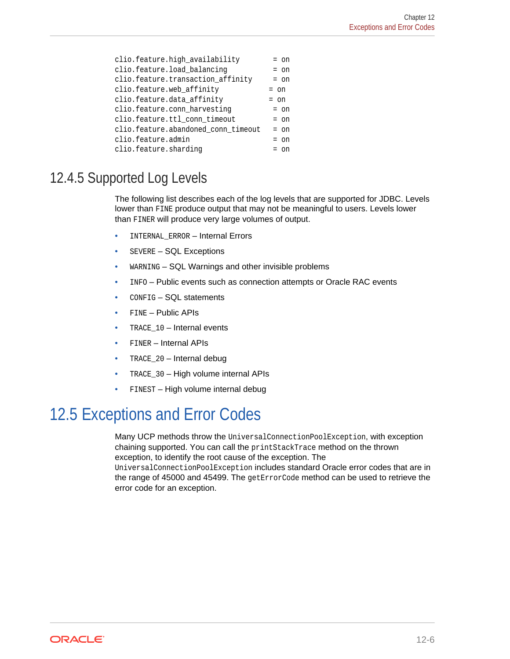```
clio.feature.high_availability = on
clio.feature.load_balancing = on
clio.feature.transaction_affinity = on
clio.feature.web_affinity = on
clio.feature.data_affinity = on
clio.feature.conn_harvesting = on
clio.feature.ttl_conn_timeout = on
clio.feature.abandoned_conn_timeout = on
clio.feature.admin = on
clio.feature.sharding = on
```
## 12.4.5 Supported Log Levels

The following list describes each of the log levels that are supported for JDBC. Levels lower than FINE produce output that may not be meaningful to users. Levels lower than FINER will produce very large volumes of output.

- INTERNAL ERROR Internal Errors
- **SEVERE SQL Exceptions**
- WARNING SQL Warnings and other invisible problems
- INFO Public events such as connection attempts or Oracle RAC events
- CONFIG SQL statements
- FINE Public APIs
- TRACE 10 Internal events
- FINER Internal APIs
- TRACE 20 Internal debug
- TRACE\_30 High volume internal APIs
- FINEST High volume internal debug

# 12.5 Exceptions and Error Codes

Many UCP methods throw the UniversalConnectionPoolException, with exception chaining supported. You can call the printStackTrace method on the thrown exception, to identify the root cause of the exception. The UniversalConnectionPoolException includes standard Oracle error codes that are in the range of 45000 and 45499. The getErrorCode method can be used to retrieve the error code for an exception.

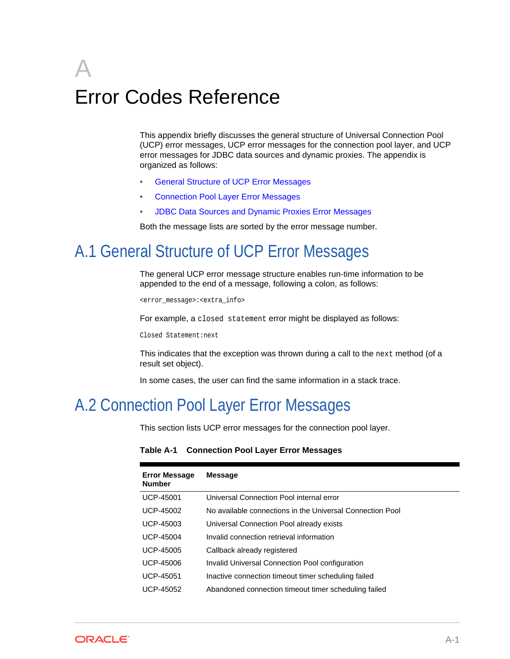# <span id="page-108-0"></span>A Error Codes Reference

This appendix briefly discusses the general structure of Universal Connection Pool (UCP) error messages, UCP error messages for the connection pool layer, and UCP error messages for JDBC data sources and dynamic proxies. The appendix is organized as follows:

- General Structure of UCP Error Messages
- Connection Pool Layer Error Messages
- [JDBC Data Sources and Dynamic Proxies Error Messages](#page-112-0)

Both the message lists are sorted by the error message number.

# A.1 General Structure of UCP Error Messages

The general UCP error message structure enables run-time information to be appended to the end of a message, following a colon, as follows:

```
<error_message>:<extra_info>
```
For example, a closed statement error might be displayed as follows:

Closed Statement:next

This indicates that the exception was thrown during a call to the next method (of a result set object).

In some cases, the user can find the same information in a stack trace.

# A.2 Connection Pool Layer Error Messages

This section lists UCP error messages for the connection pool layer.

#### **Table A-1 Connection Pool Layer Error Messages**

| <b>Error Message</b><br><b>Number</b> | <b>Message</b>                                            |
|---------------------------------------|-----------------------------------------------------------|
| <b>UCP-45001</b>                      | Universal Connection Pool internal error                  |
| UCP-45002                             | No available connections in the Universal Connection Pool |
| <b>UCP-45003</b>                      | Universal Connection Pool already exists                  |
| UCP-45004                             | Invalid connection retrieval information                  |
| <b>UCP-45005</b>                      | Callback already registered                               |
| UCP-45006                             | Invalid Universal Connection Pool configuration           |
| UCP-45051                             | Inactive connection timeout timer scheduling failed       |
| <b>UCP-45052</b>                      | Abandoned connection timeout timer scheduling failed      |

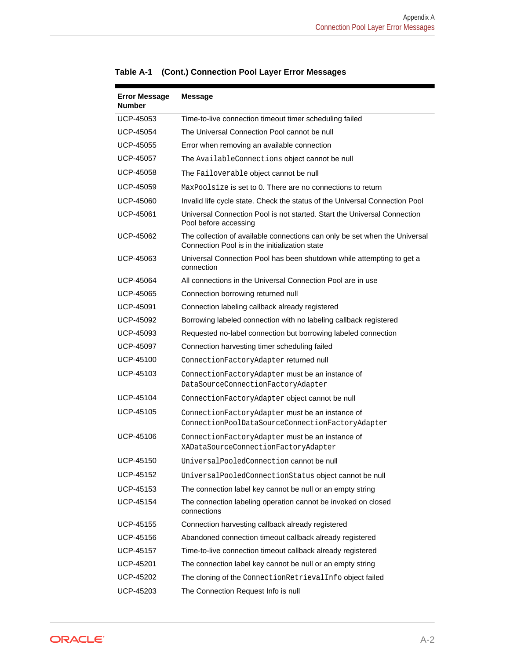| <b>Error Message</b><br><b>Number</b> | <b>Message</b>                                                                                                               |
|---------------------------------------|------------------------------------------------------------------------------------------------------------------------------|
| <b>UCP-45053</b>                      | Time-to-live connection timeout timer scheduling failed                                                                      |
| <b>UCP-45054</b>                      | The Universal Connection Pool cannot be null                                                                                 |
| <b>UCP-45055</b>                      | Error when removing an available connection                                                                                  |
| UCP-45057                             | The AvailableConnections object cannot be null                                                                               |
| UCP-45058                             | The Failoverable object cannot be null                                                                                       |
| <b>UCP-45059</b>                      | MaxPoolsize is set to 0. There are no connections to return                                                                  |
| <b>UCP-45060</b>                      | Invalid life cycle state. Check the status of the Universal Connection Pool                                                  |
| <b>UCP-45061</b>                      | Universal Connection Pool is not started. Start the Universal Connection<br>Pool before accessing                            |
| <b>UCP-45062</b>                      | The collection of available connections can only be set when the Universal<br>Connection Pool is in the initialization state |
| <b>UCP-45063</b>                      | Universal Connection Pool has been shutdown while attempting to get a<br>connection                                          |
| UCP-45064                             | All connections in the Universal Connection Pool are in use                                                                  |
| <b>UCP-45065</b>                      | Connection borrowing returned null                                                                                           |
| UCP-45091                             | Connection labeling callback already registered                                                                              |
| <b>UCP-45092</b>                      | Borrowing labeled connection with no labeling callback registered                                                            |
| UCP-45093                             | Requested no-label connection but borrowing labeled connection                                                               |
| <b>UCP-45097</b>                      | Connection harvesting timer scheduling failed                                                                                |
| <b>UCP-45100</b>                      | ConnectionFactoryAdapter returned null                                                                                       |
| UCP-45103                             | ConnectionFactoryAdapter must be an instance of<br>DataSourceConnectionFactoryAdapter                                        |
| <b>UCP-45104</b>                      | ConnectionFactoryAdapter object cannot be null                                                                               |
| <b>UCP-45105</b>                      | ConnectionFactoryAdapter must be an instance of<br>ConnectionPoolDataSourceConnectionFactoryAdapter                          |
| <b>UCP-45106</b>                      | ConnectionFactoryAdapter must be an instance of<br>XADataSourceConnectionFactoryAdapter                                      |
| <b>UCP-45150</b>                      | UniversalPooledConnection cannot be null                                                                                     |
| <b>UCP-45152</b>                      | UniversalPooledConnectionStatus object cannot be null                                                                        |
| UCP-45153                             | The connection label key cannot be null or an empty string                                                                   |
| <b>UCP-45154</b>                      | The connection labeling operation cannot be invoked on closed<br>connections                                                 |
| <b>UCP-45155</b>                      | Connection harvesting callback already registered                                                                            |
| <b>UCP-45156</b>                      | Abandoned connection timeout callback already registered                                                                     |
| <b>UCP-45157</b>                      | Time-to-live connection timeout callback already registered                                                                  |
| <b>UCP-45201</b>                      | The connection label key cannot be null or an empty string                                                                   |
| UCP-45202                             | The cloning of the ConnectionRetrievalInfo object failed                                                                     |
| <b>UCP-45203</b>                      | The Connection Request Info is null                                                                                          |

#### **Table A-1 (Cont.) Connection Pool Layer Error Messages**

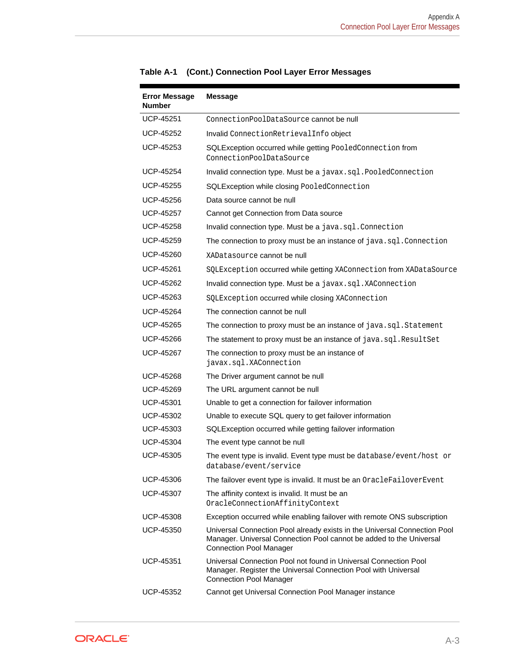| <b>Error Message</b><br><b>Number</b> | <b>Message</b>                                                                                                                                                                     |
|---------------------------------------|------------------------------------------------------------------------------------------------------------------------------------------------------------------------------------|
| UCP-45251                             | ConnectionPoolDataSource cannot be null                                                                                                                                            |
| <b>UCP-45252</b>                      | Invalid ConnectionRetrievalInfo object                                                                                                                                             |
| <b>UCP-45253</b>                      | SQLException occurred while getting PooledConnection from<br>ConnectionPoolDataSource                                                                                              |
| <b>UCP-45254</b>                      | Invalid connection type. Must be a javax.sql. PooledConnection                                                                                                                     |
| <b>UCP-45255</b>                      | SQLException while closing PooledConnection                                                                                                                                        |
| <b>UCP-45256</b>                      | Data source cannot be null                                                                                                                                                         |
| <b>UCP-45257</b>                      | Cannot get Connection from Data source                                                                                                                                             |
| UCP-45258                             | Invalid connection type. Must be a java.sql. Connection                                                                                                                            |
| <b>UCP-45259</b>                      | The connection to proxy must be an instance of java.sql. Connection                                                                                                                |
| <b>UCP-45260</b>                      | XADatasource cannot be null                                                                                                                                                        |
| UCP-45261                             | SQLException occurred while getting XAConnection from XADataSource                                                                                                                 |
| <b>UCP-45262</b>                      | Invalid connection type. Must be a javax.sql.XAConnection                                                                                                                          |
| UCP-45263                             | SQLException occurred while closing XAConnection                                                                                                                                   |
| <b>UCP-45264</b>                      | The connection cannot be null                                                                                                                                                      |
| <b>UCP-45265</b>                      | The connection to proxy must be an instance of java.sql.Statement                                                                                                                  |
| <b>UCP-45266</b>                      | The statement to proxy must be an instance of java.sql. ResultSet                                                                                                                  |
| <b>UCP-45267</b>                      | The connection to proxy must be an instance of<br>javax.sql.XAConnection                                                                                                           |
| <b>UCP-45268</b>                      | The Driver argument cannot be null                                                                                                                                                 |
| <b>UCP-45269</b>                      | The URL argument cannot be null                                                                                                                                                    |
| UCP-45301                             | Unable to get a connection for failover information                                                                                                                                |
| <b>UCP-45302</b>                      | Unable to execute SQL query to get failover information                                                                                                                            |
| <b>UCP-45303</b>                      | SQLException occurred while getting failover information                                                                                                                           |
| UCP-45304                             | The event type cannot be null                                                                                                                                                      |
| UCP-45305                             | The event type is invalid. Event type must be database/event/host or<br>database/event/service                                                                                     |
| <b>UCP-45306</b>                      | The failover event type is invalid. It must be an OracleFailoverEvent                                                                                                              |
| UCP-45307                             | The affinity context is invalid. It must be an<br>OracleConnectionAffinityContext                                                                                                  |
| <b>UCP-45308</b>                      | Exception occurred while enabling failover with remote ONS subscription                                                                                                            |
| <b>UCP-45350</b>                      | Universal Connection Pool already exists in the Universal Connection Pool<br>Manager. Universal Connection Pool cannot be added to the Universal<br><b>Connection Pool Manager</b> |
| <b>UCP-45351</b>                      | Universal Connection Pool not found in Universal Connection Pool<br>Manager. Register the Universal Connection Pool with Universal<br><b>Connection Pool Manager</b>               |
| UCP-45352                             | Cannot get Universal Connection Pool Manager instance                                                                                                                              |

#### **Table A-1 (Cont.) Connection Pool Layer Error Messages**

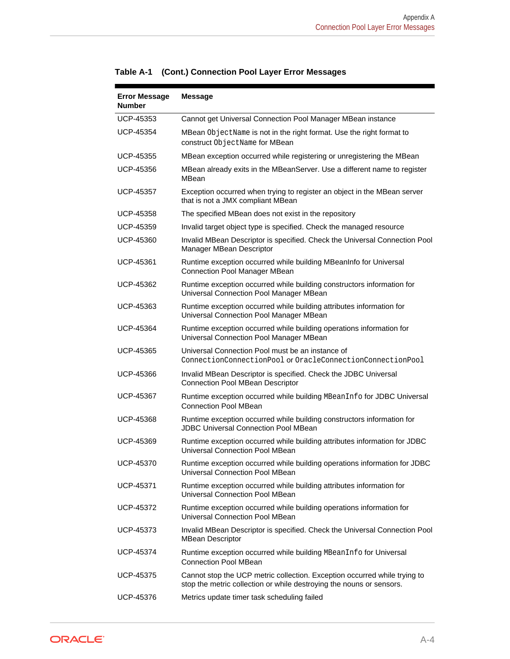| <b>Error Message</b><br><b>Number</b> | <b>Message</b>                                                                                                                                    |
|---------------------------------------|---------------------------------------------------------------------------------------------------------------------------------------------------|
| UCP-45353                             | Cannot get Universal Connection Pool Manager MBean instance                                                                                       |
| <b>UCP-45354</b>                      | MBean Object Name is not in the right format. Use the right format to<br>construct ObjectName for MBean                                           |
| <b>UCP-45355</b>                      | MBean exception occurred while registering or unregistering the MBean                                                                             |
| <b>UCP-45356</b>                      | MBean already exits in the MBeanServer. Use a different name to register<br>MBean                                                                 |
| <b>UCP-45357</b>                      | Exception occurred when trying to register an object in the MBean server<br>that is not a JMX compliant MBean                                     |
| <b>UCP-45358</b>                      | The specified MBean does not exist in the repository                                                                                              |
| <b>UCP-45359</b>                      | Invalid target object type is specified. Check the managed resource                                                                               |
| <b>UCP-45360</b>                      | Invalid MBean Descriptor is specified. Check the Universal Connection Pool<br>Manager MBean Descriptor                                            |
| <b>UCP-45361</b>                      | Runtime exception occurred while building MBeanInfo for Universal<br><b>Connection Pool Manager MBean</b>                                         |
| UCP-45362                             | Runtime exception occurred while building constructors information for<br>Universal Connection Pool Manager MBean                                 |
| <b>UCP-45363</b>                      | Runtime exception occurred while building attributes information for<br>Universal Connection Pool Manager MBean                                   |
| <b>UCP-45364</b>                      | Runtime exception occurred while building operations information for<br>Universal Connection Pool Manager MBean                                   |
| <b>UCP-45365</b>                      | Universal Connection Pool must be an instance of<br>ConnectionConnectionPool or OracleConnectionConnectionPool                                    |
| <b>UCP-45366</b>                      | Invalid MBean Descriptor is specified. Check the JDBC Universal<br><b>Connection Pool MBean Descriptor</b>                                        |
| <b>UCP-45367</b>                      | Runtime exception occurred while building MBeanInfo for JDBC Universal<br><b>Connection Pool MBean</b>                                            |
| <b>UCP-45368</b>                      | Runtime exception occurred while building constructors information for<br><b>JDBC Universal Connection Pool MBean</b>                             |
| <b>UCP-45369</b>                      | Runtime exception occurred while building attributes information for JDBC<br>Universal Connection Pool MBean                                      |
| <b>UCP-45370</b>                      | Runtime exception occurred while building operations information for JDBC<br><b>Universal Connection Pool MBean</b>                               |
| <b>UCP-45371</b>                      | Runtime exception occurred while building attributes information for<br><b>Universal Connection Pool MBean</b>                                    |
| <b>UCP-45372</b>                      | Runtime exception occurred while building operations information for<br><b>Universal Connection Pool MBean</b>                                    |
| <b>UCP-45373</b>                      | Invalid MBean Descriptor is specified. Check the Universal Connection Pool<br><b>MBean Descriptor</b>                                             |
| <b>UCP-45374</b>                      | Runtime exception occurred while building MBeanInfo for Universal<br>Connection Pool MBean                                                        |
| <b>UCP-45375</b>                      | Cannot stop the UCP metric collection. Exception occurred while trying to<br>stop the metric collection or while destroying the nouns or sensors. |
| <b>UCP-45376</b>                      | Metrics update timer task scheduling failed                                                                                                       |

|  | Table A-1 (Cont.) Connection Pool Layer Error Messages |
|--|--------------------------------------------------------|
|--|--------------------------------------------------------|

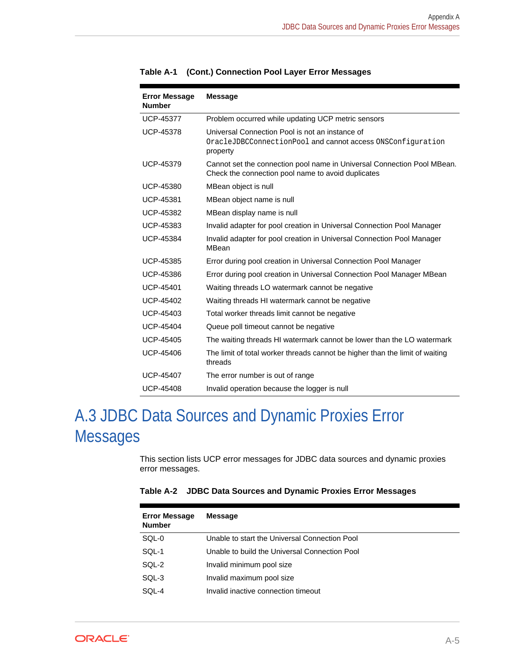| <b>Error Message</b><br><b>Number</b> | <b>Message</b>                                                                                                                |
|---------------------------------------|-------------------------------------------------------------------------------------------------------------------------------|
| <b>UCP-45377</b>                      | Problem occurred while updating UCP metric sensors                                                                            |
| <b>UCP-45378</b>                      | Universal Connection Pool is not an instance of<br>OracleJDBCConnectionPool and cannot access ONSConfiguration<br>property    |
| <b>UCP-45379</b>                      | Cannot set the connection pool name in Universal Connection Pool MBean.<br>Check the connection pool name to avoid duplicates |
| <b>UCP-45380</b>                      | MBean object is null                                                                                                          |
| <b>UCP-45381</b>                      | MBean object name is null                                                                                                     |
| <b>UCP-45382</b>                      | MBean display name is null                                                                                                    |
| <b>UCP-45383</b>                      | Invalid adapter for pool creation in Universal Connection Pool Manager                                                        |
| <b>UCP-45384</b>                      | Invalid adapter for pool creation in Universal Connection Pool Manager<br>MBean                                               |
| <b>UCP-45385</b>                      | Error during pool creation in Universal Connection Pool Manager                                                               |
| <b>UCP-45386</b>                      | Error during pool creation in Universal Connection Pool Manager MBean                                                         |
| <b>UCP-45401</b>                      | Waiting threads LO watermark cannot be negative                                                                               |
| <b>UCP-45402</b>                      | Waiting threads HI watermark cannot be negative                                                                               |
| <b>UCP-45403</b>                      | Total worker threads limit cannot be negative                                                                                 |
| <b>UCP-45404</b>                      | Queue poll timeout cannot be negative                                                                                         |
| <b>UCP-45405</b>                      | The waiting threads HI watermark cannot be lower than the LO watermark                                                        |
| <b>UCP-45406</b>                      | The limit of total worker threads cannot be higher than the limit of waiting<br>threads                                       |
| <b>UCP-45407</b>                      | The error number is out of range                                                                                              |
| <b>UCP-45408</b>                      | Invalid operation because the logger is null                                                                                  |

#### <span id="page-112-0"></span>**Table A-1 (Cont.) Connection Pool Layer Error Messages**

# A.3 JDBC Data Sources and Dynamic Proxies Error Messages

This section lists UCP error messages for JDBC data sources and dynamic proxies error messages.

| <b>Error Message</b><br><b>Number</b> | Message                                       |
|---------------------------------------|-----------------------------------------------|
| SOL-0                                 | Unable to start the Universal Connection Pool |
| SOL-1                                 | Unable to build the Universal Connection Pool |
| SOL-2                                 | Invalid minimum pool size                     |
| SOL-3                                 | Invalid maximum pool size                     |
| SOL-4                                 | Invalid inactive connection timeout           |

#### **Table A-2 JDBC Data Sources and Dynamic Proxies Error Messages**

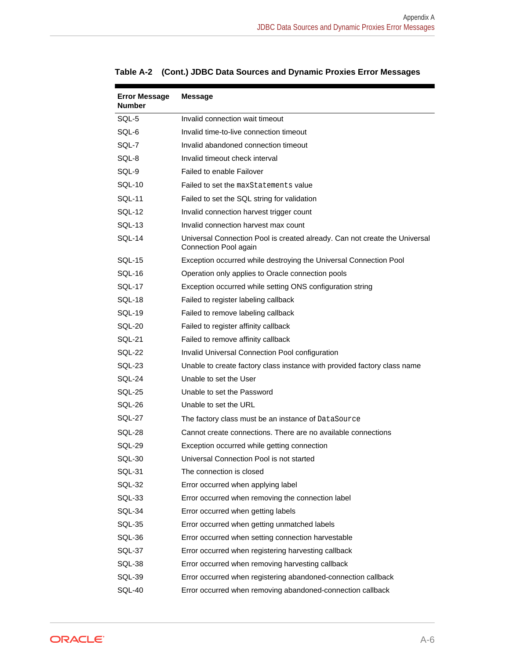| <b>Error Message</b><br><b>Number</b> | <b>Message</b>                                                                                      |
|---------------------------------------|-----------------------------------------------------------------------------------------------------|
| SQL-5                                 | Invalid connection wait timeout                                                                     |
| SQL-6                                 | Invalid time-to-live connection timeout                                                             |
| SQL-7                                 | Invalid abandoned connection timeout                                                                |
| SQL-8                                 | Invalid timeout check interval                                                                      |
| SQL-9                                 | Failed to enable Failover                                                                           |
| SQL-10                                | Failed to set the maxStatements value                                                               |
| SQL-11                                | Failed to set the SQL string for validation                                                         |
| SQL-12                                | Invalid connection harvest trigger count                                                            |
| SQL-13                                | Invalid connection harvest max count                                                                |
| SQL-14                                | Universal Connection Pool is created already. Can not create the Universal<br>Connection Pool again |
| SQL-15                                | Exception occurred while destroying the Universal Connection Pool                                   |
| SQL-16                                | Operation only applies to Oracle connection pools                                                   |
| SQL-17                                | Exception occurred while setting ONS configuration string                                           |
| SQL-18                                | Failed to register labeling callback                                                                |
| SQL-19                                | Failed to remove labeling callback                                                                  |
| SQL-20                                | Failed to register affinity callback                                                                |
| SQL-21                                | Failed to remove affinity callback                                                                  |
| SQL-22                                | Invalid Universal Connection Pool configuration                                                     |
| SQL-23                                | Unable to create factory class instance with provided factory class name                            |
| SQL-24                                | Unable to set the User                                                                              |
| SQL-25                                | Unable to set the Password                                                                          |
| SQL-26                                | Unable to set the URL                                                                               |
| SQL-27                                | The factory class must be an instance of DataSource                                                 |
| SQL-28                                | Cannot create connections. There are no available connections                                       |
| SQL-29                                | Exception occurred while getting connection                                                         |
| SQL-30                                | Universal Connection Pool is not started                                                            |
| SQL-31                                | The connection is closed                                                                            |
| SQL-32                                | Error occurred when applying label                                                                  |
| SQL-33                                | Error occurred when removing the connection label                                                   |
| SQL-34                                | Error occurred when getting labels                                                                  |
| SQL-35                                | Error occurred when getting unmatched labels                                                        |
| SQL-36                                | Error occurred when setting connection harvestable                                                  |
| SQL-37                                | Error occurred when registering harvesting callback                                                 |
| SQL-38                                | Error occurred when removing harvesting callback                                                    |
| SQL-39                                | Error occurred when registering abandoned-connection callback                                       |
| SQL-40                                | Error occurred when removing abandoned-connection callback                                          |

#### **Table A-2 (Cont.) JDBC Data Sources and Dynamic Proxies Error Messages**

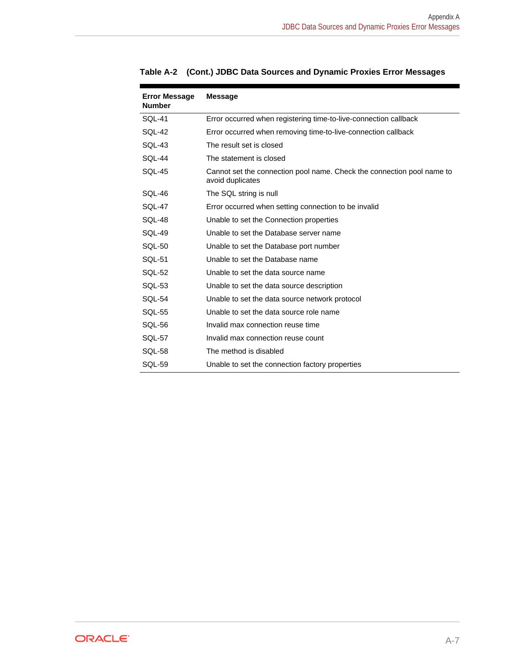| <b>Error Message</b><br><b>Number</b> | <b>Message</b>                                                                             |
|---------------------------------------|--------------------------------------------------------------------------------------------|
| SQL-41                                | Error occurred when registering time-to-live-connection callback                           |
| SQL-42                                | Error occurred when removing time-to-live-connection callback                              |
| SQL-43                                | The result set is closed                                                                   |
| SQL-44                                | The statement is closed                                                                    |
| <b>SOL-45</b>                         | Cannot set the connection pool name. Check the connection pool name to<br>avoid duplicates |
| SQL-46                                | The SQL string is null                                                                     |
| SQL-47                                | Error occurred when setting connection to be invalid                                       |
| SQL-48                                | Unable to set the Connection properties                                                    |
| SQL-49                                | Unable to set the Database server name                                                     |
| SQL-50                                | Unable to set the Database port number                                                     |
| SQL-51                                | Unable to set the Database name                                                            |
| SQL-52                                | Unable to set the data source name                                                         |
| SQL-53                                | Unable to set the data source description                                                  |
| SQL-54                                | Unable to set the data source network protocol                                             |
| SQL-55                                | Unable to set the data source role name                                                    |
| SQL-56                                | Invalid max connection reuse time                                                          |
| SQL-57                                | Invalid max connection reuse count                                                         |
| SQL-58                                | The method is disabled                                                                     |
| SQL-59                                | Unable to set the connection factory properties                                            |

#### **Table A-2 (Cont.) JDBC Data Sources and Dynamic Proxies Error Messages**

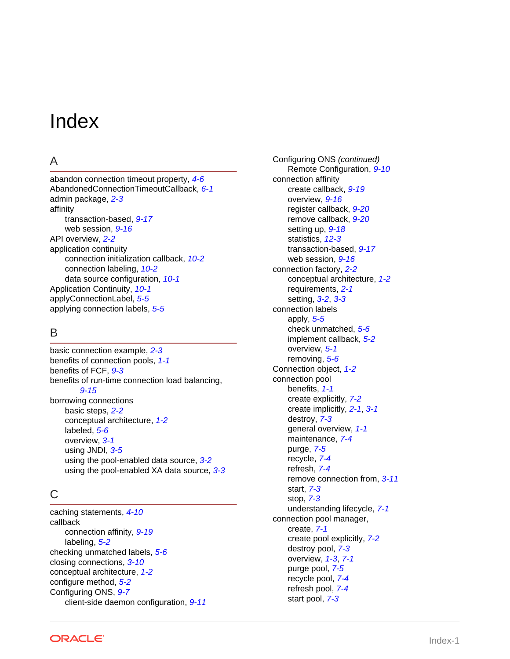# <span id="page-115-0"></span>Index

# A

abandon connection timeout property, *[4-6](#page-36-0)* AbandonedConnectionTimeoutCallback, *[6-1](#page-49-0)* admin package, *[2-3](#page-17-0)* affinity transaction-based, *[9-17](#page-82-0)* web session, *[9-16](#page-81-0)* API overview, *[2-2](#page-16-0)* application continuity connection initialization callback, *[10-2](#page-90-0)* connection labeling, *[10-2](#page-90-0)* data source configuration, *[10-1](#page-89-0)* Application Continuity, *[10-1](#page-89-0)* applyConnectionLabel, *[5-5](#page-46-0)* applying connection labels, *[5-5](#page-46-0)*

### B

basic connection example, *[2-3](#page-17-0)* benefits of connection pools, *[1-1](#page-11-0)* benefits of FCF, *[9-3](#page-68-0)* benefits of run-time connection load balancing, *[9-15](#page-80-0)* borrowing connections basic steps, *[2-2](#page-16-0)* conceptual architecture, *[1-2](#page-12-0)* labeled, *[5-6](#page-47-0)* overview, *[3-1](#page-19-0)* using JNDI, *[3-5](#page-23-0)* using the pool-enabled data source, *[3-2](#page-20-0)* using the pool-enabled XA data source, *[3-3](#page-21-0)*

## $\mathcal{C}$

caching statements, *[4-10](#page-40-0)* callback connection affinity, *[9-19](#page-84-0)* labeling, *[5-2](#page-43-0)* checking unmatched labels, *[5-6](#page-47-0)* closing connections, *[3-10](#page-28-0)* conceptual architecture, *[1-2](#page-12-0)* configure method, *[5-2](#page-43-0)* Configuring ONS, *[9-7](#page-72-0)* client-side daemon configuration, *[9-11](#page-76-0)* Configuring ONS *(continued)* Remote Configuration, *[9-10](#page-75-0)* connection affinity create callback, *[9-19](#page-84-0)* overview, *[9-16](#page-81-0)* register callback, *[9-20](#page-85-0)* remove callback, *[9-20](#page-85-0)* setting up, *[9-18](#page-83-0)* statistics, *[12-3](#page-104-0)* transaction-based, *[9-17](#page-82-0)* web session, *[9-16](#page-81-0)* connection factory, *[2-2](#page-16-0)* conceptual architecture, *[1-2](#page-12-0)* requirements, *[2-1](#page-15-0)* setting, *[3-2](#page-20-0)*, *[3-3](#page-21-0)* connection labels apply, *[5-5](#page-46-0)* check unmatched, *[5-6](#page-47-0)* implement callback, *[5-2](#page-43-0)* overview, *[5-1](#page-42-0)* removing, *[5-6](#page-47-0)* Connection object, *[1-2](#page-12-0)* connection pool benefits, *[1-1](#page-11-0)* create explicitly, *[7-2](#page-52-0)* create implicitly, *[2-1](#page-15-0)*, *[3-1](#page-19-0)* destroy, *[7-3](#page-53-0)* general overview, *[1-1](#page-11-0)* maintenance, *[7-4](#page-54-0)* purge, *[7-5](#page-55-0)* recycle, *[7-4](#page-54-0)* refresh, *[7-4](#page-54-0)* remove connection from, *[3-11](#page-29-0)* start, *[7-3](#page-53-0)* stop, *[7-3](#page-53-0)* understanding lifecycle, *[7-1](#page-51-0)* connection pool manager, create, *[7-1](#page-51-0)* create pool explicitly, *[7-2](#page-52-0)* destroy pool, *[7-3](#page-53-0)* overview, *[1-3](#page-13-0)*, *[7-1](#page-51-0)* purge pool, *[7-5](#page-55-0)* recycle pool, *[7-4](#page-54-0)* refresh pool, *[7-4](#page-54-0)* start pool, *[7-3](#page-53-0)*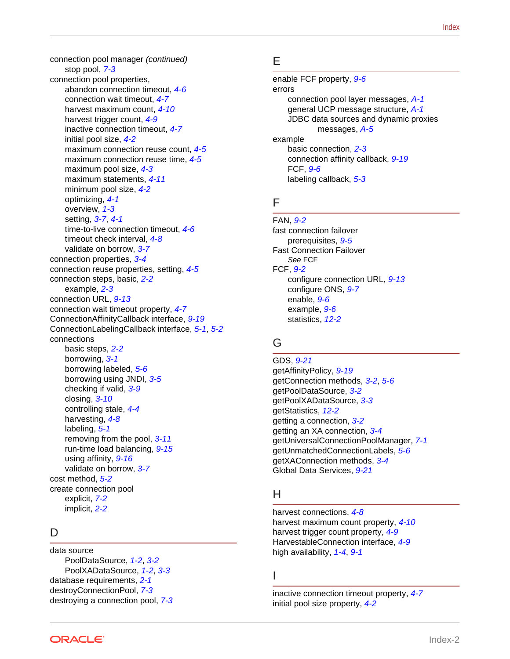<span id="page-116-0"></span>connection pool manager *(continued)* stop pool, *[7-3](#page-53-0)* connection pool properties, abandon connection timeout, *[4-6](#page-36-0)* connection wait timeout, *[4-7](#page-37-0)* harvest maximum count, *[4-10](#page-40-0)* harvest trigger count, *[4-9](#page-39-0)* inactive connection timeout, *[4-7](#page-37-0)* initial pool size, *[4-2](#page-32-0)* maximum connection reuse count, *[4-5](#page-35-0)* maximum connection reuse time, *[4-5](#page-35-0)* maximum pool size, *[4-3](#page-33-0)* maximum statements, *[4-11](#page-41-0)* minimum pool size, *[4-2](#page-32-0)* optimizing, *[4-1](#page-31-0)* overview, *[1-3](#page-13-0)* setting, *[3-7](#page-25-0)*, *[4-1](#page-31-0)* time-to-live connection timeout, *[4-6](#page-36-0)* timeout check interval, *[4-8](#page-38-0)* validate on borrow, *[3-7](#page-25-0)* connection properties, *[3-4](#page-22-0)* connection reuse properties, setting, *[4-5](#page-35-0)* connection steps, basic, *[2-2](#page-16-0)* example, *[2-3](#page-17-0)* connection URL, *[9-13](#page-78-0)* connection wait timeout property, *[4-7](#page-37-0)* ConnectionAffinityCallback interface, *[9-19](#page-84-0)* ConnectionLabelingCallback interface, *[5-1](#page-42-0)*, *[5-2](#page-43-0)* connections basic steps, *[2-2](#page-16-0)* borrowing, *[3-1](#page-19-0)* borrowing labeled, *[5-6](#page-47-0)* borrowing using JNDI, *[3-5](#page-23-0)* checking if valid, *[3-9](#page-27-0)* closing, *[3-10](#page-28-0)* controlling stale, *[4-4](#page-34-0)* harvesting, *[4-8](#page-38-0)* labeling, *[5-1](#page-42-0)* removing from the pool, *[3-11](#page-29-0)* run-time load balancing, *[9-15](#page-80-0)* using affinity, *[9-16](#page-81-0)* validate on borrow, *[3-7](#page-25-0)* cost method, *[5-2](#page-43-0)* create connection pool explicit, *[7-2](#page-52-0)* implicit, *[2-2](#page-16-0)*

#### D

data source PoolDataSource, *[1-2](#page-12-0)*, *[3-2](#page-20-0)* PoolXADataSource, *[1-2](#page-12-0)*, *[3-3](#page-21-0)* database requirements, *[2-1](#page-15-0)* destroyConnectionPool, *[7-3](#page-53-0)* destroying a connection pool, *[7-3](#page-53-0)*

### E

enable FCF property, *[9-6](#page-71-0)* errors connection pool layer messages, *[A-1](#page-108-0)* general UCP message structure, *[A-1](#page-108-0)* JDBC data sources and dynamic proxies messages, *[A-5](#page-112-0)* example basic connection, *[2-3](#page-17-0)* connection affinity callback, *[9-19](#page-84-0)* FCF, *[9-6](#page-71-0)* labeling callback, *[5-3](#page-44-0)*

### F

FAN, *[9-2](#page-67-0)* fast connection failover prerequisites, *[9-5](#page-70-0)* Fast Connection Failover *See* FCF FCF, *[9-2](#page-67-0)* configure connection URL, *[9-13](#page-78-0)* configure ONS, *[9-7](#page-72-0)* enable, *[9-6](#page-71-0)* example, *[9-6](#page-71-0)* statistics, *[12-2](#page-103-0)*

#### G

GDS, *[9-21](#page-86-0)* getAffinityPolicy, *[9-19](#page-84-0)* getConnection methods, *[3-2](#page-20-0)*, *[5-6](#page-47-0)* getPoolDataSource, *[3-2](#page-20-0)* getPoolXADataSource, *[3-3](#page-21-0)* getStatistics, *[12-2](#page-103-0)* getting a connection, *[3-2](#page-20-0)* getting an XA connection, *[3-4](#page-22-0)* getUniversalConnectionPoolManager, *[7-1](#page-51-0)* getUnmatchedConnectionLabels, *[5-6](#page-47-0)* getXAConnection methods, *[3-4](#page-22-0)* Global Data Services, *[9-21](#page-86-0)*

#### H

harvest connections, *[4-8](#page-38-0)* harvest maximum count property, *[4-10](#page-40-0)* harvest trigger count property, *[4-9](#page-39-0)* HarvestableConnection interface, *[4-9](#page-39-0)* high availability, *[1-4](#page-14-0)*, *[9-1](#page-66-0)*

#### I

inactive connection timeout property, *[4-7](#page-37-0)* initial pool size property, *[4-2](#page-32-0)*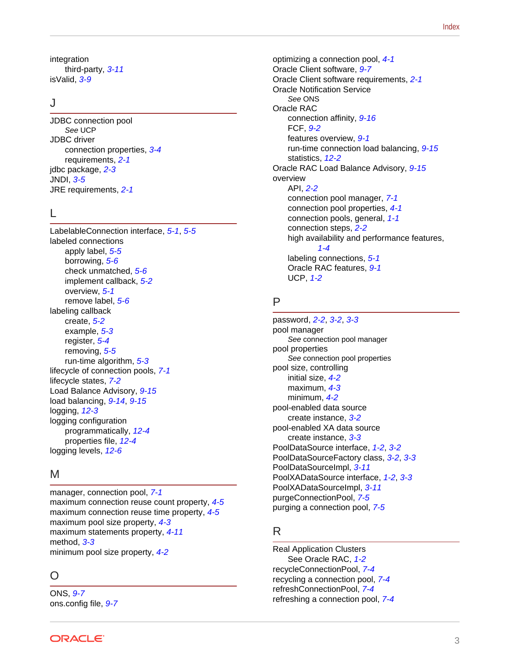integration third-party, *[3-11](#page-29-0)* isValid, *[3-9](#page-27-0)*

#### J

JDBC connection pool *See* [UCP](#page-118-0) JDBC driver connection properties, *[3-4](#page-22-0)* requirements, *[2-1](#page-15-0)* jdbc package, *[2-3](#page-17-0)* JNDI, *[3-5](#page-23-0)* JRE requirements, *[2-1](#page-15-0)*

#### L

LabelableConnection interface, *[5-1](#page-42-0)*, *[5-5](#page-46-0)* labeled connections apply label, *[5-5](#page-46-0)* borrowing, *[5-6](#page-47-0)* check unmatched, *[5-6](#page-47-0)* implement callback, *[5-2](#page-43-0)* overview, *[5-1](#page-42-0)* remove label, *[5-6](#page-47-0)* labeling callback create, *[5-2](#page-43-0)* example, *[5-3](#page-44-0)* register, *[5-4](#page-45-0)* removing, *[5-5](#page-46-0)* run-time algorithm, *[5-3](#page-44-0)* lifecycle of connection pools, *[7-1](#page-51-0)* lifecycle states, *[7-2](#page-52-0)* Load Balance Advisory, *[9-15](#page-80-0)* load balancing, *[9-14](#page-79-0)*, *[9-15](#page-80-0)* logging, *[12-3](#page-104-0)* logging configuration programmatically, *[12-4](#page-105-0)* properties file, *[12-4](#page-105-0)* logging levels, *[12-6](#page-107-0)*

#### M

manager, connection pool, *[7-1](#page-51-0)* maximum connection reuse count property, *[4-5](#page-35-0)* maximum connection reuse time property, *[4-5](#page-35-0)* maximum pool size property, *[4-3](#page-33-0)* maximum statements property, *[4-11](#page-41-0)* method, *[3-3](#page-21-0)* minimum pool size property, *[4-2](#page-32-0)*

#### O

ONS, *[9-7](#page-72-0)* ons.config file, *[9-7](#page-72-0)* optimizing a connection pool, *[4-1](#page-31-0)* Oracle Client software, *[9-7](#page-72-0)* Oracle Client software requirements, *[2-1](#page-15-0)* Oracle Notification Service *See* ONS Oracle RAC connection affinity, *[9-16](#page-81-0)* FCF, *[9-2](#page-67-0)* features overview, *[9-1](#page-66-0)* run-time connection load balancing, *[9-15](#page-80-0)* statistics, *[12-2](#page-103-0)* Oracle RAC Load Balance Advisory, *[9-15](#page-80-0)* overview API, *[2-2](#page-16-0)* connection pool manager, *[7-1](#page-51-0)* connection pool properties, *[4-1](#page-31-0)* connection pools, general, *[1-1](#page-11-0)* connection steps, *[2-2](#page-16-0)* high availability and performance features, *[1-4](#page-14-0)* labeling connections, *[5-1](#page-42-0)* Oracle RAC features, *[9-1](#page-66-0)* UCP, *[1-2](#page-12-0)*

#### P

password, *[2-2](#page-16-0)*, *[3-2](#page-20-0)*, *[3-3](#page-21-0)* pool manager *See* [connection pool manager](#page-115-0) pool properties *See* [connection pool properties](#page-116-0) pool size, controlling initial size, *[4-2](#page-32-0)* maximum, *[4-3](#page-33-0)* minimum, *[4-2](#page-32-0)* pool-enabled data source create instance, *[3-2](#page-20-0)* pool-enabled XA data source create instance, *[3-3](#page-21-0)* PoolDataSource interface, *[1-2](#page-12-0)*, *[3-2](#page-20-0)* PoolDataSourceFactory class, *[3-2](#page-20-0)*, *[3-3](#page-21-0)* PoolDataSourceImpl, *[3-11](#page-29-0)* PoolXADataSource interface, *[1-2](#page-12-0)*, *[3-3](#page-21-0)* PoolXADataSourceImpl, *[3-11](#page-29-0)* purgeConnectionPool, *[7-5](#page-55-0)* purging a connection pool, *[7-5](#page-55-0)*

#### R

Real Application Clusters See Oracle RAC, *[1-2](#page-12-0)* recycleConnectionPool, *[7-4](#page-54-0)* recycling a connection pool, *[7-4](#page-54-0)* refreshConnectionPool, *[7-4](#page-54-0)* refreshing a connection pool, *[7-4](#page-54-0)*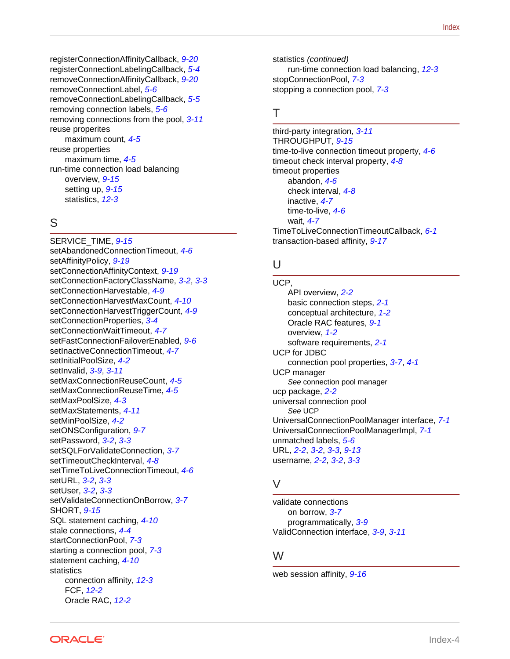<span id="page-118-0"></span>registerConnectionAffinityCallback, *[9-20](#page-85-0)* registerConnectionLabelingCallback, *[5-4](#page-45-0)* removeConnectionAffinityCallback, *[9-20](#page-85-0)* removeConnectionLabel, *[5-6](#page-47-0)* removeConnectionLabelingCallback, *[5-5](#page-46-0)* removing connection labels, *[5-6](#page-47-0)* removing connections from the pool, *[3-11](#page-29-0)* reuse properites maximum count, *[4-5](#page-35-0)* reuse properties maximum time, *[4-5](#page-35-0)* run-time connection load balancing overview, *[9-15](#page-80-0)* setting up, *[9-15](#page-80-0)* statistics, *[12-3](#page-104-0)*

# S

SERVICE\_TIME, *[9-15](#page-80-0)* setAbandonedConnectionTimeout, *[4-6](#page-36-0)* setAffinityPolicy, *[9-19](#page-84-0)* setConnectionAffinityContext, *[9-19](#page-84-0)* setConnectionFactoryClassName, *[3-2](#page-20-0)*, *[3-3](#page-21-0)* setConnectionHarvestable, *[4-9](#page-39-0)* setConnectionHarvestMaxCount, *[4-10](#page-40-0)* setConnectionHarvestTriggerCount, *[4-9](#page-39-0)* setConnectionProperties, *[3-4](#page-22-0)* setConnectionWaitTimeout, *[4-7](#page-37-0)* setFastConnectionFailoverEnabled, *[9-6](#page-71-0)* setInactiveConnectionTimeout, *[4-7](#page-37-0)* setInitialPoolSize, *[4-2](#page-32-0)* setInvalid, *[3-9](#page-27-0)*, *[3-11](#page-29-0)* setMaxConnectionReuseCount, *[4-5](#page-35-0)* setMaxConnectionReuseTime, *[4-5](#page-35-0)* setMaxPoolSize, *[4-3](#page-33-0)* setMaxStatements, *[4-11](#page-41-0)* setMinPoolSize, *[4-2](#page-32-0)* setONSConfiguration, *[9-7](#page-72-0)* setPassword, *[3-2](#page-20-0)*, *[3-3](#page-21-0)* setSQLForValidateConnection, *[3-7](#page-25-0)* setTimeoutCheckInterval, *[4-8](#page-38-0)* setTimeToLiveConnectionTimeout, *[4-6](#page-36-0)* setURL, *[3-2](#page-20-0)*, *[3-3](#page-21-0)* setUser, *[3-2](#page-20-0)*, *[3-3](#page-21-0)* setValidateConnectionOnBorrow, *[3-7](#page-25-0)* SHORT, *[9-15](#page-80-0)* SQL statement caching, *[4-10](#page-40-0)* stale connections, *[4-4](#page-34-0)* startConnectionPool, *[7-3](#page-53-0)* starting a connection pool, *[7-3](#page-53-0)* statement caching, *[4-10](#page-40-0)* statistics connection affinity, *[12-3](#page-104-0)* FCF, *[12-2](#page-103-0)* Oracle RAC, *[12-2](#page-103-0)*

statistics *(continued)* run-time connection load balancing, *[12-3](#page-104-0)* stopConnectionPool, *[7-3](#page-53-0)* stopping a connection pool, *[7-3](#page-53-0)*

# T

third-party integration, *[3-11](#page-29-0)* THROUGHPUT, *[9-15](#page-80-0)* time-to-live connection timeout property, *[4-6](#page-36-0)* timeout check interval property, *[4-8](#page-38-0)* timeout properties abandon, *[4-6](#page-36-0)* check interval, *[4-8](#page-38-0)* inactive, *[4-7](#page-37-0)* time-to-live, *[4-6](#page-36-0)* wait, *[4-7](#page-37-0)* TimeToLiveConnectionTimeoutCallback, *[6-1](#page-49-0)* transaction-based affinity, *[9-17](#page-82-0)*

### U

UCP, API overview, *[2-2](#page-16-0)* basic connection steps, *[2-1](#page-15-0)* conceptual architecture, *[1-2](#page-12-0)* Oracle RAC features, *[9-1](#page-66-0)* overview, *[1-2](#page-12-0)* software requirements, *[2-1](#page-15-0)* UCP for JDBC connection pool properties, *[3-7](#page-25-0)*, *[4-1](#page-31-0)* UCP manager *See* [connection pool manager](#page-115-0) ucp package, *[2-2](#page-16-0)* universal connection pool *See* UCP UniversalConnectionPoolManager interface, *[7-1](#page-51-0)* UniversalConnectionPoolManagerImpl, *[7-1](#page-51-0)* unmatched labels, *[5-6](#page-47-0)* URL, *[2-2](#page-16-0)*, *[3-2](#page-20-0)*, *[3-3](#page-21-0)*, *[9-13](#page-78-0)* username, *[2-2](#page-16-0)*, *[3-2](#page-20-0)*, *[3-3](#page-21-0)*

### $\sqrt{}$

validate connections on borrow, *[3-7](#page-25-0)* programmatically, *[3-9](#page-27-0)* ValidConnection interface, *[3-9](#page-27-0)*, *[3-11](#page-29-0)*

#### W

web session affinity, *[9-16](#page-81-0)*